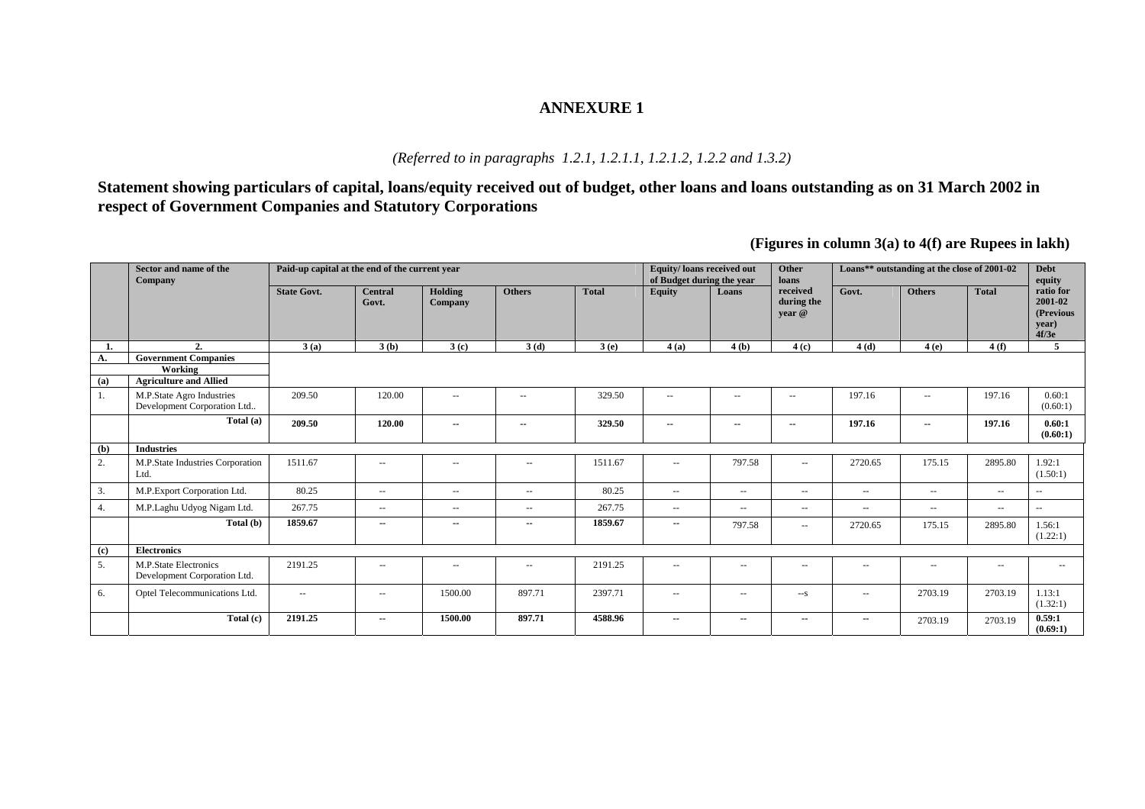#### *(Referred to in paragraphs 1.2.1, 1.2.1.1, 1.2.1.2, 1.2.2 and 1.3.2)*

**Statement showing particulars of capital, loans/equity received out of budget, other loans and loans outstanding as on 31 March 2002 in respect of Government Companies and Statutory Corporations** 

**(Figures in column 3(a) to 4(f) are Rupees in lakh)** 

|           | Sector and name of the<br><b>Company</b>                                | Paid-up capital at the end of the current year |                          |                          |                          |              | Equity/loans received out<br>of Budget during the year |                          | <b>Other</b><br>loans                               |                          | Loans** outstanding at the close of 2001-02 |                          | <b>Debt</b><br>equity                                   |
|-----------|-------------------------------------------------------------------------|------------------------------------------------|--------------------------|--------------------------|--------------------------|--------------|--------------------------------------------------------|--------------------------|-----------------------------------------------------|--------------------------|---------------------------------------------|--------------------------|---------------------------------------------------------|
|           |                                                                         | <b>State Govt.</b>                             | <b>Central</b><br>Govt.  | Holding<br>Company       | <b>Others</b>            | <b>Total</b> | <b>Equity</b>                                          | Loans                    | received<br>during the<br>vear @                    | Govt.                    | <b>Others</b>                               | <b>Total</b>             | ratio for<br>$2001 - 02$<br>(Previous<br>year)<br>4f/3e |
| 1.        | 2.                                                                      | 3(a)                                           | 3(b)                     | 3(c)                     | 3(d)                     | 3(e)         | 4(a)                                                   | 4(b)                     | 4(c)                                                | 4(d)                     | 4(e)                                        | 4(f)                     | 5                                                       |
| А.<br>(a) | <b>Government Companies</b><br>Working<br><b>Agriculture and Allied</b> |                                                |                          |                          |                          |              |                                                        |                          |                                                     |                          |                                             |                          |                                                         |
| 1.        | M.P.State Agro Industries<br>Development Corporation Ltd                | 209.50                                         | 120.00                   | $\sim$ $\sim$            | $\sim$ $\sim$            | 329.50       | $\sim$ $\sim$                                          | $\sim$ $\sim$            | $\hspace{0.05cm} -$                                 | 197.16                   | $\overline{a}$                              | 197.16                   | 0.60:1<br>(0.60:1)                                      |
|           | Total (a)                                                               | 209.50                                         | 120.00                   | $\overline{\phantom{a}}$ | $\overline{\phantom{a}}$ | 329.50       | $\overline{\phantom{a}}$                               | $\sim$                   | $\sim$                                              | 197.16                   | $\overline{\phantom{a}}$                    | 197.16                   | 0.60:1<br>(0.60:1)                                      |
| (b)       | <b>Industries</b>                                                       |                                                |                          |                          |                          |              |                                                        |                          |                                                     |                          |                                             |                          |                                                         |
| 2.        | M.P.State Industries Corporation<br>Ltd.                                | 1511.67                                        | $\sim$ $\sim$            | $\sim$ $\sim$            | $\overline{\phantom{a}}$ | 1511.67      | $\sim$ $\sim$                                          | 797.58                   | $\sim$ $\sim$                                       | 2720.65                  | 175.15                                      | 2895.80                  | 1.92:1<br>(1.50:1)                                      |
| 3.        | M.P.Export Corporation Ltd.                                             | 80.25                                          | $\overline{\phantom{a}}$ | $\hspace{0.05cm} -$      | $\overline{\phantom{a}}$ | 80.25        | $\overline{\phantom{m}}$                               | $\hspace{0.05cm} \ldots$ | $\hspace{0.05cm} -\hspace{0.05cm} -\hspace{0.05cm}$ | $\sim$ $\sim$            | $\overline{\phantom{a}}$                    | $\overline{\phantom{a}}$ | $\sim$ $\sim$                                           |
| 4.        | M.P.Laghu Udyog Nigam Ltd.                                              | 267.75                                         | $\hspace{0.05cm} \ldots$ | $\hspace{0.05cm} -$      | $\overline{\phantom{a}}$ | 267.75       | $\overline{\phantom{a}}$                               | $\sim$                   | $\overline{\phantom{a}}$                            | $\hspace{0.05cm} -$      | $\overline{a}$                              | $\overline{\phantom{a}}$ | $\sim$ $\sim$                                           |
|           | Total (b)                                                               | 1859.67                                        | $\overline{\phantom{a}}$ | $\sim$                   | $\sim$                   | 1859.67      | $\sim$                                                 | 797.58                   | $- -$                                               | 2720.65                  | 175.15                                      | 2895.80                  | 1.56:1<br>(1.22:1)                                      |
| (c)       | <b>Electronics</b>                                                      |                                                |                          |                          |                          |              |                                                        |                          |                                                     |                          |                                             |                          |                                                         |
| 5.        | M.P.State Electronics<br>Development Corporation Ltd.                   | 2191.25                                        | $\sim$ $\sim$            | $\sim$ $\sim$            | $\overline{\phantom{a}}$ | 2191.25      | $\sim$ $\sim$                                          | $\sim$ $\sim$            | $- -$                                               | $\sim$ $\sim$            | $\sim$ $\sim$                               | $\overline{\phantom{a}}$ | $\sim$                                                  |
| 6.        | Optel Telecommunications Ltd.                                           | $\overline{\phantom{a}}$                       | $\overline{\phantom{m}}$ | 1500.00                  | 897.71                   | 2397.71      | $\overline{\phantom{m}}$                               | $\sim$                   | $--s$                                               | $\sim$ $\sim$            | 2703.19                                     | 2703.19                  | 1.13:1<br>(1.32:1)                                      |
|           | Total(c)                                                                | 2191.25                                        | $\overline{\phantom{a}}$ | 1500.00                  | 897.71                   | 4588.96      | $\overline{\phantom{a}}$                               | $\sim$                   | --                                                  | $\overline{\phantom{a}}$ | 2703.19                                     | 2703.19                  | 0.59:1<br>(0.69:1)                                      |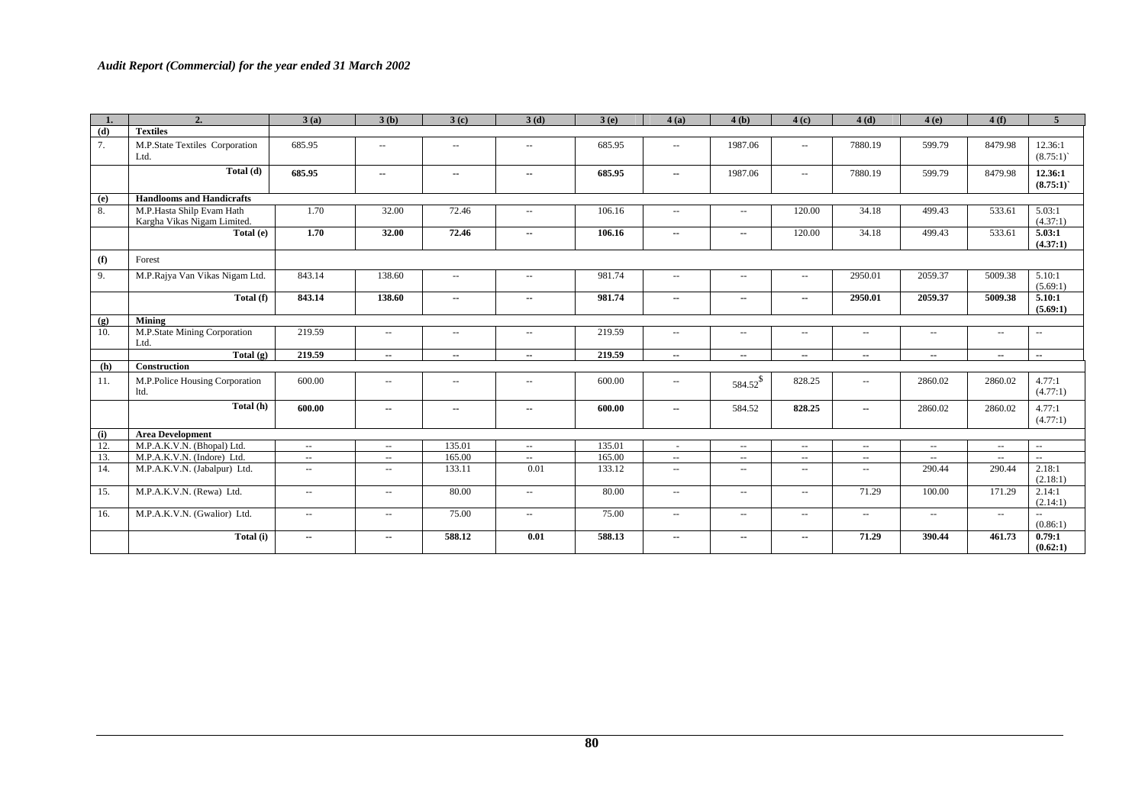| 1.         | 2.                                                       | 3(a)                     | 3(b)                     | 3(c)                     | 3(d)                        | 3(e)   | 4(a)                        | 4(b)                     | 4(c)                     | 4(d)          | 4(e)                     | 4(f)                     | 5 <sup>5</sup>           |
|------------|----------------------------------------------------------|--------------------------|--------------------------|--------------------------|-----------------------------|--------|-----------------------------|--------------------------|--------------------------|---------------|--------------------------|--------------------------|--------------------------|
| (d)        | <b>Textiles</b>                                          |                          |                          |                          |                             |        |                             |                          |                          |               |                          |                          |                          |
| 7.         | M.P.State Textiles Corporation<br>Ltd.                   | 685.95                   | $\overline{\phantom{a}}$ | $\overline{\phantom{a}}$ | $\overline{\phantom{a}}$    | 685.95 | $\sim$ $\sim$               | 1987.06                  | $\hspace{0.05cm} -$      | 7880.19       | 599.79                   | 8479.98                  | 12.36:1<br>(8.75:1)      |
|            | Total (d)                                                | 685.95                   | ۰.                       | ۰.                       | ۰.                          | 685.95 | $\overline{\phantom{a}}$    | 1987.06                  | $\mathbf{u}$             | 7880.19       | 599.79                   | 8479.98                  | 12.36:1<br>(8.75:1)      |
| (e)        | <b>Handlooms and Handicrafts</b>                         |                          |                          |                          |                             |        |                             |                          |                          |               |                          |                          |                          |
| 8.         | M.P.Hasta Shilp Evam Hath<br>Kargha Vikas Nigam Limited. | 1.70                     | 32.00                    | 72.46                    | $\sim$                      | 106.16 | $\sim$ $\sim$               | $- -$                    | 120.00                   | 34.18         | 499.43                   | 533.61                   | 5.03:1<br>(4.37:1)       |
|            | Total (e)                                                | 1.70                     | 32.00                    | 72.46                    | ۰.                          | 106.16 | $\overline{\phantom{a}}$    | $\overline{\phantom{a}}$ | 120.00                   | 34.18         | 499.43                   | 533.61                   | 5.03:1<br>(4.37:1)       |
| (f)        | Forest                                                   |                          |                          |                          |                             |        |                             |                          |                          |               |                          |                          |                          |
| 9.         | M.P.Rajya Van Vikas Nigam Ltd.                           | 843.14                   | 138.60                   | $\overline{\phantom{a}}$ | $\overline{\phantom{a}}$    | 981.74 | $\overline{\phantom{a}}$    | $\overline{\phantom{a}}$ | $\sim$ $\sim$            | 2950.01       | 2059.37                  | 5009.38                  | 5.10:1<br>(5.69:1)       |
|            | Total (f)                                                | 843.14                   | 138.60                   | $\overline{\phantom{a}}$ | ۰.                          | 981.74 | $\overline{\phantom{a}}$    | $\overline{\phantom{a}}$ | $\sim$                   | 2950.01       | 2059.37                  | 5009.38                  | 5.10:1<br>(5.69:1)       |
| (g)        | Mining                                                   |                          |                          |                          |                             |        |                             |                          |                          |               |                          |                          |                          |
| 10.        | M.P.State Mining Corporation<br>Ltd.                     | 219.59                   | $\overline{\phantom{a}}$ | $\overline{\phantom{a}}$ | $\overline{\phantom{a}}$    | 219.59 | $\overline{\phantom{a}}$    | $\overline{a}$           | $\overline{\phantom{a}}$ | $\sim$        | $\overline{\phantom{a}}$ | $\sim$ $\sim$            | $\sim$ $\sim$            |
|            | Total $(g)$                                              | 219.59                   | $\overline{\phantom{a}}$ | ۰.                       | $\overline{\phantom{a}}$    | 219.59 | $\overline{\phantom{a}}$    | $\overline{\phantom{a}}$ | $\overline{\phantom{a}}$ | $\sim$        | ۰.                       | $\overline{\phantom{a}}$ | $\overline{\phantom{a}}$ |
| <b>(h)</b> | <b>Construction</b>                                      |                          |                          |                          |                             |        |                             |                          |                          |               |                          |                          |                          |
| 11.        | M.P.Police Housing Corporation<br>ltd.                   | 600.00                   | $\overline{\phantom{a}}$ | $\overline{\phantom{a}}$ | $\overline{\phantom{a}}$    | 600.00 | $\hspace{0.05cm} -$         | 584.52\$                 | 828.25                   | $\sim$        | 2860.02                  | 2860.02                  | 4.77:1<br>(4.77:1)       |
|            | Total (h)                                                | 600.00                   | $\overline{\phantom{a}}$ | $\overline{\phantom{a}}$ | $\overline{\phantom{a}}$    | 600.00 | $\sim$                      | 584.52                   | 828.25                   | $\sim$        | 2860.02                  | 2860.02                  | 4.77:1<br>(4.77:1)       |
| (i)        | <b>Area Development</b>                                  |                          |                          |                          |                             |        |                             |                          |                          |               |                          |                          |                          |
| 12.        | M.P.A.K.V.N. (Bhopal) Ltd.                               | $\sim$                   | $\sim$                   | 135.01                   | $\sim$ $\sim$               | 135.01 | $\sim$                      | $\sim$ $\sim$            | $\hspace{0.05cm} -$      | $\sim$        | $\overline{\phantom{a}}$ | $\sim$ $\sim$            | $\sim$ $\sim$            |
| 13.        | M.P.A.K.V.N. (Indore) Ltd.                               | $\sim$ $\sim$            | $\sim$ $\sim$            | 165.00                   | $\sim$                      | 165.00 | $\sim$ $\sim$               | $\sim$ $\sim$            | $\hspace{0.05cm} -$      | $\sim$ $\sim$ | $\sim$ $\sim$            | $\sim$ $-$               | $\mathbb{Z}^2$           |
| 14.        | M.P.A.K.V.N. (Jabalpur) Ltd.                             | $\sim$ $\sim$            | $\sim$                   | 133.11                   | 0.01                        | 133.12 | $\mathcal{L}_{\mathcal{F}}$ | $- -$                    | $\hspace{0.05cm} -$      | $\sim$ $\sim$ | 290.44                   | 290.44                   | 2.18:1<br>(2.18:1)       |
| 15.        | M.P.A.K.V.N. (Rewa) Ltd.                                 | $\sim$ $\sim$            | $\sim$                   | 80.00                    | $\mathcal{L}_{\mathcal{A}}$ | 80.00  | $\sim$ $\sim$               | $\sim$ $\sim$            | $\sim$ $\sim$            | 71.29         | 100.00                   | 171.29                   | 2.14:1<br>(2.14:1)       |
| 16.        | M.P.A.K.V.N. (Gwalior) Ltd.                              | $\sim$                   | $\sim$                   | 75.00                    | $\overline{\phantom{a}}$    | 75.00  | $\overline{\phantom{a}}$    | $- -$                    | $\hspace{0.05cm} -$      | $\sim$        | $\overline{\phantom{a}}$ | $\overline{\phantom{a}}$ | $\sim$<br>(0.86:1)       |
|            | Total (i)                                                | $\overline{\phantom{a}}$ | $\sim$                   | 588.12                   | 0.01                        | 588.13 | $\overline{\phantom{a}}$    | ۰.                       | $\overline{\phantom{a}}$ | 71.29         | 390.44                   | 461.73                   | 0.79:1<br>(0.62:1)       |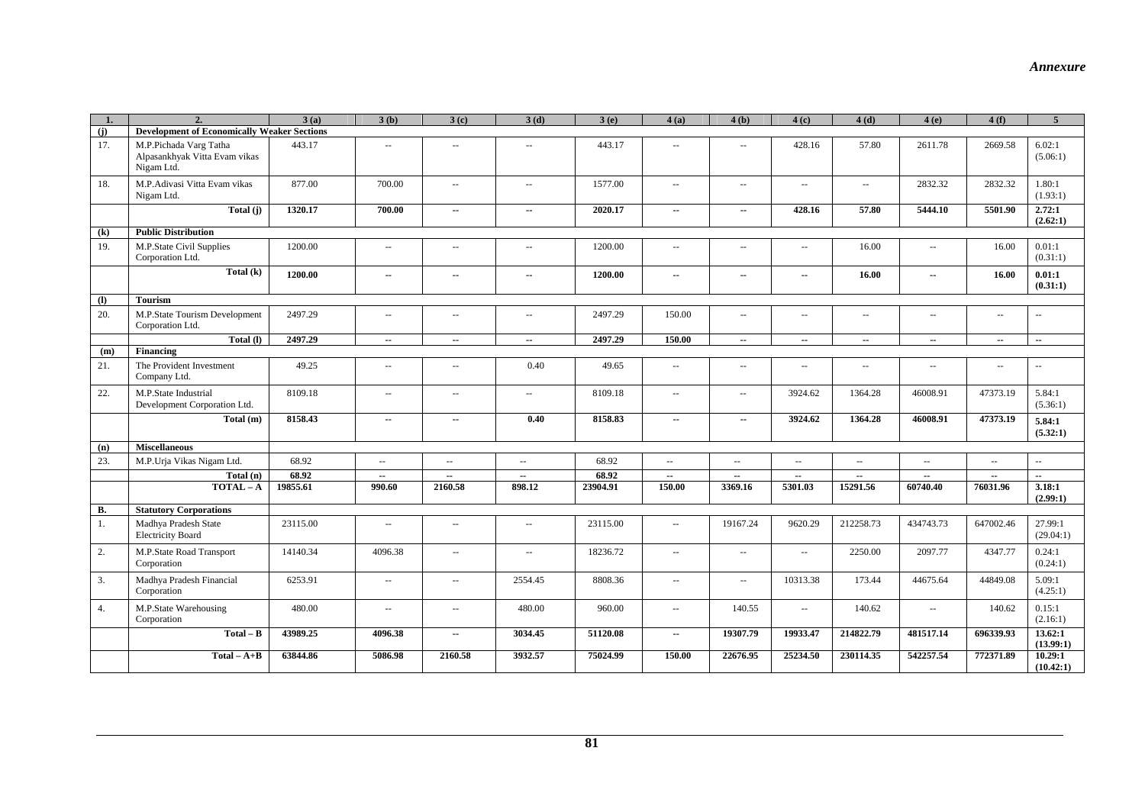| $\mathbf{1}$                | $\overline{2}$                                                        | 3(a)     | 3(b)                     | 3(c)                     | 3(d)                        | 3(e)     | 4(a)                                          | 4(b)                        | 4(c)                     | 4(d)                     | 4(e)                     | 4(f)                     | $\overline{5}$           |
|-----------------------------|-----------------------------------------------------------------------|----------|--------------------------|--------------------------|-----------------------------|----------|-----------------------------------------------|-----------------------------|--------------------------|--------------------------|--------------------------|--------------------------|--------------------------|
| (i)                         | <b>Development of Economically Weaker Sections</b>                    |          |                          |                          |                             |          |                                               |                             |                          |                          |                          |                          |                          |
| 17.                         | M.P.Pichada Varg Tatha<br>Alpasankhyak Vitta Evam vikas<br>Nigam Ltd. | 443.17   | 44                       | $\sim$                   | ÷.                          | 443.17   | $\sim$                                        | $\sim$ $-$                  | 428.16                   | 57.80                    | 2611.78                  | 2669.58                  | 6.02:1<br>(5.06:1)       |
| 18.                         | M.P.Adivasi Vitta Evam vikas<br>Nigam Ltd.                            | 877.00   | 700.00                   | $\sim$                   | $\overline{\phantom{a}}$    | 1577.00  | $\overline{\phantom{a}}$                      | $\sim$ $\sim$               | $\sim$                   | $\overline{\phantom{m}}$ | 2832.32                  | 2832.32                  | 1.80:1<br>(1.93:1)       |
|                             | Total (j)                                                             | 1320.17  | 700.00                   | $\overline{\phantom{a}}$ | $\overline{\phantom{a}}$    | 2020.17  | $\overline{\phantom{a}}$                      | $\sim$                      | 428.16                   | 57.80                    | 5444.10                  | 5501.90                  | 2.72:1<br>(2.62:1)       |
| (k)                         | <b>Public Distribution</b>                                            |          |                          |                          |                             |          |                                               |                             |                          |                          |                          |                          |                          |
| 19.                         | M.P.State Civil Supplies<br>Corporation Ltd.                          | 1200.00  | ÷.                       | $\sim$                   | $\sim$                      | 1200.00  | $\sim$                                        | $\sim$                      | --                       | 16.00                    | $\sim$ $\sim$            | 16.00                    | 0.01:1<br>(0.31:1)       |
|                             | $\overline{\text{Total}}(k)$                                          | 1200.00  | $\overline{\phantom{a}}$ | ٠.                       | ۰.                          | 1200.00  | $\overline{\phantom{a}}$                      | $\overline{\phantom{a}}$    | ۰.                       | 16.00                    | $\overline{\phantom{a}}$ | 16.00                    | 0.01:1<br>(0.31:1)       |
| $\left( \mathbf{I} \right)$ | <b>Tourism</b>                                                        |          |                          |                          |                             |          |                                               |                             |                          |                          |                          |                          |                          |
| 20.                         | M.P.State Tourism Development<br>Corporation Ltd.                     | 2497.29  | ÷.                       | $\sim$                   | $\sim$                      | 2497.29  | 150.00                                        | $\sim$                      | $-$                      | $\sim$                   | $\sim$                   | $\mathbf{u}$             | $\overline{\phantom{a}}$ |
|                             | Total (I)                                                             | 2497.29  | $\overline{\phantom{a}}$ | $\overline{\phantom{a}}$ | $\overline{\phantom{a}}$    | 2497.29  | 150.00                                        | $\overline{\phantom{a}}$    | $\overline{\phantom{a}}$ | $\overline{\phantom{a}}$ | $\overline{\phantom{a}}$ | $\overline{\phantom{a}}$ | $\overline{\phantom{a}}$ |
| (m)                         | Financing                                                             |          |                          |                          |                             |          |                                               |                             |                          |                          |                          |                          |                          |
| 21.                         | The Provident Investment<br>Company Ltd.                              | 49.25    | $\sim$                   | $\sim$                   | 0.40                        | 49.65    | $\sim$ $\sim$                                 | $\sim$ $\sim$               | $\sim$                   | $\sim$ $\sim$            | $\sim$                   | $\sim$                   | $\sim$ $\sim$            |
| 22.                         | M.P.State Industrial<br>Development Corporation Ltd.                  | 8109.18  | $\sim$                   | $\sim$                   | $\mathcal{L}_{\mathcal{F}}$ | 8109.18  | $\sim$ $\sim$                                 | $\mathcal{L}_{\mathcal{A}}$ | 3924.62                  | 1364.28                  | 46008.91                 | 47373.19                 | 5.84:1<br>(5.36:1)       |
|                             | Total (m)                                                             | 8158.43  | $\overline{\phantom{a}}$ | $\overline{\phantom{a}}$ | 0.40                        | 8158.83  | $\overline{\phantom{a}}$                      | $\overline{\phantom{a}}$    | 3924.62                  | 1364.28                  | 46008.91                 | 47373.19                 | 5.84:1<br>(5.32:1)       |
| (n)                         | <b>Miscellaneous</b>                                                  |          |                          |                          |                             |          |                                               |                             |                          |                          |                          |                          |                          |
| 23.                         | M.P. Urja Vikas Nigam Ltd.                                            | 68.92    | $\sim$ $\sim$            | $\sim$ $\sim$            | $\sim$ $\sim$               | 68.92    | $\sim$                                        | $\sim$ $\sim$               | u.                       | $\sim$                   | $\sim$ $\sim$            | $\overline{a}$           | ÷.                       |
|                             | Total(n)                                                              | 68.92    | $\overline{\phantom{a}}$ | $\overline{\phantom{a}}$ | $\overline{\phantom{a}}$    | 68.92    | $\overline{\phantom{a}}$                      | $\overline{\phantom{a}}$    | $\overline{\phantom{a}}$ | $\overline{\phantom{a}}$ | $\overline{\phantom{a}}$ | $\overline{\phantom{a}}$ | $\overline{\phantom{a}}$ |
|                             | $TOTAL - A$                                                           | 19855.61 | 990.60                   | 2160.58                  | 898.12                      | 23904.91 | 150.00                                        | 3369.16                     | 5301.03                  | 15291.56                 | 60740.40                 | 76031.96                 | 3.18:1<br>(2.99:1)       |
| <b>B.</b>                   | <b>Statutory Corporations</b>                                         |          |                          |                          |                             |          |                                               |                             |                          |                          |                          |                          |                          |
| 1.                          | Madhya Pradesh State<br><b>Electricity Board</b>                      | 23115.00 | ă.                       | $\sim$                   | $\mathcal{L}_{\mathcal{F}}$ | 23115.00 | $\mathord{\hspace{1pt}\text{--}\hspace{1pt}}$ | 19167.24                    | 9620.29                  | 212258.73                | 434743.73                | 647002.46                | 27.99:1<br>(29.04:1)     |
| $2.$                        | M.P.State Road Transport<br>Corporation                               | 14140.34 | 4096.38                  | $\sim$                   | $\overline{\phantom{a}}$    | 18236.72 | $\overline{\phantom{a}}$                      | $\sim$ $\sim$               | $\sim$ $\sim$            | 2250.00                  | 2097.77                  | 4347.77                  | 0.24:1<br>(0.24:1)       |
| 3.                          | Madhya Pradesh Financial<br>Corporation                               | 6253.91  | $\overline{\phantom{a}}$ | $\sim$ $\sim$            | 2554.45                     | 8808.36  | $\sim$ $\sim$                                 | $\sim$ $\sim$               | 10313.38                 | 173.44                   | 44675.64                 | 44849.08                 | 5.09:1<br>(4.25:1)       |
| 4.                          | M.P.State Warehousing<br>Corporation                                  | 480.00   | $-$                      | $\overline{\phantom{a}}$ | 480.00                      | 960.00   | $\overline{\phantom{a}}$                      | 140.55                      | $\sim$ $\sim$            | 140.62                   | $\sim$ $\sim$            | 140.62                   | 0.15:1<br>(2.16:1)       |
|                             | $Total - B$                                                           | 43989.25 | 4096.38                  | ٠.                       | 3034.45                     | 51120.08 | $\overline{\phantom{a}}$                      | 19307.79                    | 19933.47                 | 214822.79                | 481517.14                | 696339.93                | 13.62:1<br>(13.99:1)     |
|                             | $Total - A+B$                                                         | 63844.86 | 5086.98                  | 2160.58                  | 3932.57                     | 75024.99 | 150.00                                        | 22676.95                    | 25234.50                 | 230114.35                | 542257.54                | 772371.89                | 10.29:1<br>(10.42:1)     |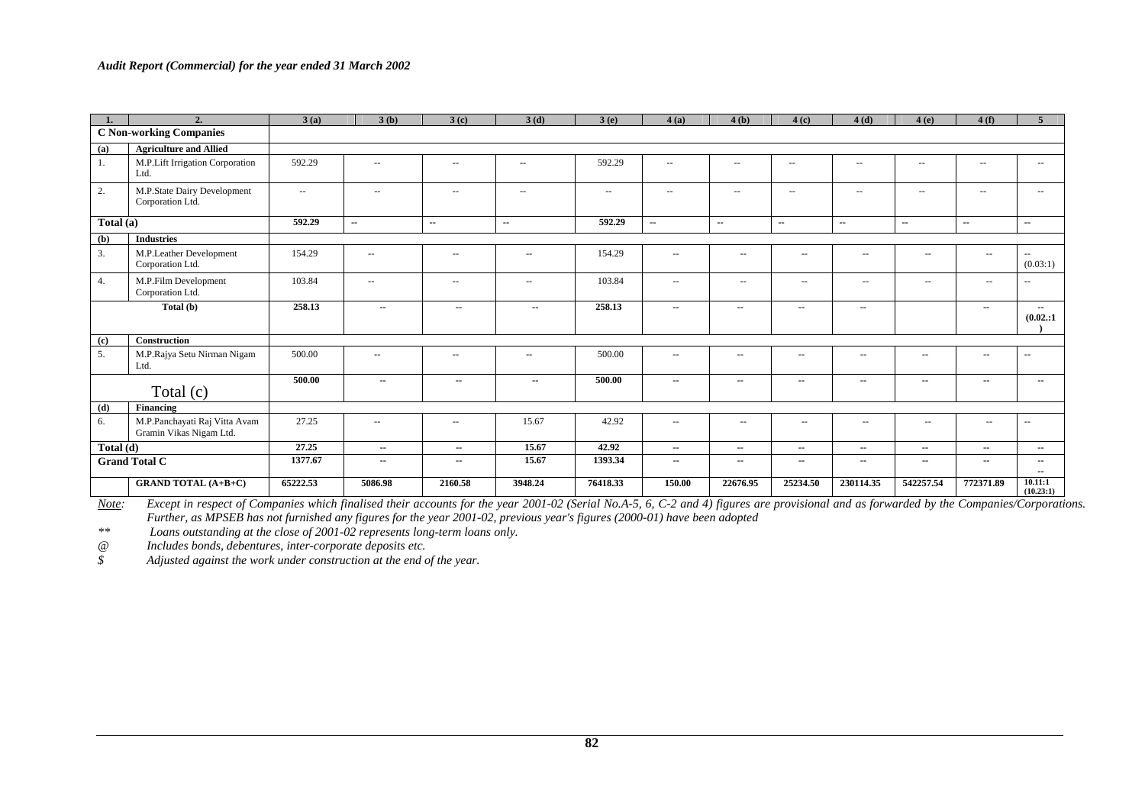|           | 2.                                                       | 3(a)          | 3(b)                     | 3(c)                     | 3(d)                     | 3(e)                | 4(a)                     | 4(b)                     | 4(c)                     | 4(d)                     | 4(e)                     | 4(f)                     | $\overline{5}$                        |
|-----------|----------------------------------------------------------|---------------|--------------------------|--------------------------|--------------------------|---------------------|--------------------------|--------------------------|--------------------------|--------------------------|--------------------------|--------------------------|---------------------------------------|
|           | <b>C Non-working Companies</b>                           |               |                          |                          |                          |                     |                          |                          |                          |                          |                          |                          |                                       |
| (a)       | <b>Agriculture and Allied</b>                            |               |                          |                          |                          |                     |                          |                          |                          |                          |                          |                          |                                       |
| 1.        | M.P.Lift Irrigation Corporation<br>Ltd.                  | 592.29        | $\overline{\phantom{a}}$ | $\overline{\phantom{a}}$ | $\sim$                   | 592.29              | $\overline{\phantom{a}}$ | $\overline{\phantom{a}}$ | $\sim$ $\sim$            | $\sim$ $\sim$            | $\sim$                   | $\sim$ $\sim$            | $\hspace{0.05cm} -$                   |
| 2.        | M.P.State Dairy Development<br>Corporation Ltd.          | $\sim$ $\sim$ | $\sim$ $-$               | $\sim$ $\sim$            | $\sim$                   | $\sim$ $\sim$       | $\overline{\phantom{a}}$ | $\sim$ $\sim$            | $\sim$ $\sim$            | $\sim$ $\sim$            | $\sim$                   | $\sim$ $\sim$            | $\sim$ $\sim$                         |
| Total (a) |                                                          | 592.29        | $\overline{\phantom{a}}$ | $\sim$                   | $\sim$                   | $\overline{592.29}$ | $\overline{\phantom{a}}$ | $\sim$                   | $\sim$                   | ۰.                       | $\overline{\phantom{a}}$ | $\sim$                   | $\overline{\phantom{a}}$              |
| (b)       | <b>Industries</b>                                        |               |                          |                          |                          |                     |                          |                          |                          |                          |                          |                          |                                       |
| 3.        | M.P.Leather Development<br>Corporation Ltd.              | 154.29        | $\overline{\phantom{a}}$ | $\overline{\phantom{a}}$ | $\sim$ $\sim$            | 154.29              | $\hspace{0.05cm} \ldots$ | $\sim$ $\sim$            | $\sim$ $\sim$            | $\overline{\phantom{a}}$ | $\overline{\phantom{a}}$ | $\sim$                   | $\overline{\phantom{a}}$<br>(0.03:1)  |
| 4.        | M.P.Film Development<br>Corporation Ltd.                 | 103.84        | $\sim$ $\sim$            | $\overline{\phantom{a}}$ | $\sim$                   | 103.84              | $\sim$ $\sim$            | $\sim$ $\sim$            | $\sim$ $\sim$            | $\sim$ $\sim$            | $\overline{\phantom{a}}$ | $\sim$ $\sim$            | $\hspace{0.05cm} -$                   |
|           | Total (b)                                                | 258.13        | $\overline{\phantom{a}}$ | ۰.                       | $\overline{\phantom{a}}$ | 258.13              | $\overline{\phantom{a}}$ | $\overline{\phantom{a}}$ | $\overline{\phantom{a}}$ | $\overline{\phantom{a}}$ |                          | $\overline{\phantom{a}}$ | $\overline{\phantom{a}}$<br>(0.02::1) |
| (c)       | <b>Construction</b>                                      |               |                          |                          |                          |                     |                          |                          |                          |                          |                          |                          |                                       |
| 5.        | M.P.Rajya Setu Nirman Nigam<br>Ltd.                      | 500.00        | $\sim$ $-$               | $- -$                    | $\sim$ $\sim$            | 500.00              | $\sim$ $\sim$            | $\hspace{0.05cm} \ldots$ | $\overline{\phantom{a}}$ | $\overline{\phantom{m}}$ | $- -$                    | $\sim$                   | $\hspace{0.05cm} -$                   |
|           | Total $(c)$                                              | 500.00        | ۰.                       |                          | $\overline{\phantom{a}}$ | 500.00              | $\sim$ $\sim$            | --                       | $\overline{\phantom{a}}$ | $\sim$                   | --                       | $\overline{\phantom{a}}$ | $\overline{\phantom{a}}$              |
| (d)       | Financing                                                |               |                          |                          |                          |                     |                          |                          |                          |                          |                          |                          |                                       |
| 6.        | M.P.Panchayati Raj Vitta Avam<br>Gramin Vikas Nigam Ltd. | 27.25         | $\overline{\phantom{a}}$ | $\overline{\phantom{a}}$ | 15.67                    | 42.92               | $\sim$ $\sim$            | $\sim$ $\sim$            | $\sim$ $\sim$            | $\sim$ $-$               | $\sim$                   | $\sim$ $\sim$            | $\sim$                                |
| Total (d) |                                                          | 27.25         | $\overline{\phantom{a}}$ |                          | 15.67                    | 42.92               | $\sim$                   | ⊷                        | $\sim$                   | $\sim$                   | $- -$                    | ۰.                       | $\sim$                                |
|           | <b>Grand Total C</b>                                     | 1377.67       | $\overline{\phantom{a}}$ | $\overline{\phantom{a}}$ | 15.67                    | 1393.34             | $- -$                    | $\sim$ $-$               | $\sim$                   | $\sim$                   | $\sim$                   | ۰.                       | $\sim$<br>$\sim$                      |
|           | <b>GRAND TOTAL (A+B+C)</b>                               | 65222.53      | 5086.98                  | 2160.58                  | 3948.24                  | 76418.33            | 150.00                   | 22676.95                 | 25234.50                 | 230114.35                | 542257.54                | 772371.89                | 10.11:1<br>(10.23:1)                  |

*Note: Except in respect of Companies which finalised their accounts for the year 2001-02 (Serial No.A-5, 6, C-2 and 4) figures are provisional and as forwarded by the Companies/Corporations. Further, as MPSEB has not furnished any figures for the year 2001-02, previous year's figures (2000-01) have been adopted* 

*\*\* Loans outstanding at the close of 2001-02 represents long-term loans only.* 

*@ Includes bonds, debentures, inter-corporate deposits etc.* 

*\$ Adjusted against the work under construction at the end of the year.*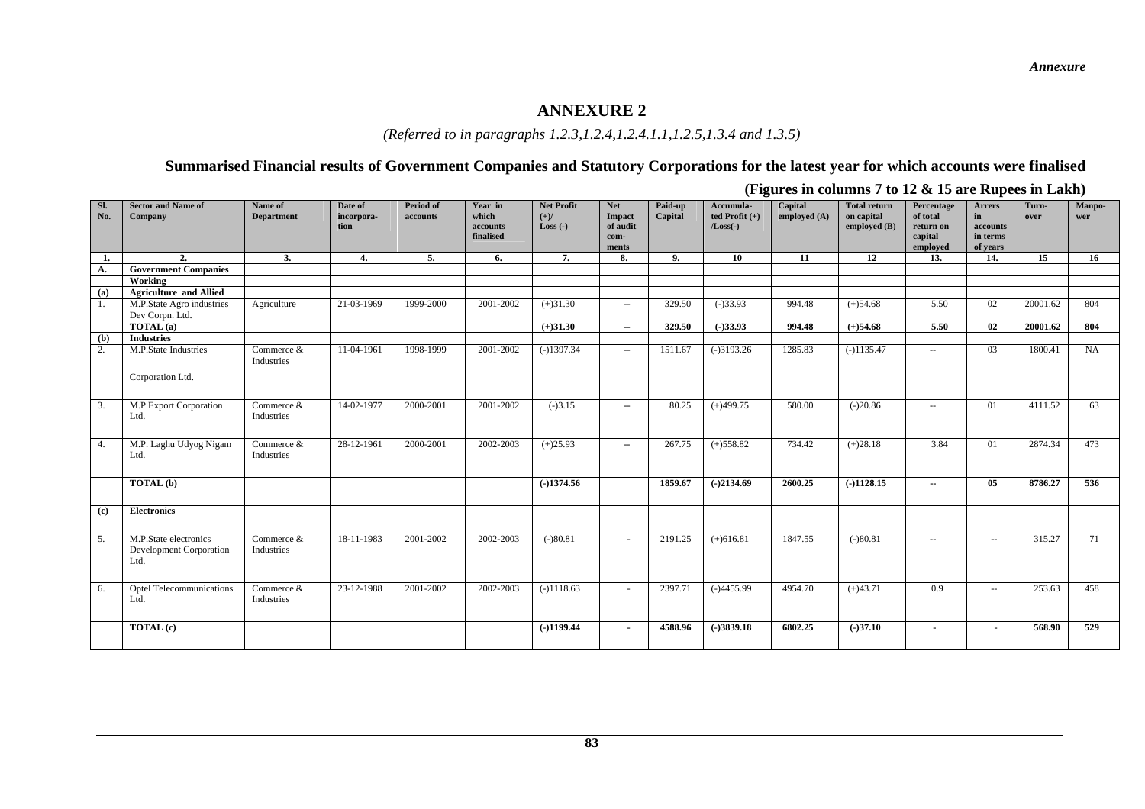#### *(Referred to in paragraphs 1.2.3,1.2.4,1.2.4.1.1,1.2.5,1.3.4 and 1.3.5)*

#### **Summarised Financial results of Government Companies and Statutory Corporations for the latest year for which accounts were finalised**

|            |                                                          |                              |                               |                              |                                           |                                           |                                                   |                    | $\sim$<br>$\overline{ }$                    |                         |                                                   |                                                            | - 10                                                    |               | $\overline{\phantom{a}}$ |
|------------|----------------------------------------------------------|------------------------------|-------------------------------|------------------------------|-------------------------------------------|-------------------------------------------|---------------------------------------------------|--------------------|---------------------------------------------|-------------------------|---------------------------------------------------|------------------------------------------------------------|---------------------------------------------------------|---------------|--------------------------|
| Sl.<br>No. | <b>Sector and Name of</b><br>Company                     | Name of<br><b>Department</b> | Date of<br>incorpora-<br>tion | <b>Period of</b><br>accounts | Year in<br>which<br>accounts<br>finalised | <b>Net Profit</b><br>$(+)/$<br>Loss $(-)$ | <b>Net</b><br>Impact<br>of audit<br>com-<br>ments | Paid-up<br>Capital | Accumula-<br>ted Profit $(+)$<br>$/Loss(-)$ | Capital<br>employed (A) | <b>Total return</b><br>on capital<br>employed (B) | Percentage<br>of total<br>return on<br>capital<br>employed | <b>Arrers</b><br>in<br>accounts<br>in terms<br>of years | Turn-<br>over | Manpo-<br>wer            |
| 1.         | 2.                                                       | 3.                           | 4.                            | 5.                           | 6.                                        | 7.                                        | 8.                                                | 9.                 | 10                                          | 11                      | 12                                                | 13.                                                        | 14.                                                     | 15            | 16                       |
| A.         | <b>Government Companies</b>                              |                              |                               |                              |                                           |                                           |                                                   |                    |                                             |                         |                                                   |                                                            |                                                         |               |                          |
|            | Working                                                  |                              |                               |                              |                                           |                                           |                                                   |                    |                                             |                         |                                                   |                                                            |                                                         |               |                          |
| (a)        | <b>Agriculture and Allied</b>                            |                              |                               |                              |                                           |                                           |                                                   |                    |                                             |                         |                                                   |                                                            |                                                         |               |                          |
| Ι.         | M.P.State Agro industries                                | Agriculture                  | 21-03-1969                    | 1999-2000                    | 2001-2002                                 | $(+)31.30$                                | $\sim$ $\sim$                                     | 329.50             | $(-)33.93$                                  | 994.48                  | $(+)54.68$                                        | 5.50                                                       | 02                                                      | 20001.62      | 804                      |
|            | Dev Corpn. Ltd.                                          |                              |                               |                              |                                           |                                           |                                                   |                    |                                             |                         |                                                   |                                                            |                                                         |               |                          |
|            | $\overline{TOTAL(a)}$                                    |                              |                               |                              |                                           | $(+)31.30$                                | $\overline{\phantom{a}}$                          | 329.50             | $(-)33.93$                                  | 994.48                  | $(+)54.68$                                        | 5.50                                                       | 02                                                      | 20001.62      | 804                      |
| (b)        | <b>Industries</b>                                        |                              |                               |                              |                                           |                                           |                                                   |                    |                                             |                         |                                                   |                                                            |                                                         |               |                          |
| 2.         | M.P.State Industries                                     | Commerce &<br>Industries     | 11-04-1961                    | 1998-1999                    | 2001-2002                                 | $(-)1397.34$                              | $\sim$ $\sim$                                     | 1511.67            | $(-)3193.26$                                | 1285.83                 | $(-)1135.47$                                      | $\sim$ $\sim$                                              | 03                                                      | 1800.41       | NA                       |
|            | Corporation Ltd.                                         |                              |                               |                              |                                           |                                           |                                                   |                    |                                             |                         |                                                   |                                                            |                                                         |               |                          |
| 3.         | M.P.Export Corporation<br>Ltd.                           | Commerce &<br>Industries     | 14-02-1977                    | 2000-2001                    | 2001-2002                                 | $(-)3.15$                                 | $\sim$ $\sim$                                     | 80.25              | $(+)499.75$                                 | 580.00                  | $(-)20.86$                                        | $\sim$ $\sim$                                              | 01                                                      | 4111.52       | 63                       |
| 4.         | M.P. Laghu Udyog Nigam<br>Ltd.                           | Commerce &<br>Industries     | 28-12-1961                    | $\overline{2000}$ -2001      | 2002-2003                                 | $(+)25.93$                                | $\sim$                                            | 267.75             | $(+)558.82$                                 | 734.42                  | $(+)28.18$                                        | 3.84                                                       | 01                                                      | 2874.34       | 473                      |
|            | TOTAL (b)                                                |                              |                               |                              |                                           | $(-)1374.56$                              |                                                   | 1859.67            | $(-)2134.69$                                | 2600.25                 | $(-)1128.15$                                      | $\overline{\phantom{a}}$                                   | 05                                                      | 8786.27       | 536                      |
| (c)        | <b>Electronics</b>                                       |                              |                               |                              |                                           |                                           |                                                   |                    |                                             |                         |                                                   |                                                            |                                                         |               |                          |
| 5.         | M.P.State electronics<br>Development Corporation<br>Ltd. | Commerce &<br>Industries     | 18-11-1983                    | 2001-2002                    | 2002-2003                                 | $(-)80.81$                                | $\sim$                                            | 2191.25            | $(+)616.81$                                 | 1847.55                 | $(-)80.81$                                        | $\sim$                                                     | $\overline{\phantom{a}}$                                | 315.27        | 71                       |
| 6.         | <b>Optel Telecommunications</b><br>Ltd.                  | Commerce &<br>Industries     | 23-12-1988                    | 2001-2002                    | 2002-2003                                 | $(-)1118.63$                              | $\sim$                                            | 2397.71            | $(-)4455.99$                                | 4954.70                 | $(+)43.71$                                        | 0.9                                                        | $\overline{\phantom{a}}$                                | 253.63        | 458                      |
|            | TOTAL (c)                                                |                              |                               |                              |                                           | $(-)1199.44$                              | $\overline{\phantom{a}}$                          | 4588.96            | $(-)3839.18$                                | 6802.25                 | $(-)37.10$                                        | $\blacksquare$                                             | $\overline{\phantom{a}}$                                | 568.90        | 529                      |

**(Figures in columns 7 to 12 & 15 are Rupees in Lakh)**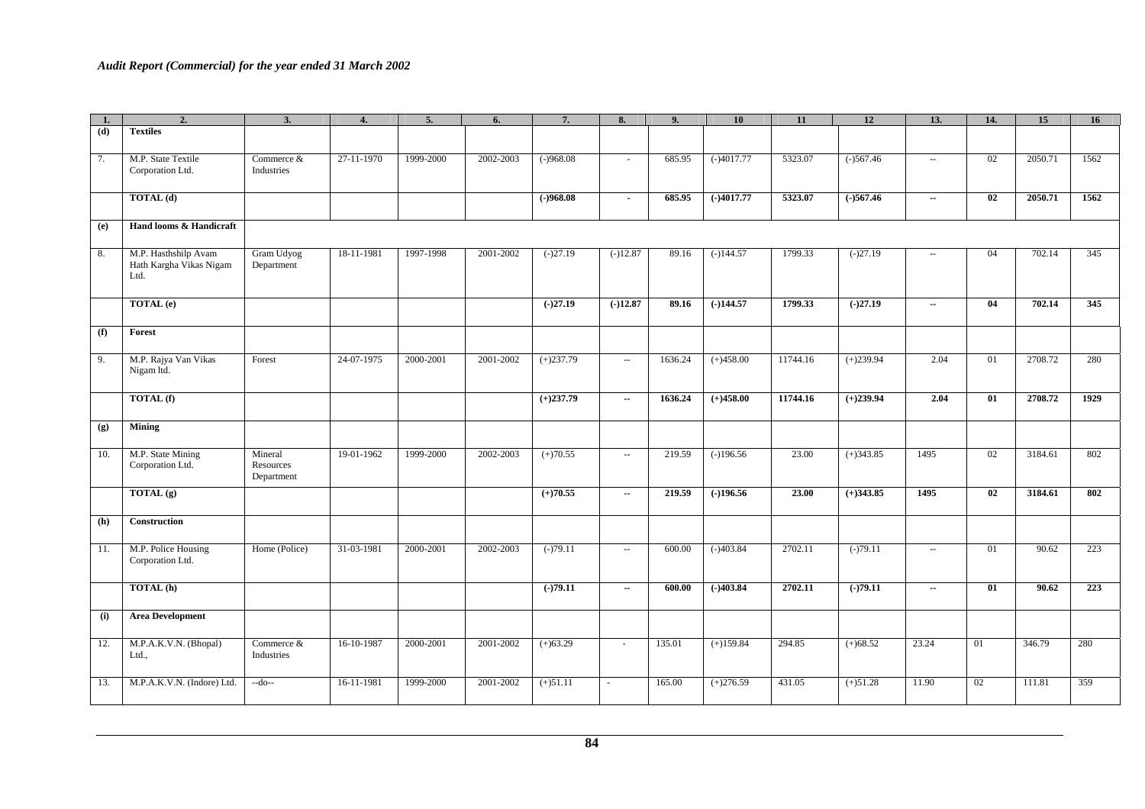| 1.  | 2.                                                      | 3.                                 | 4.         | 5.        | 6.            | 7.          | 8.                       | 9.      | 10           | 11       | 12          | 13.                      | 14. | 15      | 16   |
|-----|---------------------------------------------------------|------------------------------------|------------|-----------|---------------|-------------|--------------------------|---------|--------------|----------|-------------|--------------------------|-----|---------|------|
| (d) | <b>Textiles</b>                                         |                                    |            |           |               |             |                          |         |              |          |             |                          |     |         |      |
| 7.  | M.P. State Textile<br>Corporation Ltd.                  | Commerce &<br>Industries           | 27-11-1970 | 1999-2000 | 2002-2003     | $(-)968.08$ | $\sim$                   | 685.95  | $(-)4017.77$ | 5323.07  | $(-)567.46$ | $\sim$ $\sim$            | 02  | 2050.71 | 1562 |
|     | <b>TOTAL</b> (d)                                        |                                    |            |           |               | $(-)968.08$ | $\blacksquare$           | 685.95  | $(-)4017.77$ | 5323.07  | $(-)567.46$ | $\overline{\phantom{a}}$ | 02  | 2050.71 | 1562 |
| (e) | Hand looms & Handicraft                                 |                                    |            |           |               |             |                          |         |              |          |             |                          |     |         |      |
| 8.  | M.P. Hasthshilp Avam<br>Hath Kargha Vikas Nigam<br>Ltd. | Gram Udyog<br>Department           | 18-11-1981 | 1997-1998 | 2001-2002     | $(-)27.19$  | $(-)12.87$               | 89.16   | $(-)144.57$  | 1799.33  | $(-)27.19$  | $\sim$ $-$               | 04  | 702.14  | 345  |
|     | TOTAL (e)                                               |                                    |            |           |               | $(-)27.19$  | $(-)12.87$               | 89.16   | $(-)144.57$  | 1799.33  | $(-)27.19$  | $\sim$                   | 04  | 702.14  | 345  |
| (f) | Forest                                                  |                                    |            |           |               |             |                          |         |              |          |             |                          |     |         |      |
| 9.  | M.P. Rajya Van Vikas<br>Nigam ltd.                      | Forest                             | 24-07-1975 | 2000-2001 | 2001-2002     | $(+)237.79$ | $\sim$ $\sim$            | 1636.24 | $(+)458.00$  | 11744.16 | $(+)239.94$ | 2.04                     | 01  | 2708.72 | 280  |
|     | <b>TOTAL</b> (f)                                        |                                    |            |           |               | $(+)237.79$ | $\sim$                   | 1636.24 | $(+)458.00$  | 11744.16 | $(+)239.94$ | 2.04                     | 01  | 2708.72 | 1929 |
| (g) | <b>Mining</b>                                           |                                    |            |           |               |             |                          |         |              |          |             |                          |     |         |      |
| 10. | M.P. State Mining<br>Corporation Ltd.                   | Mineral<br>Resources<br>Department | 19-01-1962 | 1999-2000 | 2002-2003     | $(+)70.55$  | $\sim$                   | 219.59  | $(-)196.56$  | 23.00    | $(+)343.85$ | 1495                     | 02  | 3184.61 | 802  |
|     | TOTAL (g)                                               |                                    |            |           |               | $(+)70.55$  | $\sim$                   | 219.59  | $(-)196.56$  | 23.00    | $(+)343.85$ | 1495                     | 02  | 3184.61 | 802  |
| (h) | Construction                                            |                                    |            |           |               |             |                          |         |              |          |             |                          |     |         |      |
| 11. | M.P. Police Housing<br>Corporation Ltd.                 | Home (Police)                      | 31-03-1981 | 2000-2001 | $2002 - 2003$ | $(-)79.11$  | $\sim$                   | 600.00  | $(-)403.84$  | 2702.11  | $(-)79.11$  | $\sim$ $\sim$            | 01  | 90.62   | 223  |
|     | TOTAL (h)                                               |                                    |            |           |               | $(-)79.11$  | $\overline{\phantom{a}}$ | 600.00  | $(-)403.84$  | 2702.11  | $(-)79.11$  | $\overline{\phantom{a}}$ | 01  | 90.62   | 223  |
| (i) | <b>Area Development</b>                                 |                                    |            |           |               |             |                          |         |              |          |             |                          |     |         |      |
| 12. | M.P.A.K.V.N. (Bhopal)<br>Ltd.,                          | Commerce &<br>Industries           | 16-10-1987 | 2000-2001 | 2001-2002     | $(+)63.29$  | $\sim$                   | 135.01  | $(+)159.84$  | 294.85   | $(+)68.52$  | 23.24                    | 01  | 346.79  | 280  |
| 13. | M.P.A.K.V.N. (Indore) Ltd.                              | $-do-$                             | 16-11-1981 | 1999-2000 | 2001-2002     | $(+)51.11$  |                          | 165.00  | $(+)276.59$  | 431.05   | $(+)51.28$  | 11.90                    | 02  | 111.81  | 359  |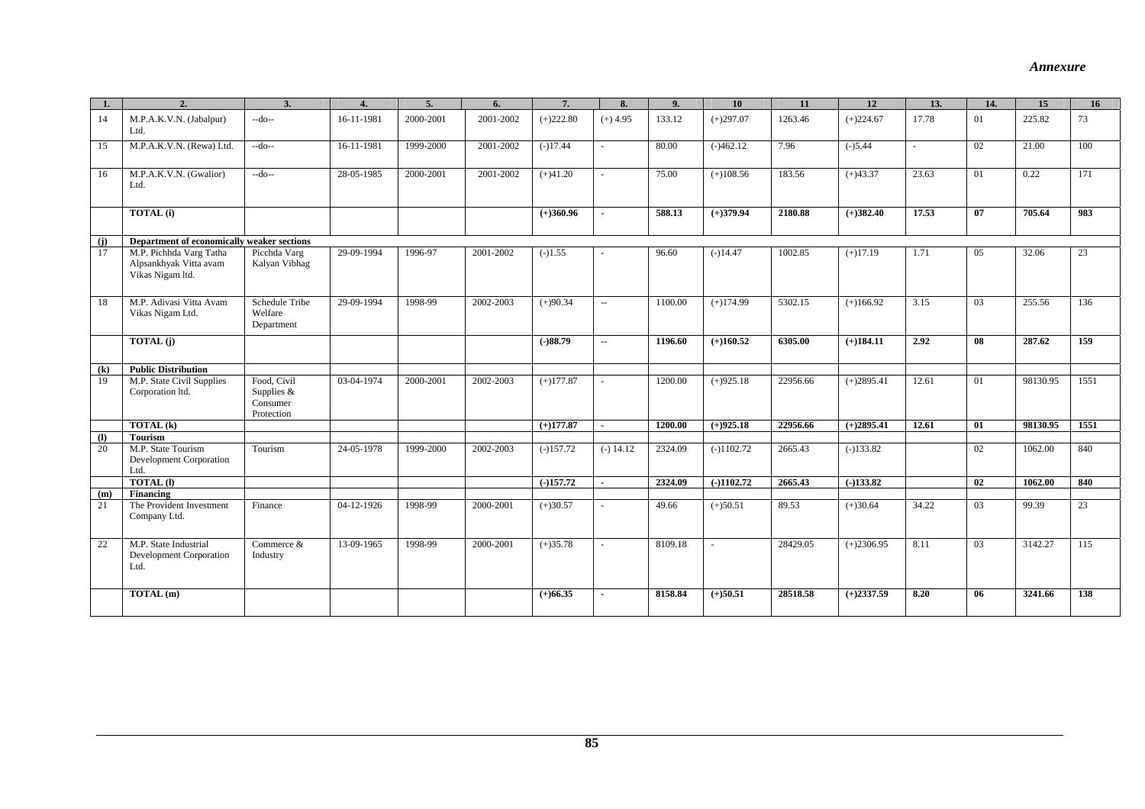#### *Annexure*

|          | $\overline{2}$                                                        | 3.                                                  | $\overline{4}$ . | 5.        | 6.        | 7.          | 8.                       | 9.      | 10           | 11       | 12           | 13.    | 14. | 15       | 16   |
|----------|-----------------------------------------------------------------------|-----------------------------------------------------|------------------|-----------|-----------|-------------|--------------------------|---------|--------------|----------|--------------|--------|-----|----------|------|
| 14       | M.P.A.K.V.N. (Jabalpur)<br>Ltd.                                       | $-do-$                                              | 16-11-1981       | 2000-2001 | 2001-2002 | $(+)222.80$ | $(+)$ 4.95               | 133.12  | $(+)297.07$  | 1263.46  | $(+)224.67$  | 17.78  | 01  | 225.82   | 73   |
| 15       | M.P.A.K.V.N. (Rewa) Ltd.                                              | $-do-$                                              | 16-11-1981       | 1999-2000 | 2001-2002 | $(-)17.44$  | $\sim$                   | 80.00   | $(-)462.12$  | 7.96     | $(-)5.44$    | $\sim$ | 02  | 21.00    | 100  |
| 16       | M.P.A.K.V.N. (Gwalior)<br>Ltd.                                        | $-do-$                                              | 28-05-1985       | 2000-2001 | 2001-2002 | $(+)41.20$  | $\sim$                   | 75.00   | $(+)108.56$  | 183.56   | $(+)43.37$   | 23.63  | 01  | 0.22     | 171  |
|          | <b>TOTAL</b> (i)                                                      |                                                     |                  |           |           | $(+)360.96$ | $\blacksquare$           | 588.13  | $(+)379.94$  | 2180.88  | $(+)382.40$  | 17.53  | 07  | 705.64   | 983  |
| (i)      | Department of economically weaker sections                            |                                                     |                  |           |           |             |                          |         |              |          |              |        |     |          |      |
| 17       | M.P. Pichhda Varg Tatha<br>Alpsankhyak Vitta avam<br>Vikas Nigam ltd. | Picchda Varg<br>Kalyan Vibhag                       | 29-09-1994       | 1996-97   | 2001-2002 | $(-)1.55$   |                          | 96.60   | $(-)14.47$   | 1002.85  | $(+)17.19$   | 1.71   | 05  | 32.06    | 23   |
| 18       | M.P. Adivasi Vitta Avam<br>Vikas Nigam Ltd.                           | Schedule Tribe<br>Welfare<br>Department             | 29-09-1994       | 1998-99   | 2002-2003 | $(+)90.34$  | $\sim$ $\sim$            | 1100.00 | $(+)174.99$  | 5302.15  | $(+)166.92$  | 3.15   | 03  | 255.56   | 136  |
|          | <b>TOTAL</b> (j)                                                      |                                                     |                  |           |           | $(-)88.79$  | $\overline{\phantom{a}}$ | 1196.60 | $(+)160.52$  | 6305.00  | $(+)184.11$  | 2.92   | 08  | 287.62   | 159  |
| (k)      | <b>Public Distribution</b>                                            |                                                     |                  |           |           |             |                          |         |              |          |              |        |     |          |      |
| 19       | M.P. State Civil Supplies<br>Corporation ltd.                         | Food, Civil<br>Supplies &<br>Consumer<br>Protection | 03-04-1974       | 2000-2001 | 2002-2003 | $(+)177.87$ | $\sim$                   | 1200.00 | $(+)925.18$  | 22956.66 | $(+)2895.41$ | 12.61  | 01  | 98130.95 | 1551 |
|          | TOTAL (k)                                                             |                                                     |                  |           |           | $(+)177.87$ | $\sim$                   | 1200.00 | $(+)925.18$  | 22956.66 | $(+)2895.41$ | 12.61  | 01  | 98130.95 | 1551 |
| $\bf{r}$ | Tourism                                                               |                                                     |                  |           |           |             |                          |         |              |          |              |        |     |          |      |
| 20       | M.P. State Tourism<br>Development Corporation<br>Ltd.                 | Tourism                                             | 24-05-1978       | 1999-2000 | 2002-2003 | $(-)157.72$ | $(-) 14.12$              | 2324.09 | $(-)1102.72$ | 2665.43  | $(-)133.82$  |        | 02  | 1062.00  | 840  |
|          | <b>TOTAL</b> (I)                                                      |                                                     |                  |           |           | $(-)157.72$ | $\sim$                   | 2324.09 | $(-)1102.72$ | 2665.43  | $(-)133.82$  |        | 02  | 1062.00  | 840  |
| (m)      | <b>Financing</b>                                                      |                                                     |                  |           |           |             |                          |         |              |          |              |        |     |          |      |
| 21       | The Provident Investment<br>Company Ltd.                              | Finance                                             | 04-12-1926       | 1998-99   | 2000-2001 | $(+)30.57$  |                          | 49.66   | $(+)50.51$   | 89.53    | $(+)30.64$   | 34.22  | 03  | 99.39    | 23   |
| 22       | M.P. State Industrial<br><b>Development Corporation</b><br>Ltd.       | Commerce &<br>Industry                              | 13-09-1965       | 1998-99   | 2000-2001 | $(+)35.78$  |                          | 8109.18 |              | 28429.05 | $(+)2306.95$ | 8.11   | 03  | 3142.27  | 115  |
|          | TOTAL (m)                                                             |                                                     |                  |           |           | $(+)66.35$  |                          | 8158.84 | $(+)50.51$   | 28518.58 | $(+)2337.59$ | 8.20   | 06  | 3241.66  | 138  |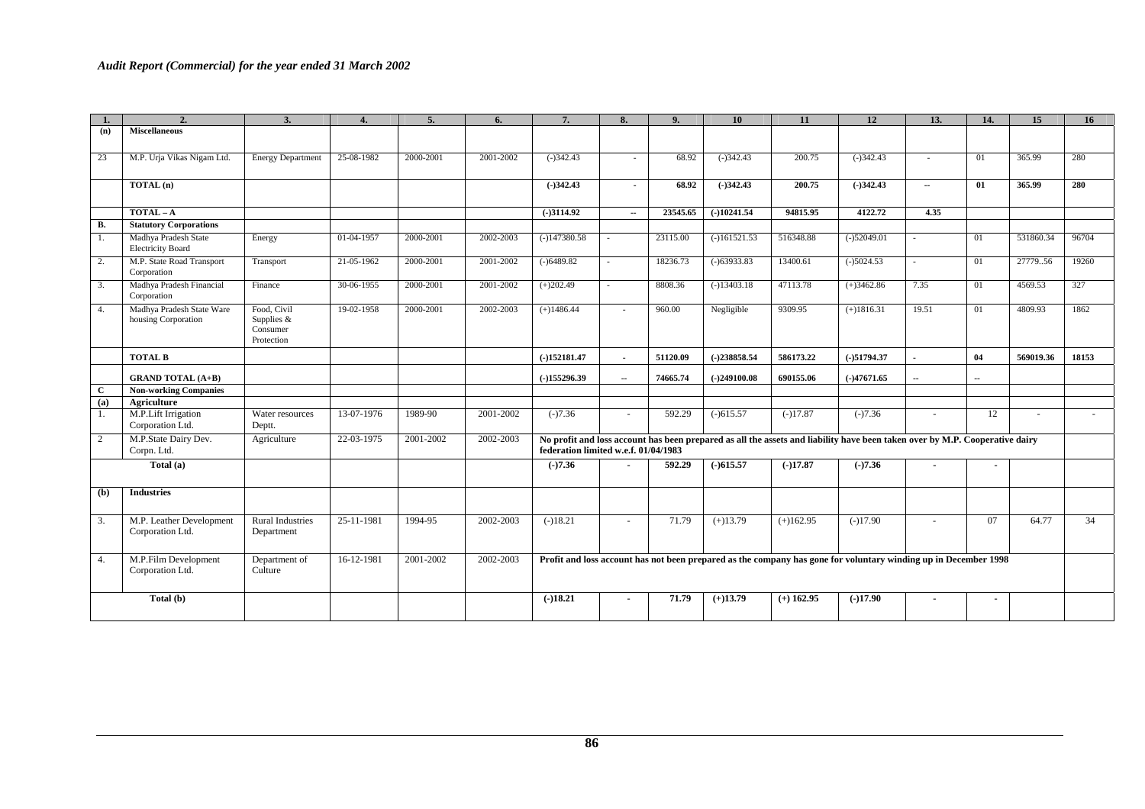|              | 2.                                               | 3.                                                  | 4.         | 5.        | 6.        | 7.                                                                                                              | 8.             | 9.       | 10             | 11           | 12                                                                                                                          | 13.                      | 14.            | 15        | 16     |
|--------------|--------------------------------------------------|-----------------------------------------------------|------------|-----------|-----------|-----------------------------------------------------------------------------------------------------------------|----------------|----------|----------------|--------------|-----------------------------------------------------------------------------------------------------------------------------|--------------------------|----------------|-----------|--------|
| (n)          | <b>Miscellaneous</b>                             |                                                     |            |           |           |                                                                                                                 |                |          |                |              |                                                                                                                             |                          |                |           |        |
| 23           | M.P. Urja Vikas Nigam Ltd.                       | <b>Energy Department</b>                            | 25-08-1982 | 2000-2001 | 2001-2002 | $(-)342.43$                                                                                                     |                | 68.92    | $(-)342.43$    | 200.75       | $(-)342.43$                                                                                                                 | $\sim$                   | 01             | 365.99    | 280    |
|              | TOTAL (n)                                        |                                                     |            |           |           | $(-)342.43$                                                                                                     |                | 68.92    | $(-)342.43$    | 200.75       | $(-)342.43$                                                                                                                 | $\overline{\phantom{a}}$ | 01             | 365.99    | 280    |
|              | $TOTAL-A$                                        |                                                     |            |           |           | $(-)3114.92$                                                                                                    | $\sim$         | 23545.65 | $(-)10241.54$  | 94815.95     | 4122.72                                                                                                                     | 4.35                     |                |           |        |
| <b>B.</b>    | <b>Statutory Corporations</b>                    |                                                     |            |           |           |                                                                                                                 |                |          |                |              |                                                                                                                             |                          |                |           |        |
| 1.           | Madhya Pradesh State<br><b>Electricity Board</b> | Energy                                              | 01-04-1957 | 2000-2001 | 2002-2003 | $(-)147380.58$                                                                                                  |                | 23115.00 | $(-)161521.53$ | 516348.88    | $(-)52049.01$                                                                                                               | $\sim$                   | 01             | 531860.34 | 96704  |
| 2.           | M.P. State Road Transport<br>Corporation         | Transport                                           | 21-05-1962 | 2000-2001 | 2001-2002 | $(-)6489.82$                                                                                                    |                | 18236.73 | $(-)63933.83$  | 13400.61     | $(-)5024.53$                                                                                                                | ×.                       | 01             | 2777956   | 19260  |
| 3.           | Madhya Pradesh Financial<br>Corporation          | Finance                                             | 30-06-1955 | 2000-2001 | 2001-2002 | $(+)202.49$                                                                                                     |                | 8808.36  | $(-)13403.18$  | 47113.78     | $(+)3462.86$                                                                                                                | 7.35                     | 01             | 4569.53   | 327    |
| 4.           | Madhya Pradesh State Ware<br>housing Corporation | Food, Civil<br>Supplies &<br>Consumer<br>Protection | 19-02-1958 | 2000-2001 | 2002-2003 | $(+)1486.44$                                                                                                    | $\sim$         | 960.00   | Negligible     | 9309.95      | $(+)1816.31$                                                                                                                | 19.51                    | 01             | 4809.93   | 1862   |
|              | <b>TOTAL B</b>                                   |                                                     |            |           |           | $(-)152181.47$                                                                                                  | $\sim$         | 51120.09 | $(-)238858.54$ | 586173.22    | $(-)51794.37$                                                                                                               | $\blacksquare$           | 04             | 569019.36 | 18153  |
|              | <b>GRAND TOTAL (A+B)</b>                         |                                                     |            |           |           | $(-)155296.39$                                                                                                  | $\sim$         | 74665.74 | $(-)249100.08$ | 690155.06    | $(-)47671.65$                                                                                                               | $\overline{\phantom{a}}$ | $\sim$         |           |        |
| $\mathbf{C}$ | <b>Non-working Companies</b>                     |                                                     |            |           |           |                                                                                                                 |                |          |                |              |                                                                                                                             |                          |                |           |        |
| (a)          | Agriculture                                      |                                                     |            |           |           |                                                                                                                 |                |          |                |              |                                                                                                                             |                          |                |           |        |
| 1.           | M.P.Lift Irrigation<br>Corporation Ltd.          | Water resources<br>Deptt.                           | 13-07-1976 | 1989-90   | 2001-2002 | $(-)7.36$                                                                                                       |                | 592.29   | $(-)615.57$    | $(-)17.87$   | $(-)7.36$                                                                                                                   |                          | 12             | ٠         | $\sim$ |
| 2            | M.P.State Dairy Dev.<br>Corpn. Ltd.              | Agriculture                                         | 22-03-1975 | 2001-2002 | 2002-2003 | federation limited w.e.f. 01/04/1983                                                                            |                |          |                |              | No profit and loss account has been prepared as all the assets and liability have been taken over by M.P. Cooperative dairy |                          |                |           |        |
|              | Total (a)                                        |                                                     |            |           |           | $(-)7.36$                                                                                                       | $\blacksquare$ | 592.29   | $(-)615.57$    | $(-)17.87$   | $(-)7.36$                                                                                                                   | $\overline{\phantom{a}}$ |                |           |        |
| (b)          | <b>Industries</b>                                |                                                     |            |           |           |                                                                                                                 |                |          |                |              |                                                                                                                             |                          |                |           |        |
| 3.           | M.P. Leather Development<br>Corporation Ltd.     | Rural Industries<br>Department                      | 25-11-1981 | 1994-95   | 2002-2003 | $(-)18.21$                                                                                                      | $\sim$         | 71.79    | $(+)13.79$     | $(+)162.95$  | $(-)17.90$                                                                                                                  |                          | 07             | 64.77     | 34     |
| 4.           | M.P.Film Development<br>Corporation Ltd.         | Department of<br>Culture                            | 16-12-1981 | 2001-2002 | 2002-2003 | Profit and loss account has not been prepared as the company has gone for voluntary winding up in December 1998 |                |          |                |              |                                                                                                                             |                          |                |           |        |
|              | Total (b)                                        |                                                     |            |           |           | $(-)18.21$                                                                                                      |                | 71.79    | $(+)13.79$     | $(+)$ 162.95 | $(-)17.90$                                                                                                                  | $\overline{\phantom{a}}$ | $\blacksquare$ |           |        |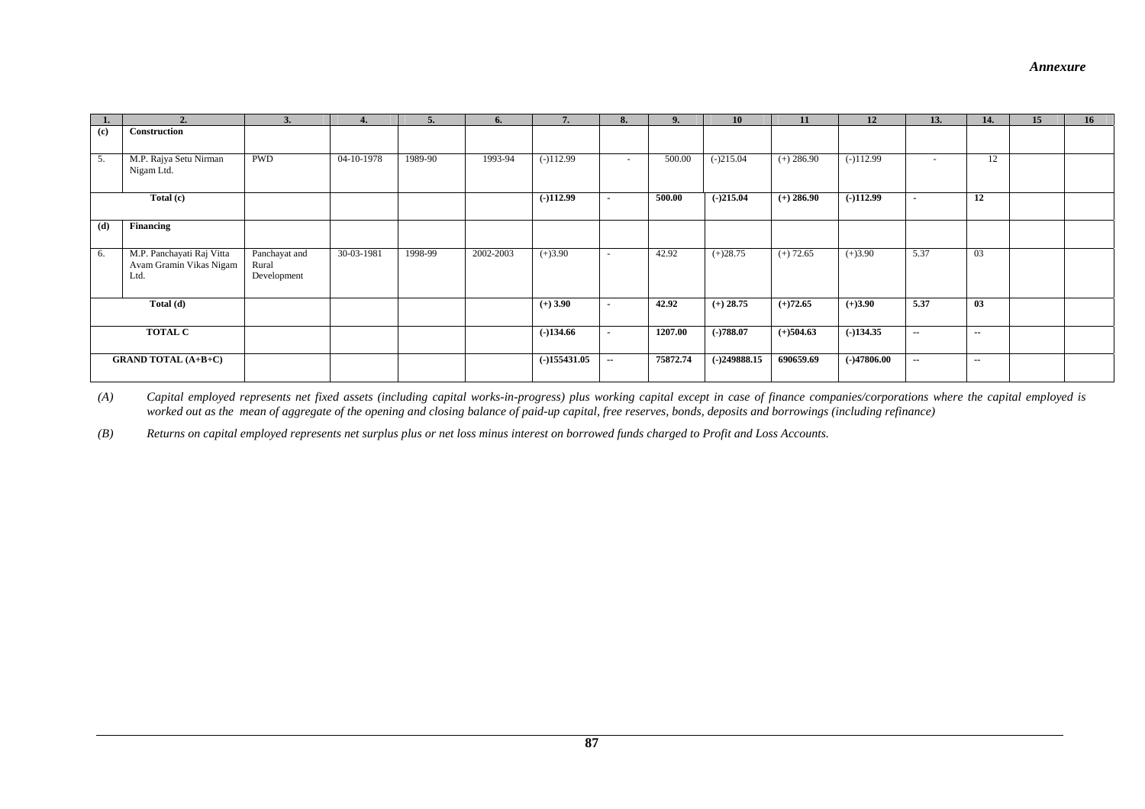#### *Annexure*

| 1.  |                                                              | 3.                                    | 4.         | 5.      | 6.        | 7.             | 8.     | 9.       | 10             | 11           | 12            | 13.                      | 14.        | 15 | 16 <sup>1</sup> |
|-----|--------------------------------------------------------------|---------------------------------------|------------|---------|-----------|----------------|--------|----------|----------------|--------------|---------------|--------------------------|------------|----|-----------------|
| (c) | Construction                                                 |                                       |            |         |           |                |        |          |                |              |               |                          |            |    |                 |
| 5.  | M.P. Rajya Setu Nirman<br>Nigam Ltd.                         | <b>PWD</b>                            | 04-10-1978 | 1989-90 | 1993-94   | $(-)112.99$    | $\sim$ | 500.00   | $(-)215.04$    | $(+) 286.90$ | $(-)112.99$   | $\sim$                   | 12         |    |                 |
|     | Total (c)                                                    |                                       |            |         |           | $(-)112.99$    | $\sim$ | 500.00   | $(-)215.04$    | $(+)$ 286.90 | $(-)112.99$   | $\blacksquare$           | 12         |    |                 |
| (d) | Financing                                                    |                                       |            |         |           |                |        |          |                |              |               |                          |            |    |                 |
| 6.  | M.P. Panchayati Raj Vitta<br>Avam Gramin Vikas Nigam<br>Ltd. | Panchayat and<br>Rural<br>Development | 30-03-1981 | 1998-99 | 2002-2003 | $(+)3.90$      | $\sim$ | 42.92    | $(+)28.75$     | $(+) 72.65$  | $(+)3.90$     | 5.37                     | 03         |    |                 |
|     | Total (d)                                                    |                                       |            |         |           | $(+)$ 3.90     | $\sim$ | 42.92    | $(+)$ 28.75    | $(+)72.65$   | $(+)3.90$     | 5.37                     | 03         |    |                 |
|     | <b>TOTAL C</b>                                               |                                       |            |         |           | $(-)134.66$    | $\sim$ | 1207.00  | $(-)788.07$    | $(+)504.63$  | $(-)134.35$   | $\sim$                   | $\sim$ $-$ |    |                 |
|     | <b>GRAND TOTAL (A+B+C)</b>                                   |                                       |            |         |           | $(-)155431.05$ | $\sim$ | 75872.74 | $(-)249888.15$ | 690659.69    | $(-)47806.00$ | $\overline{\phantom{a}}$ | $\sim$     |    |                 |

*(A) Capital employed represents net fixed assets (including capital works-in-progress) plus working capital except in case of finance companies/corporations where the capital employed is worked out as the mean of aggregate of the opening and closing balance of paid-up capital, free reserves, bonds, deposits and borrowings (including refinance)* 

*(B) Returns on capital employed represents net surplus plus or net loss minus interest on borrowed funds charged to Profit and Loss Accounts.*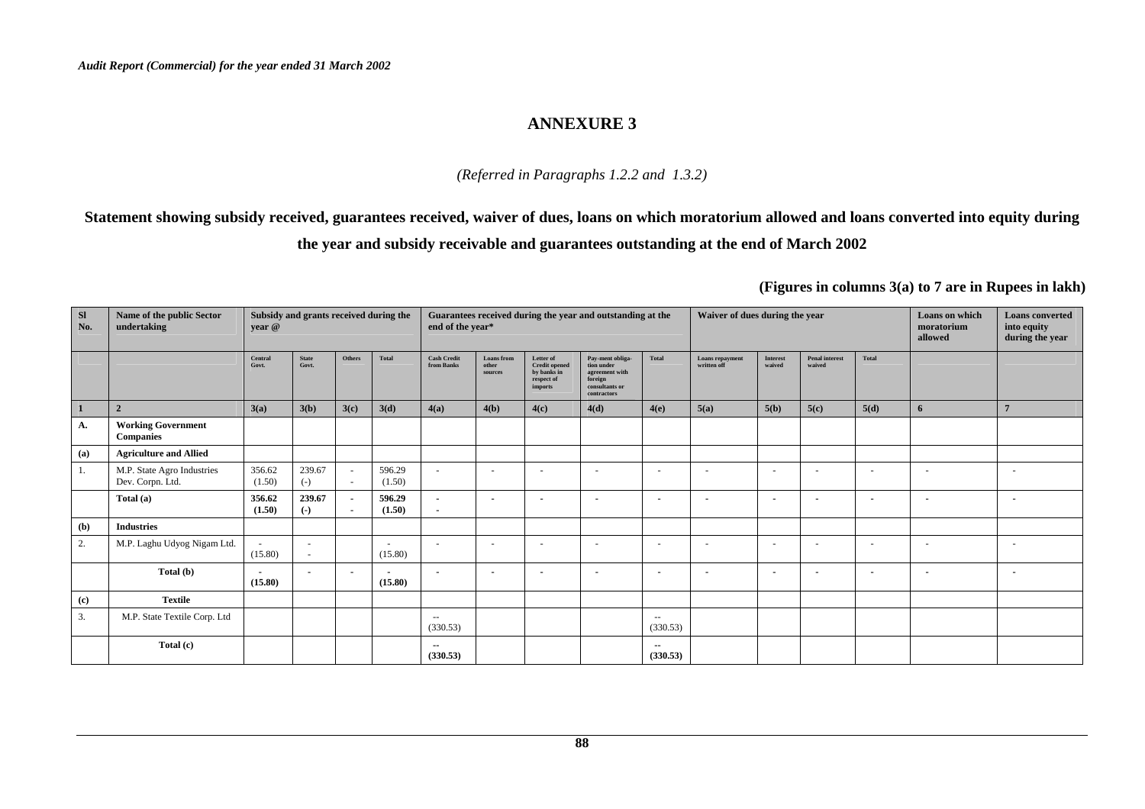#### *(Referred in Paragraphs 1.2.2 and 1.3.2)*

**Statement showing subsidy received, guarantees received, waiver of dues, loans on which moratorium allowed and loans converted into equity during the year and subsidy receivable and guarantees outstanding at the end of March 2002** 

| SI<br>No. | Name of the public Sector<br>undertaking       | year @                              | Subsidy and grants received during the |                                                      |                                     | end of the year*                                     |                                |                                                                           | Guarantees received during the year and outstanding at the                                   |                                      | Waiver of dues during the year |                          |                                 |                          | Loans on which<br>moratorium<br>allowed | <b>Loans</b> converted<br>into equity<br>during the year |
|-----------|------------------------------------------------|-------------------------------------|----------------------------------------|------------------------------------------------------|-------------------------------------|------------------------------------------------------|--------------------------------|---------------------------------------------------------------------------|----------------------------------------------------------------------------------------------|--------------------------------------|--------------------------------|--------------------------|---------------------------------|--------------------------|-----------------------------------------|----------------------------------------------------------|
|           |                                                | Central<br>Govt.                    | <b>State</b><br>Govt.                  | Others                                               | Total                               | <b>Cash Credit</b><br>from Banks                     | Loans from<br>other<br>sources | Letter of<br><b>Credit opened</b><br>by banks in<br>respect of<br>imports | Pay-ment obliga-<br>tion under<br>agreement with<br>foreign<br>consultants or<br>contractors | Total                                | Loans repayment<br>written off | Interest<br>waived       | <b>Penal interest</b><br>waived | <b>Total</b>             |                                         |                                                          |
|           | $\overline{2}$                                 | 3(a)                                | 3(b)                                   | 3(c)                                                 | 3(d)                                | 4(a)                                                 | 4(b)                           | 4(c)                                                                      | 4(d)                                                                                         | 4(e)                                 | 5(a)                           | 5(b)                     | 5(c)                            | 5(d)                     | 6                                       | $\overline{7}$                                           |
| A.        | <b>Working Government</b><br><b>Companies</b>  |                                     |                                        |                                                      |                                     |                                                      |                                |                                                                           |                                                                                              |                                      |                                |                          |                                 |                          |                                         |                                                          |
| (a)       | <b>Agriculture and Allied</b>                  |                                     |                                        |                                                      |                                     |                                                      |                                |                                                                           |                                                                                              |                                      |                                |                          |                                 |                          |                                         |                                                          |
| 1.        | M.P. State Agro Industries<br>Dev. Corpn. Ltd. | 356.62<br>(1.50)                    | 239.67<br>$(-)$                        | $\sim$<br>$\sim$                                     | 596.29<br>(1.50)                    | $\sim$                                               | $\sim$                         | $\overline{\phantom{a}}$                                                  | $\sim$                                                                                       | $\overline{\phantom{a}}$             | $\sim$                         | $\sim$                   | $\overline{\phantom{a}}$        | $\sim$                   |                                         |                                                          |
|           | Total (a)                                      | 356.62<br>(1.50)                    | 239.67<br>$(-)$                        | $\overline{\phantom{a}}$<br>$\overline{\phantom{a}}$ | 596.29<br>(1.50)                    | $\overline{\phantom{a}}$<br>$\overline{\phantom{a}}$ | $\sim$                         | $\overline{\phantom{a}}$                                                  | $\overline{\phantom{a}}$                                                                     | $\overline{\phantom{a}}$             | $\overline{\phantom{a}}$       | $\overline{\phantom{a}}$ | $\overline{\phantom{a}}$        | $\overline{\phantom{a}}$ |                                         |                                                          |
| (b)       | <b>Industries</b>                              |                                     |                                        |                                                      |                                     |                                                      |                                |                                                                           |                                                                                              |                                      |                                |                          |                                 |                          |                                         |                                                          |
| 2.        | M.P. Laghu Udyog Nigam Ltd.                    | (15.80)                             | $\sim$<br>$\sim$                       |                                                      | $\overline{a}$<br>(15.80)           | $\overline{\phantom{0}}$                             | $\overline{\phantom{a}}$       | $\overline{\phantom{a}}$                                                  |                                                                                              | . .                                  | $\sim$                         | $\sim$                   | $\overline{\phantom{a}}$        | $\sim$                   |                                         | . .                                                      |
|           | Total (b)                                      | $\overline{\phantom{a}}$<br>(15.80) | $\blacksquare$                         | $\blacksquare$                                       | $\overline{\phantom{a}}$<br>(15.80) | $\overline{\phantom{a}}$                             | $\overline{\phantom{a}}$       |                                                                           | $\overline{\phantom{a}}$                                                                     | $\overline{\phantom{a}}$             | $\overline{\phantom{a}}$       | $\overline{\phantom{a}}$ | $\overline{\phantom{a}}$        | $\overline{\phantom{a}}$ | $\overline{\phantom{a}}$                |                                                          |
| (c)       | <b>Textile</b>                                 |                                     |                                        |                                                      |                                     |                                                      |                                |                                                                           |                                                                                              |                                      |                                |                          |                                 |                          |                                         |                                                          |
| 3.        | M.P. State Textile Corp. Ltd                   |                                     |                                        |                                                      |                                     | $\sim$<br>(330.53)                                   |                                |                                                                           |                                                                                              | $\sim$ $\sim$<br>(330.53)            |                                |                          |                                 |                          |                                         |                                                          |
|           | Total (c)                                      |                                     |                                        |                                                      |                                     | $\sim$<br>(330.53)                                   |                                |                                                                           |                                                                                              | $\overline{\phantom{a}}$<br>(330.53) |                                |                          |                                 |                          |                                         |                                                          |

**(Figures in columns 3(a) to 7 are in Rupees in lakh)**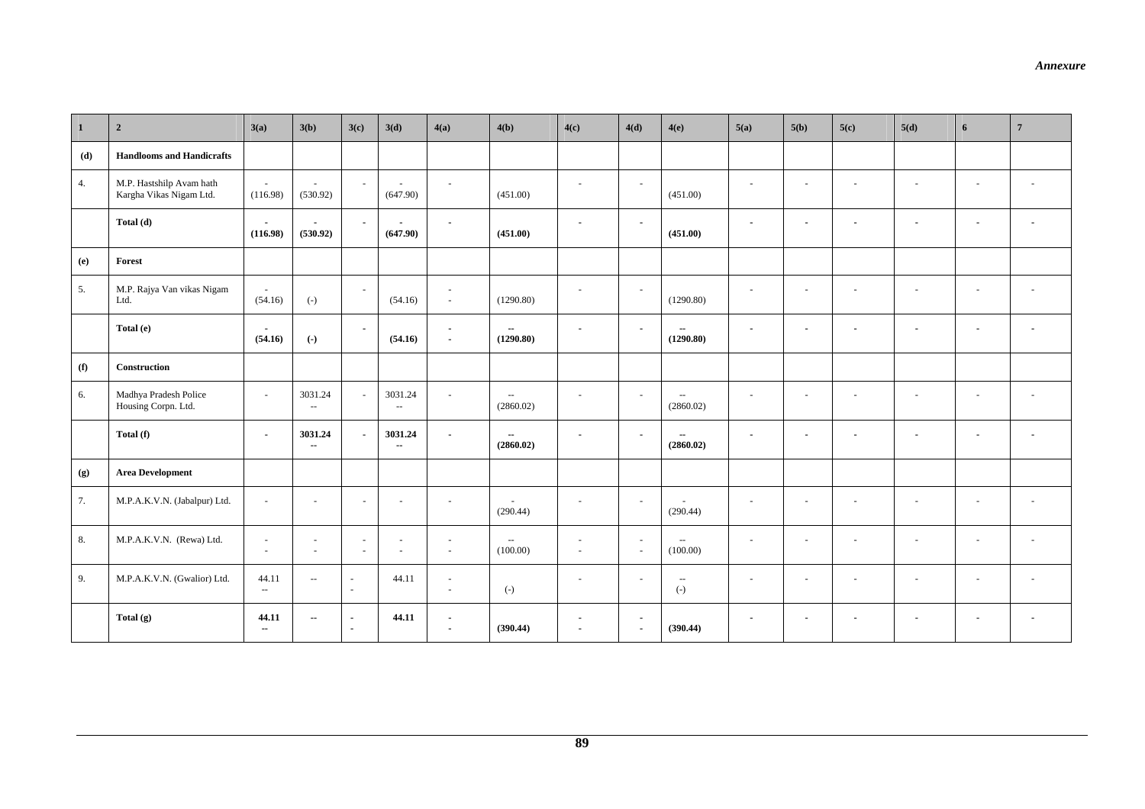| $\mathbf{1}$ | $\overline{\mathbf{2}}$                             | 3(a)                                 | 3(b)                       | 3(c)                               | 3(d)                                | 4(a)                               | 4(b)                                     | 4(c)                               | 4(d)                                                 | 4(e)                                  | 5(a)                     | 5(b)                     | 5(c)                     | 5(d)                     | 6                        | $\overline{7}$           |
|--------------|-----------------------------------------------------|--------------------------------------|----------------------------|------------------------------------|-------------------------------------|------------------------------------|------------------------------------------|------------------------------------|------------------------------------------------------|---------------------------------------|--------------------------|--------------------------|--------------------------|--------------------------|--------------------------|--------------------------|
| (d)          | <b>Handlooms and Handicrafts</b>                    |                                      |                            |                                    |                                     |                                    |                                          |                                    |                                                      |                                       |                          |                          |                          |                          |                          |                          |
| 4.           | M.P. Hastshilp Avam hath<br>Kargha Vikas Nigam Ltd. | ÷<br>(116.98)                        | $\sim$<br>(530.92)         | $\sim$                             | $\sim$<br>(647.90)                  | $\sim$                             | (451.00)                                 | $\sim$                             | $\sim$                                               | (451.00)                              | $\sim$                   | $\omega$                 |                          | $\sim$                   | $\sim$                   |                          |
|              | Total (d)                                           | (116.98)                             | $\blacksquare$<br>(530.92) | $\sim$                             | $\blacksquare$<br>(647.90)          | $\sim$                             | (451.00)                                 | $\overline{\phantom{a}}$           | $\overline{\phantom{a}}$                             | (451.00)                              | $\sim$                   | $\blacksquare$           | $\blacksquare$           | $\overline{\phantom{a}}$ | $\blacksquare$           | $\blacksquare$           |
| (e)          | Forest                                              |                                      |                            |                                    |                                     |                                    |                                          |                                    |                                                      |                                       |                          |                          |                          |                          |                          |                          |
| 5.           | M.P. Rajya Van vikas Nigam<br>Ltd.                  | (54.16)                              | $(-)$                      | $\bar{\phantom{a}}$                | (54.16)                             | $\sim$<br>$\sim$                   | (1290.80)                                | $\sim$                             | $\sim$                                               | (1290.80)                             | $\sim$                   | $\overline{\phantom{a}}$ | $\overline{\phantom{a}}$ |                          | $\overline{\phantom{a}}$ |                          |
|              | Total (e)                                           | $\sim$<br>(54.16)                    | $\left( -\right)$          | $\sim$                             | (54.16)                             | $\sim$<br>$\sim$                   | $\sim$<br>(1290.80)                      | $\blacksquare$                     | $\overline{\phantom{a}}$                             | $\overline{\phantom{a}}$<br>(1290.80) | $\sim$                   | $\blacksquare$           | $\blacksquare$           | $\blacksquare$           | $\blacksquare$           | $\overline{\phantom{a}}$ |
| (f)          | Construction                                        |                                      |                            |                                    |                                     |                                    |                                          |                                    |                                                      |                                       |                          |                          |                          |                          |                          |                          |
| 6.           | Madhya Pradesh Police<br>Housing Corpn. Ltd.        | $\sim$                               | 3031.24<br>$\sim$          | ÷.                                 | 3031.24<br>Ξ.                       |                                    | $\mathcal{L}_{\mathcal{A}}$<br>(2860.02) | ÷                                  | $\sim$                                               | $\sim$ $\sim$<br>(2860.02)            | $\sim$                   | $\sim$                   |                          | $\overline{\phantom{a}}$ | $\sim$                   |                          |
|              | Total (f)                                           | $\sim$                               | 3031.24<br>$\sim$          | $\blacksquare$                     | 3031.24<br>$\overline{\phantom{a}}$ | $\sim$                             | $\sim$<br>(2860.02)                      | $\overline{\phantom{a}}$           | $\blacksquare$                                       | $\sim$<br>(2860.02)                   | $\blacksquare$           | $\blacksquare$           | $\overline{\phantom{a}}$ | $\overline{\phantom{a}}$ | $\overline{\phantom{a}}$ | $\overline{\phantom{a}}$ |
| (g)          | <b>Area Development</b>                             |                                      |                            |                                    |                                     |                                    |                                          |                                    |                                                      |                                       |                          |                          |                          |                          |                          |                          |
| 7.           | M.P.A.K.V.N. (Jabalpur) Ltd.                        | $\sim$                               | $\sim$                     | ÷.                                 | ÷.                                  | $\sim$                             | $\overline{\phantom{a}}$<br>(290.44)     | $\sim$                             | $\sim$                                               | ÷.<br>(290.44)                        | $\sim$                   | ÷                        | $\sim$                   | $\sim$                   | $\sim$                   |                          |
| 8.           | M.P.A.K.V.N. (Rewa) Ltd.                            | $\sim$<br>$\sim$                     | $\sim$<br>$\sim$           | $\overline{\phantom{a}}$<br>$\sim$ | $\overline{\phantom{a}}$<br>÷.      | $\sim$<br>$\sim$                   | $\sim$<br>(100.00)                       | $\overline{\phantom{a}}$<br>$\sim$ | $\sim$<br>$\sim$                                     | $\sim$<br>(100.00)                    | $\sim$                   | $\sim$                   | $\overline{a}$           | $\sim$                   | $\sim$                   | $\overline{a}$           |
| 9.           | M.P.A.K.V.N. (Gwalior) Ltd.                         | 44.11<br>$\mathcal{L}_{\mathcal{L}}$ | $\sim$                     | $\sim$<br>$\sim$                   | 44.11                               | $\sim$<br>$\sim$                   | $(-)$                                    | $\overline{\phantom{a}}$           | $\sim$                                               | $\sim$<br>$(\text{-})$                | $\sim$                   | $\sim$                   | $\overline{\phantom{a}}$ | $\sim$                   | $\sim$                   | $\overline{\phantom{a}}$ |
|              | Total (g)                                           | 44.11<br>$\overline{\phantom{a}}$    | $\sim$                     | $\sim$<br>$\sim$                   | 44.11                               | $\sim$<br>$\overline{\phantom{a}}$ | (390.44)                                 | ٠<br>$\overline{\phantom{a}}$      | $\overline{\phantom{a}}$<br>$\overline{\phantom{a}}$ | (390.44)                              | $\overline{\phantom{a}}$ | $\blacksquare$           |                          | $\overline{\phantom{a}}$ | $\overline{\phantom{a}}$ | $\blacksquare$           |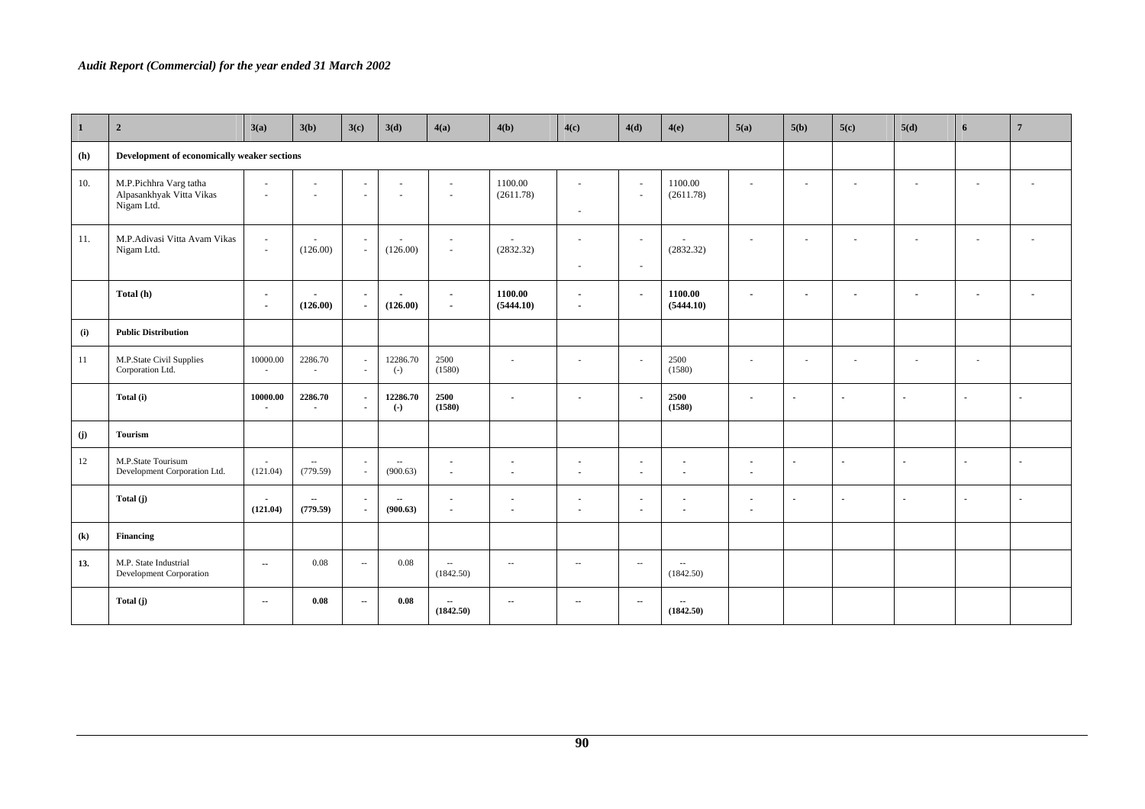#### *Audit Report (Commercial) for the year ended 31 March 2002*

| $\mathbf{1}$               | $\overline{\mathbf{2}}$                                          | 3(a)                                                 | 3(b)                                       | 3(c)                             | 3(d)                   | 4(a)                                                 | 4(b)                           | 4(c)                                                 | 4(d)                     | 4(e)                                                 | 5(a)                             | 5(b)                     | 5(c)                     | 5(d)                     | 6                        | $\overline{7}$           |
|----------------------------|------------------------------------------------------------------|------------------------------------------------------|--------------------------------------------|----------------------------------|------------------------|------------------------------------------------------|--------------------------------|------------------------------------------------------|--------------------------|------------------------------------------------------|----------------------------------|--------------------------|--------------------------|--------------------------|--------------------------|--------------------------|
| (h)                        | Development of economically weaker sections                      |                                                      |                                            |                                  |                        |                                                      |                                |                                                      |                          |                                                      |                                  |                          |                          |                          |                          |                          |
| 10.                        | M.P.Pichhra Varg tatha<br>Alpasankhyak Vitta Vikas<br>Nigam Ltd. | $\sim$<br>$\sim$                                     | $\overline{\phantom{a}}$<br>$\overline{a}$ | $\sim$<br>$\sim$                 | $\sim$<br>$\sim$       | $\sim$<br>$\sim$                                     | 1100.00<br>(2611.78)           | $\sim$<br>$\sim$                                     | $\sim$<br>$\sim$         | 1100.00<br>(2611.78)                                 | $\sim$                           | $\overline{\phantom{a}}$ | $\overline{a}$           | $\overline{\phantom{a}}$ | $\sim$                   |                          |
| 11.                        | M.P.Adivasi Vitta Avam Vikas<br>Nigam Ltd.                       | $\overline{\phantom{a}}$<br>$\sim$                   | (126.00)                                   | $\sim$                           | $\sim$<br>(126.00)     | $\overline{\phantom{a}}$<br>$\overline{\phantom{a}}$ | $\sim$<br>(2832.32)            | $\overline{\phantom{a}}$<br>$\overline{\phantom{a}}$ | $\sim$<br>$\sim$         | $\sim$<br>(2832.32)                                  | $\sim$                           | $\overline{\phantom{a}}$ | $\sim$                   | $\sim$                   | $\overline{\phantom{a}}$ | $\overline{a}$           |
|                            | Total (h)                                                        | $\overline{\phantom{a}}$<br>$\overline{\phantom{a}}$ | (126.00)                                   | $\blacksquare$<br>$\blacksquare$ | ٠<br>(126.00)          | $\blacksquare$<br>$\blacksquare$                     | 1100.00<br>(5444.10)           | $\overline{\phantom{a}}$<br>$\blacksquare$           | $\overline{\phantom{a}}$ | 1100.00<br>(5444.10)                                 | $\blacksquare$                   | $\blacksquare$           | $\overline{\phantom{a}}$ | $\overline{\phantom{a}}$ | $\overline{\phantom{a}}$ |                          |
| (i)                        | <b>Public Distribution</b>                                       |                                                      |                                            |                                  |                        |                                                      |                                |                                                      |                          |                                                      |                                  |                          |                          |                          |                          |                          |
| 11                         | M.P.State Civil Supplies<br>Corporation Ltd.                     | 10000.00<br>$\sim$                                   | 2286.70<br>$\sim$                          | $\sim$                           | 12286.70<br>$(-)$      | 2500<br>(1580)                                       | ٠                              | $\overline{a}$                                       |                          | 2500<br>(1580)                                       |                                  | $\overline{\phantom{a}}$ |                          |                          | $\overline{\phantom{a}}$ |                          |
|                            | Total (i)                                                        | 10000.00<br>$\sim$                                   | 2286.70<br>$\sim$                          | $\overline{\phantom{a}}$         | 12286.70<br>$(\cdot)$  | 2500<br>(1580)                                       | $\sim$                         | $\overline{\phantom{a}}$                             | $\sim$                   | 2500<br>(1580)                                       | $\blacksquare$                   | $\sim$                   | $\sim$                   | $\overline{\phantom{a}}$ | $\sim$                   | $\sim$                   |
| (j)                        | <b>Tourism</b>                                                   |                                                      |                                            |                                  |                        |                                                      |                                |                                                      |                          |                                                      |                                  |                          |                          |                          |                          |                          |
| 12                         | M.P.State Tourisum<br>Development Corporation Ltd.               | $\sim$<br>(121.04)                                   | $\sim$<br>(779.59)                         | ۰.                               | $\sim$ $-$<br>(900.63) | $\blacksquare$<br>$\tilde{\phantom{a}}$              | $\blacksquare$<br>$\mathbf{r}$ | $\overline{\phantom{a}}$<br>$\blacksquare$           | $\sim$<br>$\sim$         | $\blacksquare$<br>$\blacksquare$                     | $\blacksquare$<br>$\blacksquare$ | $\blacksquare$           | $\sim$                   | $\blacksquare$           | $\blacksquare$           | $\overline{\phantom{a}}$ |
|                            | Total (j)                                                        | $\blacksquare$<br>(121.04)                           | $\sim$<br>(779.59)                         | $\sim$                           | $\sim$<br>(900.63)     | $\blacksquare$<br>$\sim$                             | $\blacksquare$<br>$\sim$       | $\overline{\phantom{a}}$<br>$\sim$                   | $\sim$<br>$\sim$         | $\overline{\phantom{a}}$<br>$\overline{\phantom{a}}$ | $\blacksquare$<br>$\overline{a}$ | $\sim$                   | $\sim$                   | $\blacksquare$           | $\sim$                   | $\sim$                   |
| $\left( \mathbf{k}\right)$ | <b>Financing</b>                                                 |                                                      |                                            |                                  |                        |                                                      |                                |                                                      |                          |                                                      |                                  |                          |                          |                          |                          |                          |
| 13.                        | M.P. State Industrial<br>Development Corporation                 | $\sim$                                               | 0.08                                       | $\overline{\phantom{a}}$         | 0.08                   | $\sim$<br>(1842.50)                                  | $\overline{\phantom{a}}$       | $\sim$                                               | $\overline{\phantom{a}}$ | $\overline{\phantom{a}}$<br>(1842.50)                |                                  |                          |                          |                          |                          |                          |
|                            | Total (j)                                                        | $\sim$                                               | 0.08                                       | $\sim$                           | 0.08                   | (1842.50)                                            | $\sim$                         | $\sim$                                               | $\sim$                   | $\sim$<br>(1842.50)                                  |                                  |                          |                          |                          |                          |                          |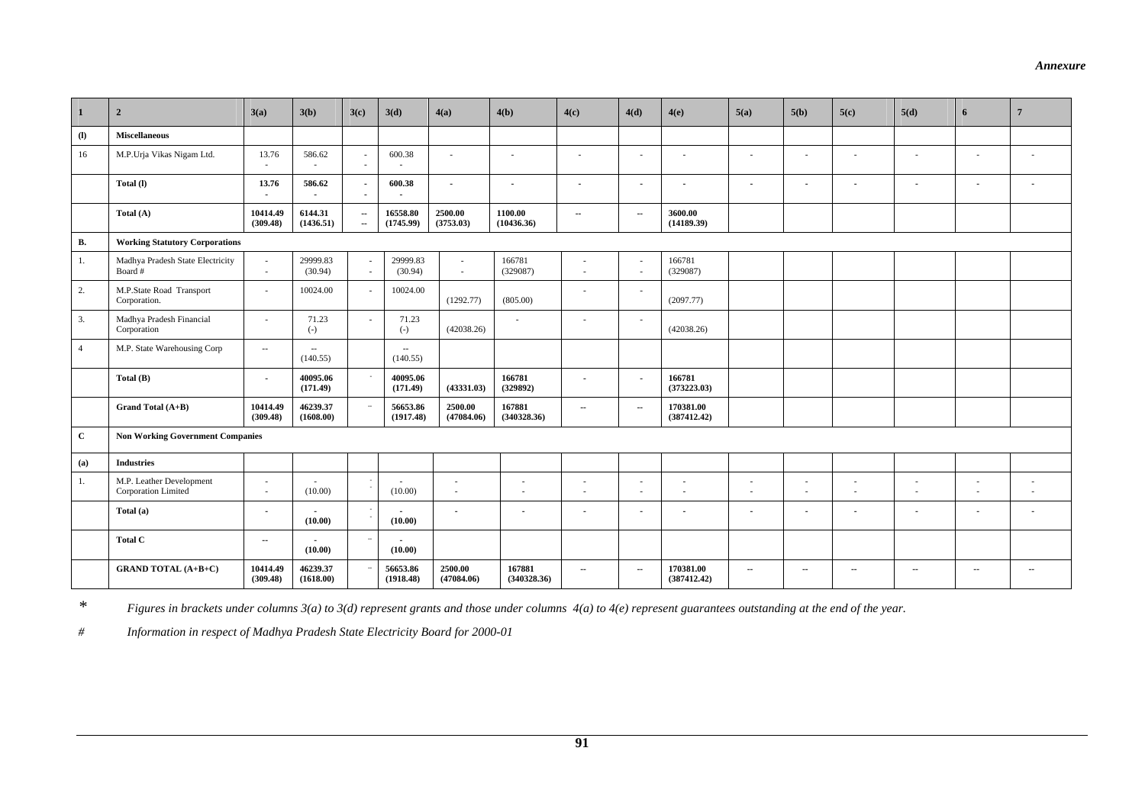| $\mathbf{1}$   | $\overline{2}$                                  | 3(a)                     | 3(b)                  | 3(c)                     | 3(d)                  | 4(a)                           | 4(b)                     | 4(c)                     | 4(d)                                                 | 4(e)                     | 5(a)                     | 5(b)           | 5(c)                     | 5(d)                          | 6                        | $7\phantom{.0}$ |
|----------------|-------------------------------------------------|--------------------------|-----------------------|--------------------------|-----------------------|--------------------------------|--------------------------|--------------------------|------------------------------------------------------|--------------------------|--------------------------|----------------|--------------------------|-------------------------------|--------------------------|-----------------|
| $\mathbf{u}$   | <b>Miscellaneous</b>                            |                          |                       |                          |                       |                                |                          |                          |                                                      |                          |                          |                |                          |                               |                          |                 |
| 16             | M.P.Urja Vikas Nigam Ltd.                       | 13.76<br>÷.              | 586.62                | ä,                       | 600.38                | $\sim$                         | ×.                       |                          | $\mathbf{r}$                                         |                          | $\overline{\phantom{a}}$ |                |                          |                               | $\overline{\phantom{a}}$ |                 |
|                | Total (I)                                       | 13.76                    | 586.62                |                          | 600.38                | $\sim$                         | $\blacksquare$           | $\sim$                   | $\sim$                                               |                          | $\blacksquare$           | $\blacksquare$ | $\overline{\phantom{a}}$ |                               | $\sim$                   |                 |
|                | Total (A)                                       | 10414.49<br>(309.48)     | 6144.31<br>(1436.51)  | $\sim$<br>$\sim$         | 16558.80<br>(1745.99) | 2500.00<br>(3753.03)           | 1100.00<br>(10436.36)    | $\sim$                   | $\sim$                                               | 3600.00<br>(14189.39)    |                          |                |                          |                               |                          |                 |
| В.             | <b>Working Statutory Corporations</b>           |                          |                       |                          |                       |                                |                          |                          |                                                      |                          |                          |                |                          |                               |                          |                 |
| 1.             | Madhya Pradesh State Electricity<br>Board #     | $\sim$<br>÷.             | 29999.83<br>(30.94)   | $\sim$<br>$\sim$         | 29999.83<br>(30.94)   | $\overline{\phantom{a}}$<br>÷. | 166781<br>(329087)       | $\overline{\phantom{a}}$ | $\overline{\phantom{a}}$<br>$\overline{\phantom{a}}$ | 166781<br>(329087)       |                          |                |                          |                               |                          |                 |
| 2.             | M.P.State Road Transport<br>Corporation.        | $\sim$                   | 10024.00              | $\sim$                   | 10024.00              | (1292.77)                      | (805.00)                 | ٠                        | $\overline{\phantom{a}}$                             | (2097.77)                |                          |                |                          |                               |                          |                 |
| 3.             | Madhya Pradesh Financial<br>Corporation         | ٠                        | 71.23<br>$(-)$        | $\sim$                   | 71.23<br>$(-)$        | (42038.26)                     |                          |                          | $\sim$                                               | (42038.26)               |                          |                |                          |                               |                          |                 |
| $\overline{4}$ | M.P. State Warehousing Corp                     | $\overline{\phantom{a}}$ | $\sim$<br>(140.55)    |                          | $\sim$<br>(140.55)    |                                |                          |                          |                                                      |                          |                          |                |                          |                               |                          |                 |
|                | Total (B)                                       | $\blacksquare$           | 40095.06<br>(171.49)  |                          | 40095.06<br>(171.49)  | (43331.03)                     | 166781<br>(329892)       | $\sim$                   | $\blacksquare$                                       | 166781<br>(373223.03)    |                          |                |                          |                               |                          |                 |
|                | Grand Total (A+B)                               | 10414.49<br>(309.48)     | 46239.37<br>(1608.00) | $\ddot{\phantom{a}}$     | 56653.86<br>(1917.48) | 2500.00<br>(47084.06)          | 167881<br>(340328.36)    | $\sim$                   | $\sim$                                               | 170381.00<br>(387412.42) |                          |                |                          |                               |                          |                 |
| $\mathbf{C}$   | <b>Non Working Government Companies</b>         |                          |                       |                          |                       |                                |                          |                          |                                                      |                          |                          |                |                          |                               |                          |                 |
| (a)            | <b>Industries</b>                               |                          |                       |                          |                       |                                |                          |                          |                                                      |                          |                          |                |                          |                               |                          |                 |
| 1.             | M.P. Leather Development<br>Corporation Limited | ٠<br>×                   | (10.00)               |                          | (10.00)               | $\blacksquare$<br>$\sim$       | $\overline{a}$           | ٠<br>٠                   | ٠<br>$\sim$                                          |                          | $\sim$<br>÷.             | $\sim$         | ٠<br>÷.                  | ٠<br>$\overline{\phantom{a}}$ | ٠<br>٠                   |                 |
|                | Total (a)                                       | $\blacksquare$           | (10.00)               | $\overline{\phantom{a}}$ | (10.00)               | $\mathbf{r}$                   | $\overline{\phantom{a}}$ |                          | $\sim$                                               |                          | $\sim$                   | $\overline{a}$ | ×                        |                               | $\blacksquare$           |                 |
|                | <b>Total C</b>                                  | $\sim$                   | (10.00)               |                          | (10.00)               |                                |                          |                          |                                                      |                          |                          |                |                          |                               |                          |                 |
|                | <b>GRAND TOTAL (A+B+C)</b>                      | 10414.49<br>(309.48)     | 46239.37<br>(1618.00) |                          | 56653.86<br>(1918.48) | 2500.00<br>(47084.06)          | 167881<br>(340328.36)    | $\sim$                   | $\sim$                                               | 170381.00<br>(387412.42) | $\sim$                   | $\sim$         | $\sim$                   | $\overline{\phantom{a}}$      | $\sim$                   | $\sim$          |

*Annexure* 

*\* Figures in brackets under columns 3(a) to 3(d) represent grants and those under columns 4(a) to 4(e) represent guarantees outstanding at the end of the year.* 

*# Information in respect of Madhya Pradesh State Electricity Board for 2000-01*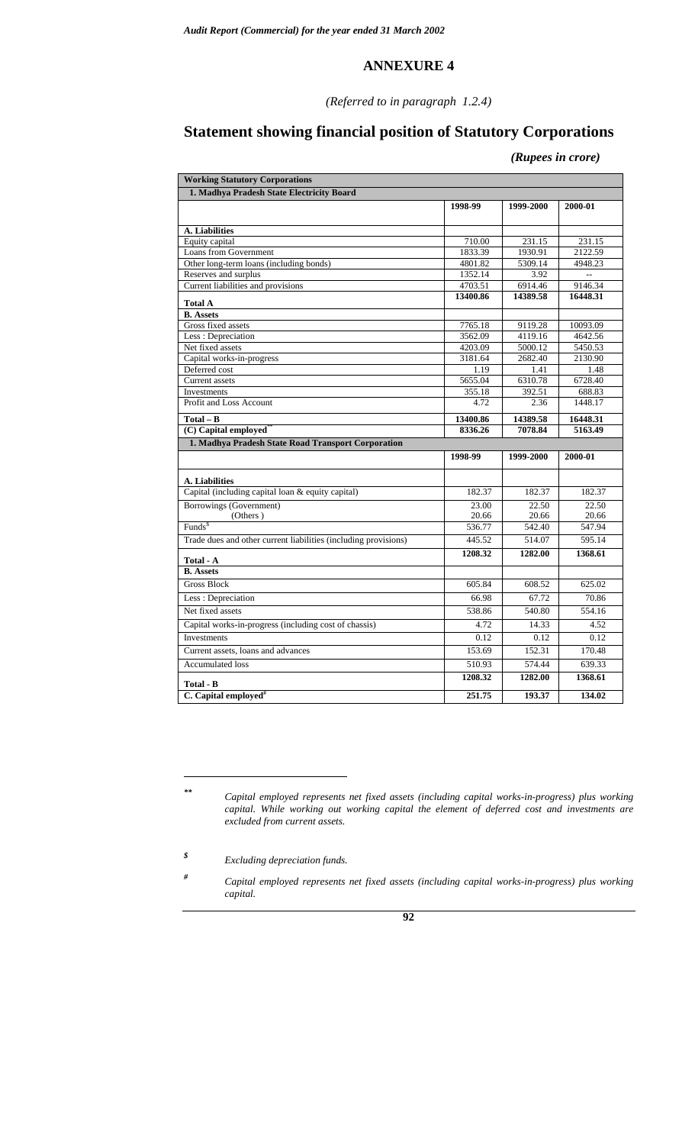#### *(Referred to in paragraph 1.2.4)*

# **Statement showing financial position of Statutory Corporations**

 *(Rupees in crore)* 

| <b>Working Statutory Corporations</b>                           |          |           |          |  |  |  |  |  |  |  |
|-----------------------------------------------------------------|----------|-----------|----------|--|--|--|--|--|--|--|
| 1. Madhya Pradesh State Electricity Board                       |          |           |          |  |  |  |  |  |  |  |
|                                                                 | 1998-99  | 1999-2000 | 2000-01  |  |  |  |  |  |  |  |
|                                                                 |          |           |          |  |  |  |  |  |  |  |
| A. Liabilities                                                  |          |           |          |  |  |  |  |  |  |  |
| Equity capital                                                  | 710.00   | 231.15    | 231.15   |  |  |  |  |  |  |  |
| <b>Loans from Government</b>                                    | 1833.39  | 1930.91   | 2122.59  |  |  |  |  |  |  |  |
| Other long-term loans (including bonds)                         | 4801.82  | 5309.14   | 4948.23  |  |  |  |  |  |  |  |
| Reserves and surplus                                            | 1352.14  | 3.92      | $\sim$   |  |  |  |  |  |  |  |
| Current liabilities and provisions                              | 4703.51  | 6914.46   | 9146.34  |  |  |  |  |  |  |  |
| <b>Total A</b>                                                  | 13400.86 | 14389.58  | 16448.31 |  |  |  |  |  |  |  |
| <b>B.</b> Assets                                                |          |           |          |  |  |  |  |  |  |  |
| Gross fixed assets                                              | 7765.18  | 9119.28   | 10093.09 |  |  |  |  |  |  |  |
| Less: Depreciation                                              | 3562.09  | 4119.16   | 4642.56  |  |  |  |  |  |  |  |
| Net fixed assets                                                | 4203.09  | 5000.12   | 5450.53  |  |  |  |  |  |  |  |
| Capital works-in-progress                                       | 3181.64  | 2682.40   | 2130.90  |  |  |  |  |  |  |  |
| Deferred cost                                                   | 1.19     | 1.41      | 1.48     |  |  |  |  |  |  |  |
| Current assets                                                  | 5655.04  | 6310.78   | 6728.40  |  |  |  |  |  |  |  |
| Investments                                                     | 355.18   | 392.51    | 688.83   |  |  |  |  |  |  |  |
| Profit and Loss Account                                         | 4.72     | 2.36      | 1448.17  |  |  |  |  |  |  |  |
| $Total - B$                                                     | 13400.86 | 14389.58  | 16448.31 |  |  |  |  |  |  |  |
| (C) Capital employed <sup>*</sup>                               | 8336.26  | 7078.84   | 5163.49  |  |  |  |  |  |  |  |
| 1. Madhya Pradesh State Road Transport Corporation              |          |           |          |  |  |  |  |  |  |  |
|                                                                 | 1998-99  | 1999-2000 | 2000-01  |  |  |  |  |  |  |  |
|                                                                 |          |           |          |  |  |  |  |  |  |  |
| A. Liabilities                                                  |          |           |          |  |  |  |  |  |  |  |
| Capital (including capital loan & equity capital)               | 182.37   | 182.37    | 182.37   |  |  |  |  |  |  |  |
| Borrowings (Government)                                         | 23.00    | 22.50     | 22.50    |  |  |  |  |  |  |  |
| (Others)                                                        | 20.66    | 20.66     | 20.66    |  |  |  |  |  |  |  |
| Funds <sup>\$</sup>                                             | 536.77   | 542.40    | 547.94   |  |  |  |  |  |  |  |
| Trade dues and other current liabilities (including provisions) | 445.52   | 514.07    | 595.14   |  |  |  |  |  |  |  |
| Total - A                                                       | 1208.32  | 1282.00   | 1368.61  |  |  |  |  |  |  |  |
| <b>B.</b> Assets                                                |          |           |          |  |  |  |  |  |  |  |
| <b>Gross Block</b>                                              | 605.84   | 608.52    | 625.02   |  |  |  |  |  |  |  |
| Less: Depreciation                                              | 66.98    | 67.72     | 70.86    |  |  |  |  |  |  |  |
| Net fixed assets                                                | 538.86   | 540.80    | 554.16   |  |  |  |  |  |  |  |
| Capital works-in-progress (including cost of chassis)           | 4.72     | 14.33     | 4.52     |  |  |  |  |  |  |  |
| Investments                                                     | 0.12     | 0.12      | 0.12     |  |  |  |  |  |  |  |
| Current assets, loans and advances                              | 153.69   | 152.31    | 170.48   |  |  |  |  |  |  |  |
| <b>Accumulated loss</b>                                         | 510.93   | 574.44    | 639.33   |  |  |  |  |  |  |  |
|                                                                 |          |           |          |  |  |  |  |  |  |  |
| Total - B                                                       | 1208.32  | 1282.00   | 1368.61  |  |  |  |  |  |  |  |

 $\overline{a}$ 

*<sup>#</sup> Capital employed represents net fixed assets (including capital works-in-progress) plus working capital.* 



*<sup>\*\*</sup> Capital employed represents net fixed assets (including capital works-in-progress) plus working capital. While working out working capital the element of deferred cost and investments are excluded from current assets.* 

*<sup>\$</sup> Excluding depreciation funds.*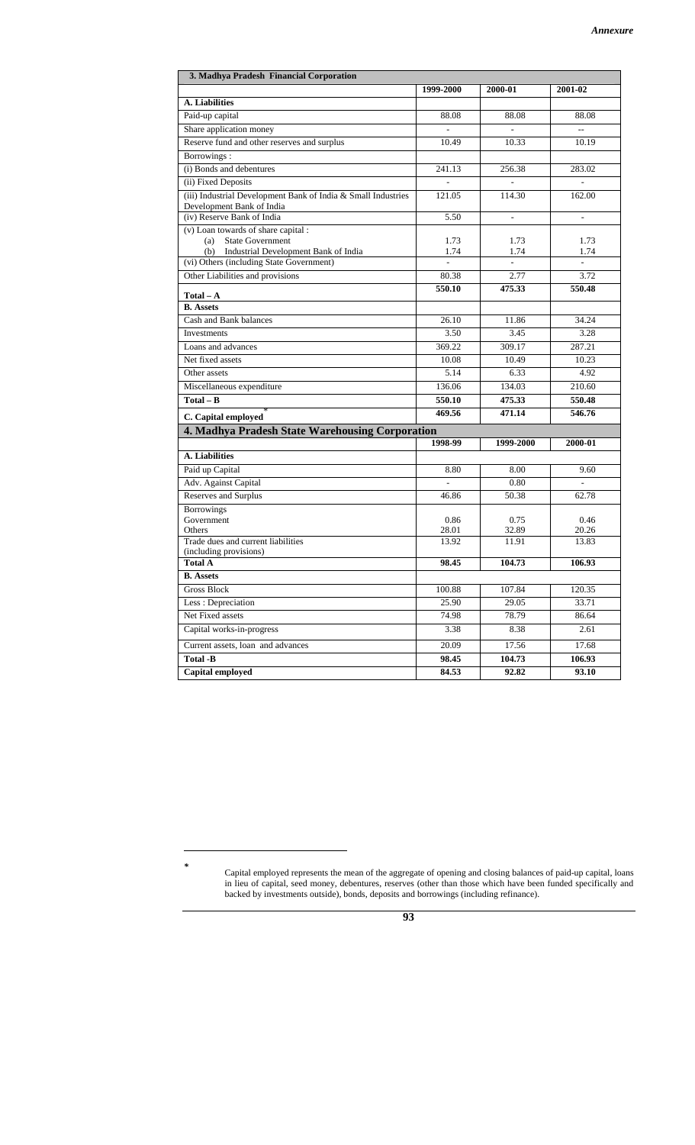| 1999-2000<br>2000-01<br>2001-02<br><b>A.</b> Liabilities<br>Paid-up capital<br>88.08<br>88.08<br>88.08<br>Share application money<br>Reserve fund and other reserves and surplus<br>10.49<br>10.33<br>10.19<br>Borrowings:<br>(i) Bonds and debentures<br>283.02<br>241.13<br>256.38<br>(ii) Fixed Deposits<br>$\frac{1}{2}$<br>$\overline{a}$<br>(iii) Industrial Development Bank of India & Small Industries<br>121.05<br>114.30<br>162.00<br>Development Bank of India<br>(iv) Reserve Bank of India<br>5.50<br>$\omega$ .<br>$\mathbb{Z}^{\mathbb{Z}}$<br>(v) Loan towards of share capital :<br><b>State Government</b><br>(a)<br>1.73<br>1.73<br>1.73<br>(b) Industrial Development Bank of India<br>1.74<br>1.74<br>1.74<br>(vi) Others (including State Government)<br>Other Liabilities and provisions<br>80.38<br>2.77<br>3.72<br>550.10<br>475.33<br>550.48<br>$Total - A$<br><b>B.</b> Assets<br>Cash and Bank balances<br>34.24<br>26.10<br>11.86<br>3.50<br>3.45<br>3.28<br>Investments<br>369.22<br>309.17<br>287.21<br>Loans and advances<br>10.49<br>Net fixed assets<br>10.08<br>10.23<br>Other assets<br>5.14<br>6.33<br>4.92<br>134.03<br>Miscellaneous expenditure<br>136.06<br>210.60<br>$Total - B$<br>550.10<br>475.33<br>550.48<br>469.56<br>546.76<br>471.14<br>C. Capital employed<br>4. Madhya Pradesh State Warehousing Corporation<br>1998-99<br>1999-2000<br>2000-01<br>A. Liabilities<br>Paid up Capital<br>8.80<br>8.00<br>9.60<br>Adv. Against Capital<br>0.80<br>$\overline{a}$<br>$\overline{a}$<br>Reserves and Surplus<br>46.86<br>50.38<br>62.78<br><b>Borrowings</b><br>Government<br>0.86<br>0.75<br>0.46<br>Others<br>28.01<br>32.89<br>20.26<br>Trade dues and current liabilities<br>13.92<br>11.91<br>13.83<br>(including provisions)<br><b>Total A</b><br>98.45<br>104.73<br>106.93<br><b>B.</b> Assets<br>Gross Block<br>100.88<br>107.84<br>120.35<br>Less: Depreciation<br>25.90<br>29.05<br>33.71<br>Net Fixed assets<br>74.98<br>78.79<br>86.64<br>Capital works-in-progress<br>3.38<br>8.38<br>2.61<br>Current assets, loan and advances<br>20.09<br>17.56<br>17.68<br><b>Total -B</b><br>98.45<br>104.73<br>106.93<br>Capital employed<br>84.53<br>92.82<br>93.10 | 3. Madhya Pradesh Financial Corporation |  |  |  |  |  |  |  |  |  |  |
|-------------------------------------------------------------------------------------------------------------------------------------------------------------------------------------------------------------------------------------------------------------------------------------------------------------------------------------------------------------------------------------------------------------------------------------------------------------------------------------------------------------------------------------------------------------------------------------------------------------------------------------------------------------------------------------------------------------------------------------------------------------------------------------------------------------------------------------------------------------------------------------------------------------------------------------------------------------------------------------------------------------------------------------------------------------------------------------------------------------------------------------------------------------------------------------------------------------------------------------------------------------------------------------------------------------------------------------------------------------------------------------------------------------------------------------------------------------------------------------------------------------------------------------------------------------------------------------------------------------------------------------------------------------------------------------------------------------------------------------------------------------------------------------------------------------------------------------------------------------------------------------------------------------------------------------------------------------------------------------------------------------------------------------------------------------------------------------------------------------------------------------------------------------------------------------------------------------------------|-----------------------------------------|--|--|--|--|--|--|--|--|--|--|
|                                                                                                                                                                                                                                                                                                                                                                                                                                                                                                                                                                                                                                                                                                                                                                                                                                                                                                                                                                                                                                                                                                                                                                                                                                                                                                                                                                                                                                                                                                                                                                                                                                                                                                                                                                                                                                                                                                                                                                                                                                                                                                                                                                                                                         |                                         |  |  |  |  |  |  |  |  |  |  |
|                                                                                                                                                                                                                                                                                                                                                                                                                                                                                                                                                                                                                                                                                                                                                                                                                                                                                                                                                                                                                                                                                                                                                                                                                                                                                                                                                                                                                                                                                                                                                                                                                                                                                                                                                                                                                                                                                                                                                                                                                                                                                                                                                                                                                         |                                         |  |  |  |  |  |  |  |  |  |  |
|                                                                                                                                                                                                                                                                                                                                                                                                                                                                                                                                                                                                                                                                                                                                                                                                                                                                                                                                                                                                                                                                                                                                                                                                                                                                                                                                                                                                                                                                                                                                                                                                                                                                                                                                                                                                                                                                                                                                                                                                                                                                                                                                                                                                                         |                                         |  |  |  |  |  |  |  |  |  |  |
|                                                                                                                                                                                                                                                                                                                                                                                                                                                                                                                                                                                                                                                                                                                                                                                                                                                                                                                                                                                                                                                                                                                                                                                                                                                                                                                                                                                                                                                                                                                                                                                                                                                                                                                                                                                                                                                                                                                                                                                                                                                                                                                                                                                                                         |                                         |  |  |  |  |  |  |  |  |  |  |
|                                                                                                                                                                                                                                                                                                                                                                                                                                                                                                                                                                                                                                                                                                                                                                                                                                                                                                                                                                                                                                                                                                                                                                                                                                                                                                                                                                                                                                                                                                                                                                                                                                                                                                                                                                                                                                                                                                                                                                                                                                                                                                                                                                                                                         |                                         |  |  |  |  |  |  |  |  |  |  |
|                                                                                                                                                                                                                                                                                                                                                                                                                                                                                                                                                                                                                                                                                                                                                                                                                                                                                                                                                                                                                                                                                                                                                                                                                                                                                                                                                                                                                                                                                                                                                                                                                                                                                                                                                                                                                                                                                                                                                                                                                                                                                                                                                                                                                         |                                         |  |  |  |  |  |  |  |  |  |  |
|                                                                                                                                                                                                                                                                                                                                                                                                                                                                                                                                                                                                                                                                                                                                                                                                                                                                                                                                                                                                                                                                                                                                                                                                                                                                                                                                                                                                                                                                                                                                                                                                                                                                                                                                                                                                                                                                                                                                                                                                                                                                                                                                                                                                                         |                                         |  |  |  |  |  |  |  |  |  |  |
|                                                                                                                                                                                                                                                                                                                                                                                                                                                                                                                                                                                                                                                                                                                                                                                                                                                                                                                                                                                                                                                                                                                                                                                                                                                                                                                                                                                                                                                                                                                                                                                                                                                                                                                                                                                                                                                                                                                                                                                                                                                                                                                                                                                                                         |                                         |  |  |  |  |  |  |  |  |  |  |
|                                                                                                                                                                                                                                                                                                                                                                                                                                                                                                                                                                                                                                                                                                                                                                                                                                                                                                                                                                                                                                                                                                                                                                                                                                                                                                                                                                                                                                                                                                                                                                                                                                                                                                                                                                                                                                                                                                                                                                                                                                                                                                                                                                                                                         |                                         |  |  |  |  |  |  |  |  |  |  |
|                                                                                                                                                                                                                                                                                                                                                                                                                                                                                                                                                                                                                                                                                                                                                                                                                                                                                                                                                                                                                                                                                                                                                                                                                                                                                                                                                                                                                                                                                                                                                                                                                                                                                                                                                                                                                                                                                                                                                                                                                                                                                                                                                                                                                         |                                         |  |  |  |  |  |  |  |  |  |  |
|                                                                                                                                                                                                                                                                                                                                                                                                                                                                                                                                                                                                                                                                                                                                                                                                                                                                                                                                                                                                                                                                                                                                                                                                                                                                                                                                                                                                                                                                                                                                                                                                                                                                                                                                                                                                                                                                                                                                                                                                                                                                                                                                                                                                                         |                                         |  |  |  |  |  |  |  |  |  |  |
|                                                                                                                                                                                                                                                                                                                                                                                                                                                                                                                                                                                                                                                                                                                                                                                                                                                                                                                                                                                                                                                                                                                                                                                                                                                                                                                                                                                                                                                                                                                                                                                                                                                                                                                                                                                                                                                                                                                                                                                                                                                                                                                                                                                                                         |                                         |  |  |  |  |  |  |  |  |  |  |
|                                                                                                                                                                                                                                                                                                                                                                                                                                                                                                                                                                                                                                                                                                                                                                                                                                                                                                                                                                                                                                                                                                                                                                                                                                                                                                                                                                                                                                                                                                                                                                                                                                                                                                                                                                                                                                                                                                                                                                                                                                                                                                                                                                                                                         |                                         |  |  |  |  |  |  |  |  |  |  |
|                                                                                                                                                                                                                                                                                                                                                                                                                                                                                                                                                                                                                                                                                                                                                                                                                                                                                                                                                                                                                                                                                                                                                                                                                                                                                                                                                                                                                                                                                                                                                                                                                                                                                                                                                                                                                                                                                                                                                                                                                                                                                                                                                                                                                         |                                         |  |  |  |  |  |  |  |  |  |  |
|                                                                                                                                                                                                                                                                                                                                                                                                                                                                                                                                                                                                                                                                                                                                                                                                                                                                                                                                                                                                                                                                                                                                                                                                                                                                                                                                                                                                                                                                                                                                                                                                                                                                                                                                                                                                                                                                                                                                                                                                                                                                                                                                                                                                                         |                                         |  |  |  |  |  |  |  |  |  |  |
|                                                                                                                                                                                                                                                                                                                                                                                                                                                                                                                                                                                                                                                                                                                                                                                                                                                                                                                                                                                                                                                                                                                                                                                                                                                                                                                                                                                                                                                                                                                                                                                                                                                                                                                                                                                                                                                                                                                                                                                                                                                                                                                                                                                                                         |                                         |  |  |  |  |  |  |  |  |  |  |
|                                                                                                                                                                                                                                                                                                                                                                                                                                                                                                                                                                                                                                                                                                                                                                                                                                                                                                                                                                                                                                                                                                                                                                                                                                                                                                                                                                                                                                                                                                                                                                                                                                                                                                                                                                                                                                                                                                                                                                                                                                                                                                                                                                                                                         |                                         |  |  |  |  |  |  |  |  |  |  |
|                                                                                                                                                                                                                                                                                                                                                                                                                                                                                                                                                                                                                                                                                                                                                                                                                                                                                                                                                                                                                                                                                                                                                                                                                                                                                                                                                                                                                                                                                                                                                                                                                                                                                                                                                                                                                                                                                                                                                                                                                                                                                                                                                                                                                         |                                         |  |  |  |  |  |  |  |  |  |  |
|                                                                                                                                                                                                                                                                                                                                                                                                                                                                                                                                                                                                                                                                                                                                                                                                                                                                                                                                                                                                                                                                                                                                                                                                                                                                                                                                                                                                                                                                                                                                                                                                                                                                                                                                                                                                                                                                                                                                                                                                                                                                                                                                                                                                                         |                                         |  |  |  |  |  |  |  |  |  |  |
|                                                                                                                                                                                                                                                                                                                                                                                                                                                                                                                                                                                                                                                                                                                                                                                                                                                                                                                                                                                                                                                                                                                                                                                                                                                                                                                                                                                                                                                                                                                                                                                                                                                                                                                                                                                                                                                                                                                                                                                                                                                                                                                                                                                                                         |                                         |  |  |  |  |  |  |  |  |  |  |
|                                                                                                                                                                                                                                                                                                                                                                                                                                                                                                                                                                                                                                                                                                                                                                                                                                                                                                                                                                                                                                                                                                                                                                                                                                                                                                                                                                                                                                                                                                                                                                                                                                                                                                                                                                                                                                                                                                                                                                                                                                                                                                                                                                                                                         |                                         |  |  |  |  |  |  |  |  |  |  |
|                                                                                                                                                                                                                                                                                                                                                                                                                                                                                                                                                                                                                                                                                                                                                                                                                                                                                                                                                                                                                                                                                                                                                                                                                                                                                                                                                                                                                                                                                                                                                                                                                                                                                                                                                                                                                                                                                                                                                                                                                                                                                                                                                                                                                         |                                         |  |  |  |  |  |  |  |  |  |  |
|                                                                                                                                                                                                                                                                                                                                                                                                                                                                                                                                                                                                                                                                                                                                                                                                                                                                                                                                                                                                                                                                                                                                                                                                                                                                                                                                                                                                                                                                                                                                                                                                                                                                                                                                                                                                                                                                                                                                                                                                                                                                                                                                                                                                                         |                                         |  |  |  |  |  |  |  |  |  |  |
|                                                                                                                                                                                                                                                                                                                                                                                                                                                                                                                                                                                                                                                                                                                                                                                                                                                                                                                                                                                                                                                                                                                                                                                                                                                                                                                                                                                                                                                                                                                                                                                                                                                                                                                                                                                                                                                                                                                                                                                                                                                                                                                                                                                                                         |                                         |  |  |  |  |  |  |  |  |  |  |
|                                                                                                                                                                                                                                                                                                                                                                                                                                                                                                                                                                                                                                                                                                                                                                                                                                                                                                                                                                                                                                                                                                                                                                                                                                                                                                                                                                                                                                                                                                                                                                                                                                                                                                                                                                                                                                                                                                                                                                                                                                                                                                                                                                                                                         |                                         |  |  |  |  |  |  |  |  |  |  |
|                                                                                                                                                                                                                                                                                                                                                                                                                                                                                                                                                                                                                                                                                                                                                                                                                                                                                                                                                                                                                                                                                                                                                                                                                                                                                                                                                                                                                                                                                                                                                                                                                                                                                                                                                                                                                                                                                                                                                                                                                                                                                                                                                                                                                         |                                         |  |  |  |  |  |  |  |  |  |  |
|                                                                                                                                                                                                                                                                                                                                                                                                                                                                                                                                                                                                                                                                                                                                                                                                                                                                                                                                                                                                                                                                                                                                                                                                                                                                                                                                                                                                                                                                                                                                                                                                                                                                                                                                                                                                                                                                                                                                                                                                                                                                                                                                                                                                                         |                                         |  |  |  |  |  |  |  |  |  |  |
|                                                                                                                                                                                                                                                                                                                                                                                                                                                                                                                                                                                                                                                                                                                                                                                                                                                                                                                                                                                                                                                                                                                                                                                                                                                                                                                                                                                                                                                                                                                                                                                                                                                                                                                                                                                                                                                                                                                                                                                                                                                                                                                                                                                                                         |                                         |  |  |  |  |  |  |  |  |  |  |
|                                                                                                                                                                                                                                                                                                                                                                                                                                                                                                                                                                                                                                                                                                                                                                                                                                                                                                                                                                                                                                                                                                                                                                                                                                                                                                                                                                                                                                                                                                                                                                                                                                                                                                                                                                                                                                                                                                                                                                                                                                                                                                                                                                                                                         |                                         |  |  |  |  |  |  |  |  |  |  |
|                                                                                                                                                                                                                                                                                                                                                                                                                                                                                                                                                                                                                                                                                                                                                                                                                                                                                                                                                                                                                                                                                                                                                                                                                                                                                                                                                                                                                                                                                                                                                                                                                                                                                                                                                                                                                                                                                                                                                                                                                                                                                                                                                                                                                         |                                         |  |  |  |  |  |  |  |  |  |  |
|                                                                                                                                                                                                                                                                                                                                                                                                                                                                                                                                                                                                                                                                                                                                                                                                                                                                                                                                                                                                                                                                                                                                                                                                                                                                                                                                                                                                                                                                                                                                                                                                                                                                                                                                                                                                                                                                                                                                                                                                                                                                                                                                                                                                                         |                                         |  |  |  |  |  |  |  |  |  |  |
|                                                                                                                                                                                                                                                                                                                                                                                                                                                                                                                                                                                                                                                                                                                                                                                                                                                                                                                                                                                                                                                                                                                                                                                                                                                                                                                                                                                                                                                                                                                                                                                                                                                                                                                                                                                                                                                                                                                                                                                                                                                                                                                                                                                                                         |                                         |  |  |  |  |  |  |  |  |  |  |
|                                                                                                                                                                                                                                                                                                                                                                                                                                                                                                                                                                                                                                                                                                                                                                                                                                                                                                                                                                                                                                                                                                                                                                                                                                                                                                                                                                                                                                                                                                                                                                                                                                                                                                                                                                                                                                                                                                                                                                                                                                                                                                                                                                                                                         |                                         |  |  |  |  |  |  |  |  |  |  |
|                                                                                                                                                                                                                                                                                                                                                                                                                                                                                                                                                                                                                                                                                                                                                                                                                                                                                                                                                                                                                                                                                                                                                                                                                                                                                                                                                                                                                                                                                                                                                                                                                                                                                                                                                                                                                                                                                                                                                                                                                                                                                                                                                                                                                         |                                         |  |  |  |  |  |  |  |  |  |  |
|                                                                                                                                                                                                                                                                                                                                                                                                                                                                                                                                                                                                                                                                                                                                                                                                                                                                                                                                                                                                                                                                                                                                                                                                                                                                                                                                                                                                                                                                                                                                                                                                                                                                                                                                                                                                                                                                                                                                                                                                                                                                                                                                                                                                                         |                                         |  |  |  |  |  |  |  |  |  |  |
|                                                                                                                                                                                                                                                                                                                                                                                                                                                                                                                                                                                                                                                                                                                                                                                                                                                                                                                                                                                                                                                                                                                                                                                                                                                                                                                                                                                                                                                                                                                                                                                                                                                                                                                                                                                                                                                                                                                                                                                                                                                                                                                                                                                                                         |                                         |  |  |  |  |  |  |  |  |  |  |
|                                                                                                                                                                                                                                                                                                                                                                                                                                                                                                                                                                                                                                                                                                                                                                                                                                                                                                                                                                                                                                                                                                                                                                                                                                                                                                                                                                                                                                                                                                                                                                                                                                                                                                                                                                                                                                                                                                                                                                                                                                                                                                                                                                                                                         |                                         |  |  |  |  |  |  |  |  |  |  |
|                                                                                                                                                                                                                                                                                                                                                                                                                                                                                                                                                                                                                                                                                                                                                                                                                                                                                                                                                                                                                                                                                                                                                                                                                                                                                                                                                                                                                                                                                                                                                                                                                                                                                                                                                                                                                                                                                                                                                                                                                                                                                                                                                                                                                         |                                         |  |  |  |  |  |  |  |  |  |  |
|                                                                                                                                                                                                                                                                                                                                                                                                                                                                                                                                                                                                                                                                                                                                                                                                                                                                                                                                                                                                                                                                                                                                                                                                                                                                                                                                                                                                                                                                                                                                                                                                                                                                                                                                                                                                                                                                                                                                                                                                                                                                                                                                                                                                                         |                                         |  |  |  |  |  |  |  |  |  |  |
|                                                                                                                                                                                                                                                                                                                                                                                                                                                                                                                                                                                                                                                                                                                                                                                                                                                                                                                                                                                                                                                                                                                                                                                                                                                                                                                                                                                                                                                                                                                                                                                                                                                                                                                                                                                                                                                                                                                                                                                                                                                                                                                                                                                                                         |                                         |  |  |  |  |  |  |  |  |  |  |
|                                                                                                                                                                                                                                                                                                                                                                                                                                                                                                                                                                                                                                                                                                                                                                                                                                                                                                                                                                                                                                                                                                                                                                                                                                                                                                                                                                                                                                                                                                                                                                                                                                                                                                                                                                                                                                                                                                                                                                                                                                                                                                                                                                                                                         |                                         |  |  |  |  |  |  |  |  |  |  |
|                                                                                                                                                                                                                                                                                                                                                                                                                                                                                                                                                                                                                                                                                                                                                                                                                                                                                                                                                                                                                                                                                                                                                                                                                                                                                                                                                                                                                                                                                                                                                                                                                                                                                                                                                                                                                                                                                                                                                                                                                                                                                                                                                                                                                         |                                         |  |  |  |  |  |  |  |  |  |  |
|                                                                                                                                                                                                                                                                                                                                                                                                                                                                                                                                                                                                                                                                                                                                                                                                                                                                                                                                                                                                                                                                                                                                                                                                                                                                                                                                                                                                                                                                                                                                                                                                                                                                                                                                                                                                                                                                                                                                                                                                                                                                                                                                                                                                                         |                                         |  |  |  |  |  |  |  |  |  |  |
|                                                                                                                                                                                                                                                                                                                                                                                                                                                                                                                                                                                                                                                                                                                                                                                                                                                                                                                                                                                                                                                                                                                                                                                                                                                                                                                                                                                                                                                                                                                                                                                                                                                                                                                                                                                                                                                                                                                                                                                                                                                                                                                                                                                                                         |                                         |  |  |  |  |  |  |  |  |  |  |

 $\overline{a}$ 

*<sup>\*</sup>* Capital employed represents the mean of the aggregate of opening and closing balances of paid-up capital, loans in lieu of capital, seed money, debentures, reserves (other than those which have been funded specifically and backed by investments outside), bonds, deposits and borrowings (including refinance).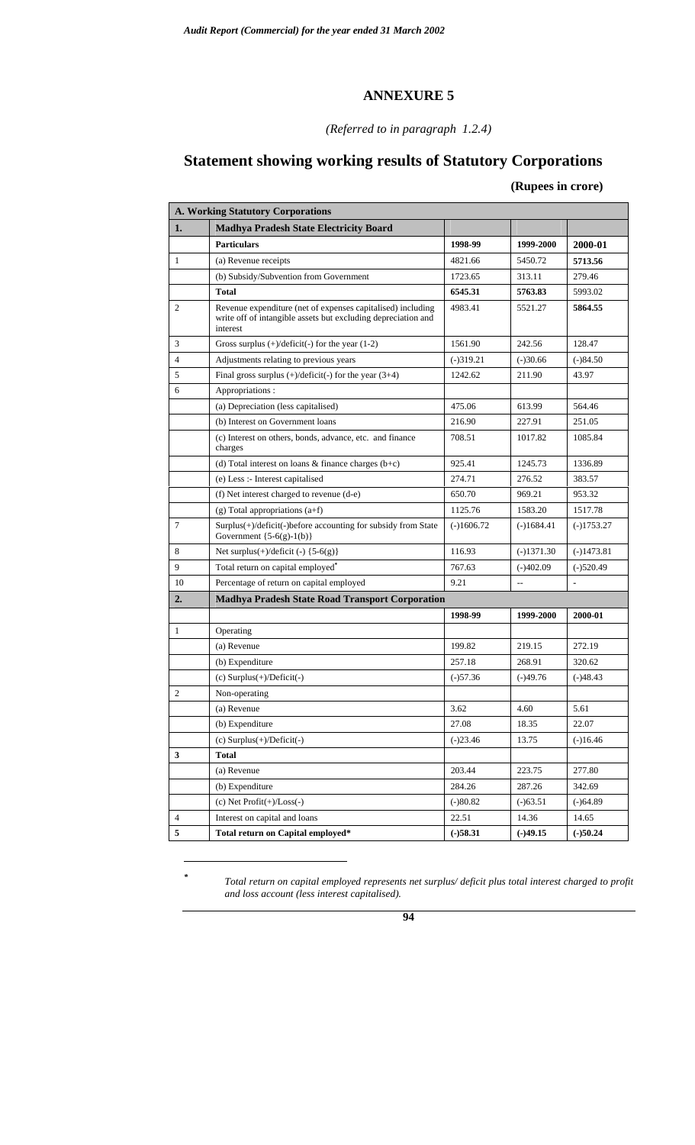#### *(Referred to in paragraph 1.2.4)*

# **Statement showing working results of Statutory Corporations**

#### **(Rupees in crore)**

|                | <b>A. Working Statutory Corporations</b>                                                                                                 |              |                |              |  |  |  |  |  |  |  |  |
|----------------|------------------------------------------------------------------------------------------------------------------------------------------|--------------|----------------|--------------|--|--|--|--|--|--|--|--|
| 1.             | <b>Madhya Pradesh State Electricity Board</b>                                                                                            |              |                |              |  |  |  |  |  |  |  |  |
|                | <b>Particulars</b>                                                                                                                       | 1998-99      | 1999-2000      | 2000-01      |  |  |  |  |  |  |  |  |
| $\mathbf{1}$   | (a) Revenue receipts                                                                                                                     | 4821.66      | 5450.72        | 5713.56      |  |  |  |  |  |  |  |  |
|                | (b) Subsidy/Subvention from Government                                                                                                   | 1723.65      | 313.11         | 279.46       |  |  |  |  |  |  |  |  |
|                | <b>Total</b>                                                                                                                             | 6545.31      | 5763.83        | 5993.02      |  |  |  |  |  |  |  |  |
| 2              | Revenue expenditure (net of expenses capitalised) including<br>write off of intangible assets but excluding depreciation and<br>interest | 4983.41      | 5521.27        | 5864.55      |  |  |  |  |  |  |  |  |
| 3              | Gross surplus $(+)/\text{deficit}(-)$ for the year $(1-2)$                                                                               | 1561.90      | 242.56         | 128.47       |  |  |  |  |  |  |  |  |
| $\overline{4}$ | Adjustments relating to previous years                                                                                                   | $(-)319.21$  | $(-)30.66$     | $(-)84.50$   |  |  |  |  |  |  |  |  |
| 5              | Final gross surplus $(+)/\text{deficit}(-)$ for the year $(3+4)$                                                                         | 1242.62      | 211.90         | 43.97        |  |  |  |  |  |  |  |  |
| 6              | Appropriations:                                                                                                                          |              |                |              |  |  |  |  |  |  |  |  |
|                | (a) Depreciation (less capitalised)                                                                                                      | 475.06       | 613.99         | 564.46       |  |  |  |  |  |  |  |  |
|                | (b) Interest on Government loans                                                                                                         | 216.90       | 227.91         | 251.05       |  |  |  |  |  |  |  |  |
|                | (c) Interest on others, bonds, advance, etc. and finance<br>charges                                                                      | 708.51       | 1017.82        | 1085.84      |  |  |  |  |  |  |  |  |
|                | (d) Total interest on loans $\&$ finance charges (b+c)                                                                                   | 925.41       | 1245.73        | 1336.89      |  |  |  |  |  |  |  |  |
|                | (e) Less :- Interest capitalised                                                                                                         | 274.71       | 276.52         | 383.57       |  |  |  |  |  |  |  |  |
|                | (f) Net interest charged to revenue (d-e)                                                                                                | 650.70       | 969.21         | 953.32       |  |  |  |  |  |  |  |  |
|                | $(g)$ Total appropriations $(a+f)$                                                                                                       | 1125.76      | 1583.20        | 1517.78      |  |  |  |  |  |  |  |  |
| 7              | Surplus(+)/deficit(-)before accounting for subsidy from State<br>Government $\{5-6(g)-1(b)\}$                                            | $(-)1606.72$ | $(-)1684.41$   | $(-)1753.27$ |  |  |  |  |  |  |  |  |
| 8              | Net surplus $(+)/$ deficit $(-)$ {5-6(g)}                                                                                                | 116.93       | $(-)1371.30$   | $(-)1473.81$ |  |  |  |  |  |  |  |  |
| 9              | Total return on capital employed <sup>*</sup>                                                                                            | 767.63       | $(-)402.09$    | $(-)520.49$  |  |  |  |  |  |  |  |  |
| 10             | Percentage of return on capital employed                                                                                                 | 9.21         | $\overline{a}$ |              |  |  |  |  |  |  |  |  |
| 2.             | <b>Madhya Pradesh State Road Transport Corporation</b>                                                                                   |              |                |              |  |  |  |  |  |  |  |  |
|                |                                                                                                                                          | 1998-99      | 1999-2000      | 2000-01      |  |  |  |  |  |  |  |  |
| 1              | Operating                                                                                                                                |              |                |              |  |  |  |  |  |  |  |  |
|                | (a) Revenue                                                                                                                              | 199.82       | 219.15         | 272.19       |  |  |  |  |  |  |  |  |
|                | (b) Expenditure                                                                                                                          | 257.18       | 268.91         | 320.62       |  |  |  |  |  |  |  |  |
|                | $(c)$ Surplus $(+)$ /Deficit $(-)$                                                                                                       | $(-)57.36$   | $(-)49.76$     | $(-)48.43$   |  |  |  |  |  |  |  |  |
| $\mathfrak{2}$ | Non-operating                                                                                                                            |              |                |              |  |  |  |  |  |  |  |  |
|                | (a) Revenue                                                                                                                              | 3.62         | 4.60           | 5.61         |  |  |  |  |  |  |  |  |
|                | (b) Expenditure                                                                                                                          | 27.08        | 18.35          | 22.07        |  |  |  |  |  |  |  |  |
|                | $(c)$ Surplus $(+)$ /Deficit $(-)$                                                                                                       | $(-)23.46$   | 13.75          | $(-)16.46$   |  |  |  |  |  |  |  |  |
| 3              | Total                                                                                                                                    |              |                |              |  |  |  |  |  |  |  |  |
|                | (a) Revenue                                                                                                                              | 203.44       | 223.75         | 277.80       |  |  |  |  |  |  |  |  |
|                | (b) Expenditure                                                                                                                          | 284.26       | 287.26         | 342.69       |  |  |  |  |  |  |  |  |
|                | $(c)$ Net Profit $(+)/$ Loss $(-)$                                                                                                       | $(-)80.82$   | $(-)63.51$     | $(-)64.89$   |  |  |  |  |  |  |  |  |
| 4              | Interest on capital and loans                                                                                                            | 22.51        | 14.36          | 14.65        |  |  |  |  |  |  |  |  |
| 5              | Total return on Capital employed*                                                                                                        | $(-)58.31$   | $(-)49.15$     | $(-)50.24$   |  |  |  |  |  |  |  |  |

 $\overline{a}$ 

*\* Total return on capital employed represents net surplus/ deficit plus total interest charged to profit and loss account (less interest capitalised).*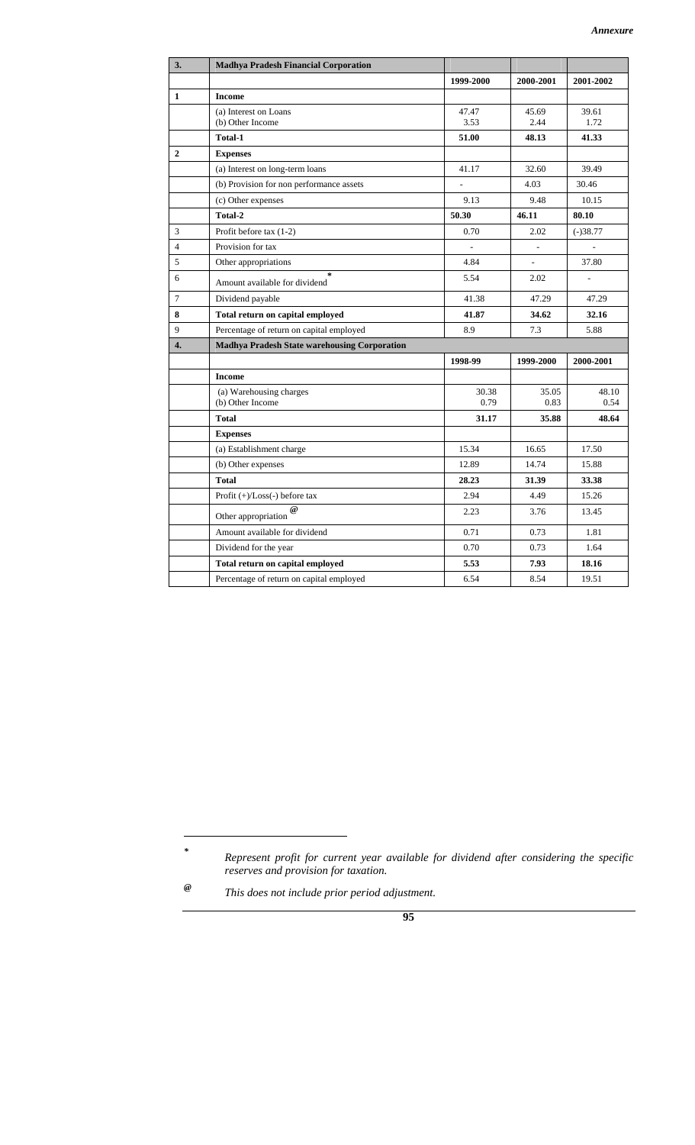| 3.             | <b>Madhya Pradesh Financial Corporation</b>         |               |                          |                |
|----------------|-----------------------------------------------------|---------------|--------------------------|----------------|
|                |                                                     | 1999-2000     | 2000-2001                | 2001-2002      |
| 1              | <b>Income</b>                                       |               |                          |                |
|                | (a) Interest on Loans<br>(b) Other Income           | 47.47<br>3.53 | 45.69<br>2.44            | 39.61<br>1.72  |
|                | <b>Total-1</b>                                      | 51.00         | 48.13                    | 41.33          |
| $\overline{2}$ | <b>Expenses</b>                                     |               |                          |                |
|                | (a) Interest on long-term loans                     | 41.17         | 32.60                    | 39.49          |
|                | (b) Provision for non performance assets            | $\frac{1}{2}$ | 4.03                     | 30.46          |
|                | (c) Other expenses                                  | 9.13          | 9.48                     | 10.15          |
|                | Total-2                                             | 50.30         | 46.11                    | 80.10          |
| 3              | Profit before tax $(1-2)$                           | 0.70          | 2.02                     | $(-)38.77$     |
| $\overline{4}$ | Provision for tax                                   |               |                          |                |
| 5              | Other appropriations                                | 4.84          | $\overline{\phantom{0}}$ | 37.80          |
| 6              | $\geq$<br>Amount available for dividend             | 5.54          | 2.02                     | $\overline{a}$ |
| $\tau$         | Dividend payable                                    | 41.38         | 47.29                    | 47.29          |
| 8              | Total return on capital employed                    | 41.87         | 34.62                    | 32.16          |
| 9              | Percentage of return on capital employed            | 8.9           | 7.3                      | 5.88           |
| 4.             | <b>Madhya Pradesh State warehousing Corporation</b> |               |                          |                |
|                |                                                     | 1998-99       | 1999-2000                | 2000-2001      |
|                | <b>Income</b>                                       |               |                          |                |
|                | (a) Warehousing charges<br>(b) Other Income         | 30.38<br>0.79 | 35.05<br>0.83            | 48.10<br>0.54  |
|                | <b>Total</b>                                        | 31.17         | 35.88                    | 48.64          |
|                | <b>Expenses</b>                                     |               |                          |                |
|                | (a) Establishment charge                            | 15.34         | 16.65                    | 17.50          |
|                | (b) Other expenses                                  | 12.89         | 14.74                    | 15.88          |
|                | <b>Total</b>                                        | 28.23         | 31.39                    | 33.38          |
|                | Profit (+)/Loss(-) before tax                       | 2.94          | 4.49                     | 15.26          |
|                | $\omega$<br>Other appropriation                     | 2.23          | 3.76                     | 13.45          |
|                | Amount available for dividend                       | 0.71          | 0.73                     | 1.81           |
|                | Dividend for the year                               | 0.70          | 0.73                     | 1.64           |
|                | Total return on capital employed                    | 5.53          | 7.93                     | 18.16          |
|                | Percentage of return on capital employed            | 6.54          | 8.54                     | 19.51          |

 $\overline{a}$ *\**

*Represent profit for current year available for dividend after considering the specific reserves and provision for taxation.* 

*<sup>@</sup> This does not include prior period adjustment.*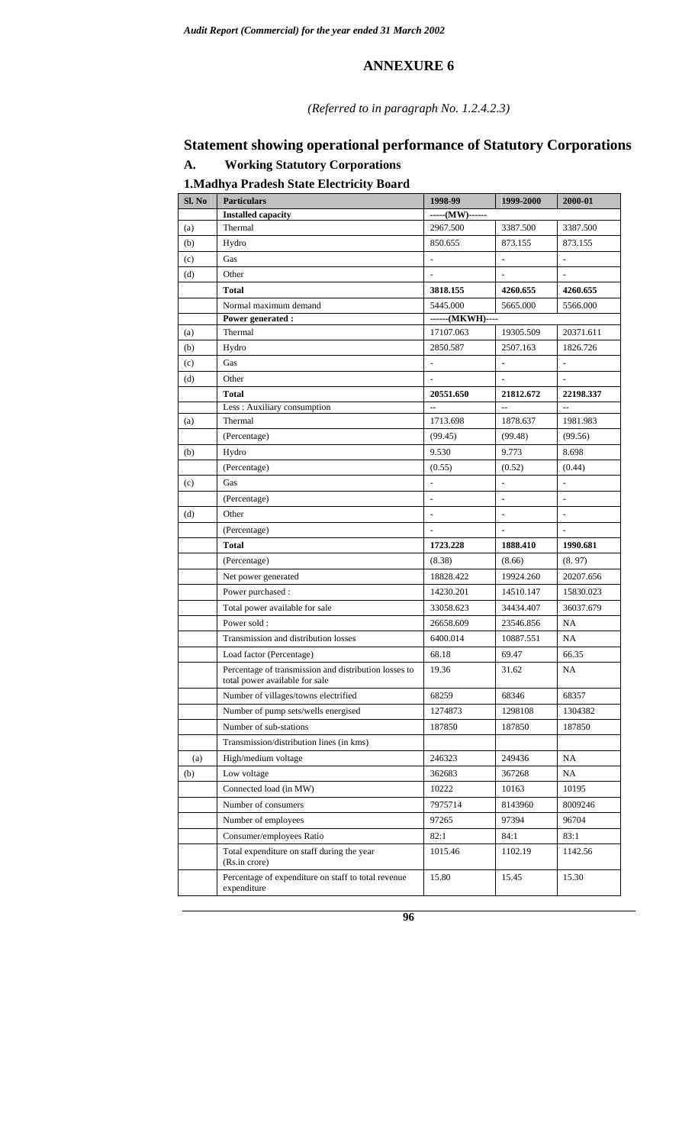#### *(Referred to in paragraph No. 1.2.4.2.3)*

# **Statement showing operational performance of Statutory Corporations**

# **A. Working Statutory Corporations**

## **1.Madhya Pradesh State Electricity Board**

| Sl. No | <b>Particulars</b>                                                 | 1998-99                  | 1999-2000                | 2000-01                  |
|--------|--------------------------------------------------------------------|--------------------------|--------------------------|--------------------------|
|        | <b>Installed capacity</b>                                          | $---(MW)$ ------         |                          |                          |
| (a)    | Thermal                                                            | 2967.500                 | 3387.500                 | 3387.500                 |
| (b)    | Hydro                                                              | 850.655                  | 873.155                  | 873.155                  |
| (c)    | Gas                                                                | $\overline{a}$           |                          |                          |
| (d)    | Other                                                              |                          |                          |                          |
|        | <b>Total</b>                                                       | 3818.155                 | 4260.655                 | 4260.655                 |
|        | Normal maximum demand                                              | 5445.000                 | 5665.000                 | 5566.000                 |
|        | Power generated :                                                  | ------(MKWH)----         |                          |                          |
| (a)    | Thermal                                                            | 17107.063                | 19305.509                | 20371.611                |
| (b)    | Hydro                                                              | 2850.587                 | 2507.163                 | 1826.726                 |
| (c)    | Gas                                                                |                          | $\overline{\phantom{a}}$ | $\overline{\phantom{a}}$ |
| (d)    | Other                                                              |                          |                          | $\overline{\phantom{a}}$ |
|        | <b>Total</b>                                                       | 20551.650                | 21812.672                | 22198.337                |
|        | Less : Auxiliary consumption                                       | $\sim$                   | $\sim$                   | $\overline{a}$           |
| (a)    | Thermal                                                            | 1713.698                 | 1878.637                 | 1981.983                 |
|        | (Percentage)                                                       | (99.45)                  | (99.48)                  | (99.56)                  |
| (b)    | Hydro                                                              | 9.530                    | 9.773                    | 8.698                    |
|        | (Percentage)                                                       | (0.55)                   | (0.52)                   | (0.44)                   |
| (c)    | Gas                                                                | $\overline{a}$           | $\frac{1}{2}$            | $\overline{\phantom{a}}$ |
|        | (Percentage)                                                       | $\overline{\phantom{a}}$ | $\overline{a}$           | $\overline{\phantom{a}}$ |
| (d)    | Other                                                              | $\overline{\phantom{a}}$ | ÷,                       | $\overline{\phantom{a}}$ |
|        | (Percentage)                                                       | $\overline{a}$           | $\overline{\phantom{a}}$ | ÷                        |
|        | <b>Total</b>                                                       | 1723.228                 | 1888.410                 | 1990.681                 |
|        | (Percentage)                                                       | (8.38)                   | (8.66)                   | (8.97)                   |
|        | Net power generated                                                | 18828.422                | 19924.260                | 20207.656                |
|        | Power purchased :                                                  | 14230.201                | 14510.147                | 15830.023                |
|        | Total power available for sale                                     | 33058.623                | 34434.407                | 36037.679                |
|        | Power sold:                                                        | 26658.609                | 23546.856                | NA                       |
|        | Transmission and distribution losses                               | 6400.014                 | 10887.551                | NA                       |
|        | Load factor (Percentage)                                           | 68.18                    | 69.47                    | 66.35                    |
|        | Percentage of transmission and distribution losses to              | 19.36                    | 31.62                    | <b>NA</b>                |
|        | total power available for sale                                     |                          |                          |                          |
|        | Number of villages/towns electrified                               | 68259                    | 68346                    | 68357                    |
|        | Number of pump sets/wells energised                                | 1274873                  | 1298108                  | 1304382                  |
|        | Number of sub-stations                                             | 187850                   | 187850                   | 187850                   |
|        | Transmission/distribution lines (in kms)                           |                          |                          |                          |
| (a)    | High/medium voltage                                                | 246323                   | 249436                   | NA                       |
| (b)    | Low voltage                                                        | 362683                   | 367268                   | NA                       |
|        | Connected load (in MW)                                             | 10222                    | 10163                    | 10195                    |
|        | Number of consumers                                                | 7975714                  | 8143960                  | 8009246                  |
|        | Number of employees                                                | 97265                    | 97394                    | 96704                    |
|        | Consumer/employees Ratio                                           | 82:1                     | 84:1                     | 83:1                     |
|        | Total expenditure on staff during the year                         | 1015.46                  | 1102.19                  | 1142.56                  |
|        | (Rs.in crore)                                                      |                          |                          |                          |
|        | Percentage of expenditure on staff to total revenue<br>expenditure | 15.80                    | 15.45                    | 15.30                    |
|        |                                                                    |                          |                          |                          |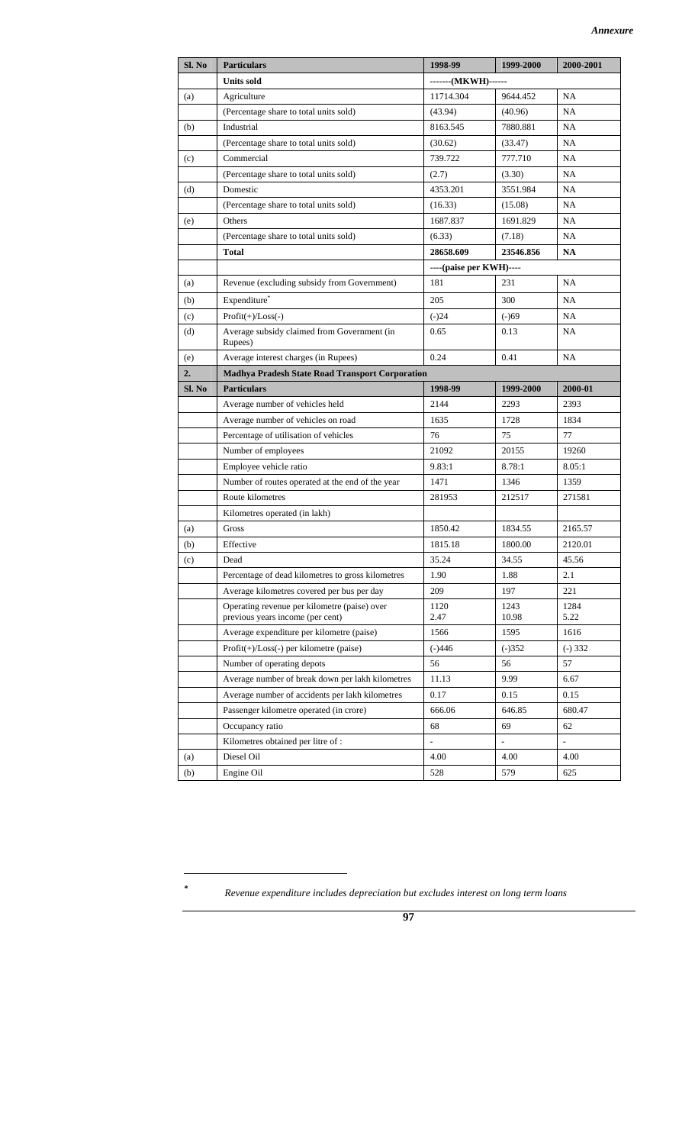| Sl. No | <b>Particulars</b>                                                               | 1998-99                 | 1999-2000     | 2000-2001    |
|--------|----------------------------------------------------------------------------------|-------------------------|---------------|--------------|
|        | <b>Units sold</b>                                                                | -------(MKWH)------     |               |              |
| (a)    | Agriculture                                                                      | 11714.304               | 9644.452      | NA           |
|        | (Percentage share to total units sold)                                           | (43.94)                 | (40.96)       | <b>NA</b>    |
| (b)    | Industrial                                                                       | 8163.545                | 7880.881      | <b>NA</b>    |
|        | (Percentage share to total units sold)                                           | (30.62)                 | (33.47)       | NA           |
| (c)    | Commercial                                                                       | 739.722                 | 777.710       | NA           |
|        | (Percentage share to total units sold)                                           | (2.7)                   | (3.30)        | NA           |
| (d)    | Domestic                                                                         | 4353.201                | 3551.984      | <b>NA</b>    |
|        | (Percentage share to total units sold)                                           | (16.33)                 | (15.08)       | NA           |
| (e)    | Others                                                                           | 1687.837                | 1691.829      | NA           |
|        | (Percentage share to total units sold)                                           | (6.33)                  | (7.18)        | NA           |
|        | <b>Total</b>                                                                     | 28658.609               | 23546.856     | NA           |
|        |                                                                                  | ----(paise per KWH)---- |               |              |
| (a)    | Revenue (excluding subsidy from Government)                                      | 181                     | 231           | NA           |
| (b)    | Expenditure*                                                                     | 205                     | 300           | NA           |
| (c)    | $Profit(+)/Loss(-)$                                                              | $(-)24$                 | $(-)69$       | NA           |
| (d)    | Average subsidy claimed from Government (in                                      | 0.65                    | 0.13          | <b>NA</b>    |
|        | Rupees)                                                                          |                         |               |              |
| (e)    | Average interest charges (in Rupees)                                             | 0.24                    | 0.41          | <b>NA</b>    |
| 2.     | <b>Madhya Pradesh State Road Transport Corporation</b>                           |                         |               |              |
| Sl. No | <b>Particulars</b>                                                               | 1998-99                 | 1999-2000     | 2000-01      |
|        | Average number of vehicles held                                                  | 2144                    | 2293          | 2393         |
|        | Average number of vehicles on road                                               | 1635                    | 1728          | 1834         |
|        | Percentage of utilisation of vehicles                                            | 76                      | 75            | 77           |
|        | Number of employees                                                              | 21092                   | 20155         | 19260        |
|        | Employee vehicle ratio                                                           | 9.83:1                  | 8.78:1        | 8.05:1       |
|        | Number of routes operated at the end of the year                                 | 1471                    | 1346          | 1359         |
|        | Route kilometres                                                                 | 281953                  | 212517        | 271581       |
|        | Kilometres operated (in lakh)                                                    |                         |               |              |
| (a)    | Gross                                                                            | 1850.42                 | 1834.55       | 2165.57      |
| (b)    | Effective                                                                        | 1815.18                 | 1800.00       | 2120.01      |
| (c)    | Dead                                                                             | 35.24                   | 34.55         | 45.56        |
|        | Percentage of dead kilometres to gross kilometres                                | 1.90                    | 1.88          | 2.1          |
|        | Average kilometres covered per bus per day                                       | 209                     | 197           | 221          |
|        | Operating revenue per kilometre (paise) over<br>previous years income (per cent) | 1120<br>2.47            | 1243<br>10.98 | 1284<br>5.22 |
|        | Average expenditure per kilometre (paise)                                        | 1566                    | 1595          | 1616         |
|        | $Profit(+) / Loss(-)$ per kilometre (paise)                                      | $(-)446$                | $(-)352$      | $(-) 332$    |
|        | Number of operating depots                                                       | 56                      | 56            | 57           |
|        | Average number of break down per lakh kilometres                                 | 11.13                   | 9.99          | 6.67         |
|        | Average number of accidents per lakh kilometres                                  | 0.17                    | 0.15          | 0.15         |
|        | Passenger kilometre operated (in crore)                                          | 666.06                  | 646.85        | 680.47       |
|        | Occupancy ratio                                                                  | 68                      | 69            | 62           |
|        | Kilometres obtained per litre of :                                               |                         |               |              |
| (a)    | Diesel Oil                                                                       | 4.00                    | 4.00          | 4.00         |
| (b)    | Engine Oil                                                                       | 528                     | 579           | 625          |

 $\overline{a}$ *\**

 *Revenue expenditure includes depreciation but excludes interest on long term loans*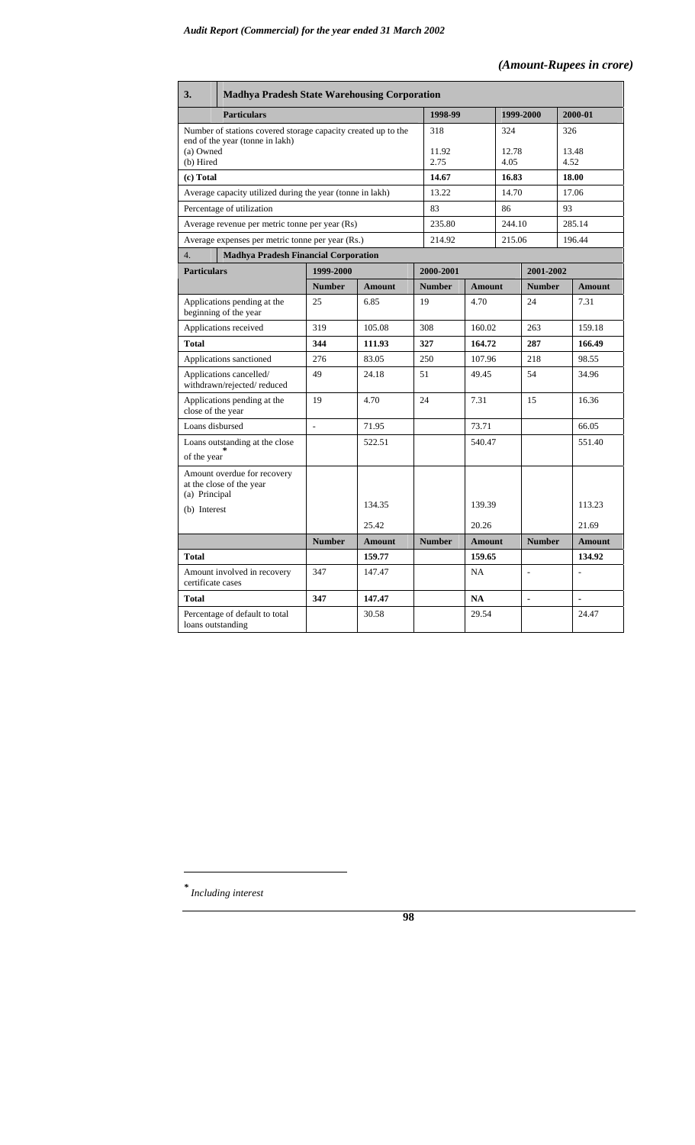#### *(Amount-Rupees in crore)*

| 3.                     | <b>Madhya Pradesh State Warehousing Corporation</b>                                              |                |               |    |               |               |               |                |               |                |  |  |
|------------------------|--------------------------------------------------------------------------------------------------|----------------|---------------|----|---------------|---------------|---------------|----------------|---------------|----------------|--|--|
|                        | <b>Particulars</b>                                                                               |                |               |    | 1998-99       |               | 1999-2000     |                |               | 2000-01        |  |  |
|                        | Number of stations covered storage capacity created up to the<br>end of the year (tonne in lakh) |                |               |    | 318           |               | 324           |                |               | 326            |  |  |
| (a) Owned<br>(b) Hired |                                                                                                  |                |               |    | 11.92<br>2.75 |               | 12.78<br>4.05 |                | 13.48<br>4.52 |                |  |  |
| (c) Total              |                                                                                                  |                |               |    | 14.67         |               | 16.83         |                | 18.00         |                |  |  |
|                        | Average capacity utilized during the year (tonne in lakh)                                        |                |               |    | 13.22         |               | 14.70         |                | 17.06         |                |  |  |
|                        | Percentage of utilization                                                                        |                |               |    | 83            |               | 86            |                | 93            |                |  |  |
|                        | Average revenue per metric tonne per year (Rs)                                                   |                |               |    | 235.80        |               | 244.10        |                |               | 285.14         |  |  |
|                        | Average expenses per metric tonne per year (Rs.)                                                 |                |               |    | 214.92        |               | 215.06        |                |               | 196.44         |  |  |
| 4.                     | <b>Madhya Pradesh Financial Corporation</b>                                                      |                |               |    |               |               |               |                |               |                |  |  |
| <b>Particulars</b>     |                                                                                                  | 1999-2000      |               |    | 2000-2001     |               |               | 2001-2002      |               |                |  |  |
|                        |                                                                                                  | <b>Number</b>  | <b>Amount</b> |    | <b>Number</b> | <b>Amount</b> |               | <b>Number</b>  |               | <b>Amount</b>  |  |  |
|                        | Applications pending at the<br>beginning of the year                                             | 25             | 6.85          | 19 |               | 4.70          |               | 24             |               | 7.31           |  |  |
|                        | Applications received                                                                            | 319            | 105.08        |    | 308           | 160.02        |               | 263            |               | 159.18         |  |  |
| <b>Total</b>           |                                                                                                  | 344            | 111.93        |    | 327           | 164.72        |               | 287            |               | 166.49         |  |  |
|                        | Applications sanctioned                                                                          | 276            | 83.05         |    | 250           | 107.96        |               | 218            |               | 98.55          |  |  |
|                        | Applications cancelled/<br>withdrawn/rejected/reduced                                            | 49             | 24.18         |    | 51<br>49.45   |               |               | 54             |               | 34.96          |  |  |
| close of the year      | Applications pending at the                                                                      | 19             | 4.70          |    | 24<br>7.31    |               |               | 15             |               | 16.36          |  |  |
| Loans disbursed        |                                                                                                  | $\overline{a}$ | 71.95         |    |               | 73.71         |               |                |               | 66.05          |  |  |
| of the year            | Loans outstanding at the close                                                                   |                | 522.51        |    |               | 540.47        |               |                |               | 551.40         |  |  |
| (a) Principal          | Amount overdue for recovery<br>at the close of the year                                          |                |               |    |               |               |               |                |               |                |  |  |
| (b) Interest           |                                                                                                  |                | 134.35        |    |               | 139.39        |               |                |               | 113.23         |  |  |
|                        |                                                                                                  |                | 25.42         |    |               | 20.26         |               |                |               | 21.69          |  |  |
|                        |                                                                                                  | <b>Number</b>  | <b>Amount</b> |    | <b>Number</b> | <b>Amount</b> |               | <b>Number</b>  |               | <b>Amount</b>  |  |  |
| <b>Total</b>           |                                                                                                  |                | 159.77        |    |               | 159.65        |               |                |               | 134.92         |  |  |
| certificate cases      | Amount involved in recovery                                                                      | 347            | 147.47        |    |               | <b>NA</b>     |               | $\overline{a}$ |               |                |  |  |
| Total                  |                                                                                                  | 347            | 147.47        |    |               | <b>NA</b>     |               | $\blacksquare$ |               | $\overline{a}$ |  |  |
| loans outstanding      | Percentage of default to total                                                                   |                | 30.58         |    |               | 29.54         |               |                |               | 24.47          |  |  |

*\* Including interest* 

 $\overline{a}$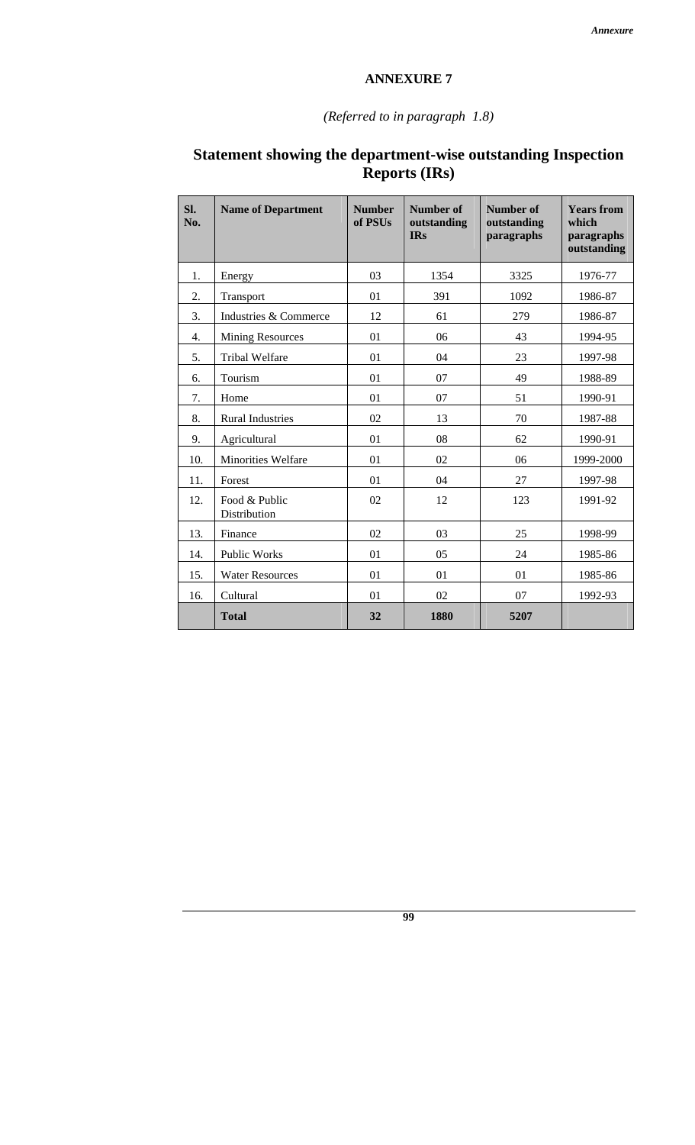## *(Referred to in paragraph 1.8)*

| SI.<br>No.       | <b>Name of Department</b>     | <b>Number</b><br>of PSUs | <b>Number of</b><br>outstanding<br><b>IRs</b> | <b>Number of</b><br>outstanding<br>paragraphs | <b>Years from</b><br>which<br>paragraphs<br>outstanding |
|------------------|-------------------------------|--------------------------|-----------------------------------------------|-----------------------------------------------|---------------------------------------------------------|
| 1.               | Energy                        | 03                       | 1354                                          | 3325                                          | 1976-77                                                 |
| 2.               | Transport                     | 01                       | 391                                           | 1092                                          | 1986-87                                                 |
| 3.               | Industries & Commerce         | 12                       | 61                                            | 279                                           | 1986-87                                                 |
| $\overline{4}$ . | <b>Mining Resources</b>       | 01                       | 06                                            | 43                                            | 1994-95                                                 |
| 5.               | <b>Tribal Welfare</b>         | 01                       | 04                                            | 23                                            | 1997-98                                                 |
| 6.               | Tourism                       | 01                       | 07                                            | 49                                            | 1988-89                                                 |
| 7.               | Home                          | 01                       | 07                                            | 51                                            | 1990-91                                                 |
| 8.               | <b>Rural Industries</b>       | 02                       | 13                                            | 70                                            | 1987-88                                                 |
| 9.               | Agricultural                  | 01                       | 08                                            | 62                                            | 1990-91                                                 |
| 10.              | <b>Minorities Welfare</b>     | 01                       | 02                                            | 06                                            | 1999-2000                                               |
| 11.              | Forest                        | 01                       | 04                                            | 27                                            | 1997-98                                                 |
| 12.              | Food & Public<br>Distribution | 02                       | 12                                            | 123                                           | 1991-92                                                 |
| 13.              | Finance                       | 02                       | 03                                            | 25                                            | 1998-99                                                 |
| 14.              | Public Works                  | 01                       | 05                                            | 24                                            | 1985-86                                                 |
| 15.              | <b>Water Resources</b>        | 01                       | 01                                            | 01                                            | 1985-86                                                 |
| 16.              | Cultural                      | 01                       | 02                                            |                                               | 1992-93                                                 |
|                  | <b>Total</b>                  | 32                       | 1880                                          | 5207                                          |                                                         |

## **Statement showing the department-wise outstanding Inspection Reports (IRs)**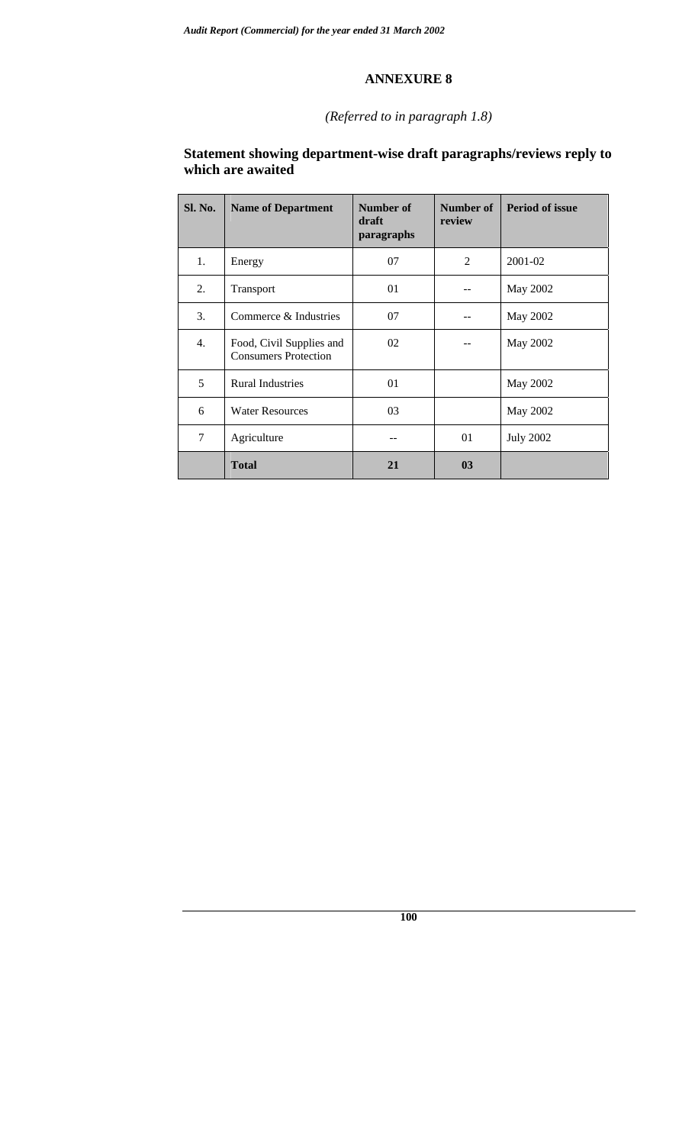## *(Referred to in paragraph 1.8)*

#### **Statement showing department-wise draft paragraphs/reviews reply to which are awaited**

| Sl. No. | <b>Name of Department</b>                               | Number of<br>draft<br>paragraphs | Number of<br>review | <b>Period of issue</b> |
|---------|---------------------------------------------------------|----------------------------------|---------------------|------------------------|
| 1.      | Energy                                                  | 07                               | 2                   | 2001-02                |
| 2.      | Transport                                               | 01                               |                     | May 2002               |
| 3.      | Commerce & Industries                                   | 07                               |                     | May 2002               |
| 4.      | Food, Civil Supplies and<br><b>Consumers Protection</b> | 02                               |                     | May 2002               |
| 5       | <b>Rural Industries</b>                                 | 01                               |                     | May 2002               |
| 6       | <b>Water Resources</b>                                  | 03                               |                     | May 2002               |
| 7       | Agriculture                                             |                                  | 01                  | <b>July 2002</b>       |
|         | <b>Total</b>                                            | 21                               | 0 <sub>3</sub>      |                        |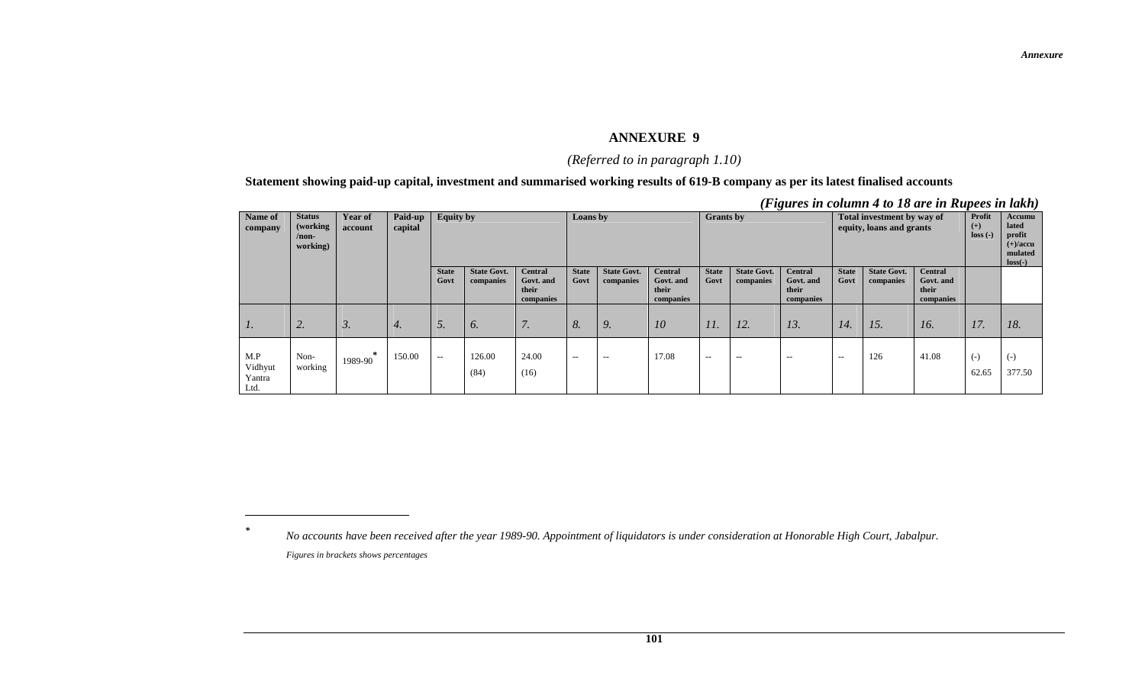#### *(Referred to in paragraph 1.10)*

#### **Statement showing paid-up capital, investment and summarised working results of 619-B company as per its latest finalised accounts**

|                                  |                                                    |                    |                    |                      |                                 |                                                   |                              |                                 |                                                   |                          |                                 | $(1 \kappa u \kappa v)$ in counting $\tau$ to 10 and in Kupces in turner |                      |                                 |                                                                 |                |                 |
|----------------------------------|----------------------------------------------------|--------------------|--------------------|----------------------|---------------------------------|---------------------------------------------------|------------------------------|---------------------------------|---------------------------------------------------|--------------------------|---------------------------------|--------------------------------------------------------------------------|----------------------|---------------------------------|-----------------------------------------------------------------|----------------|-----------------|
| Name of<br>company               | <b>Status</b><br>(working)<br>$/$ non-<br>working) | Year of<br>account | Paid-up<br>capital | <b>Equity by</b>     |                                 |                                                   | <b>Grants</b> by<br>Loans by |                                 |                                                   |                          |                                 | Total investment by way of<br>equity, loans and grants                   |                      | Profit<br>$(+)$<br>$loss(-)$    | Accumu<br>lated<br>profit<br>$(+)/accu$<br>mulated<br>$loss(-)$ |                |                 |
|                                  |                                                    |                    |                    | <b>State</b><br>Govt | <b>State Govt.</b><br>companies | <b>Central</b><br>Govt. and<br>their<br>companies | <b>State</b><br>Govt         | <b>State Govt.</b><br>companies | <b>Central</b><br>Govt. and<br>their<br>companies | <b>State</b><br>Govt     | <b>State Govt.</b><br>companies | <b>Central</b><br>Govt. and<br>their<br>companies                        | <b>State</b><br>Govt | <b>State Govt.</b><br>companies | <b>Central</b><br>Govt. and<br>their<br>companies               |                |                 |
| $\mathcal{I}$ .                  | 2.                                                 | 3.                 | 4.                 | 5.                   | 6.                              | 7.                                                | 8.                           | 9.                              | 10                                                | 11.                      | 12.                             | 13.                                                                      | 14.                  | 15.                             | 16.                                                             | 17.            | 18.             |
| M.P<br>Vidhyut<br>Yantra<br>Ltd. | Non-<br>working                                    | 1989-90            | 150.00             | $- -$                | 126.00<br>(84)                  | 24.00<br>(16)                                     | $- -$                        | $\hspace{0.05cm} -$             | 17.08                                             | $\overline{\phantom{m}}$ | $\sim$ $-$                      | $\hspace{0.05cm} \ldots$                                                 | $- -$                | 126                             | 41.08                                                           | $(-)$<br>62.65 | $(-)$<br>377.50 |

*<sup>(</sup>Figures in column 4 to 18 are in Rupees in lakh)* 

*\**

*No accounts have been received after the year 1989-90. Appointment of liquidators is under consideration at Honorable High Court, Jabalpur. Figures in brackets shows percentages*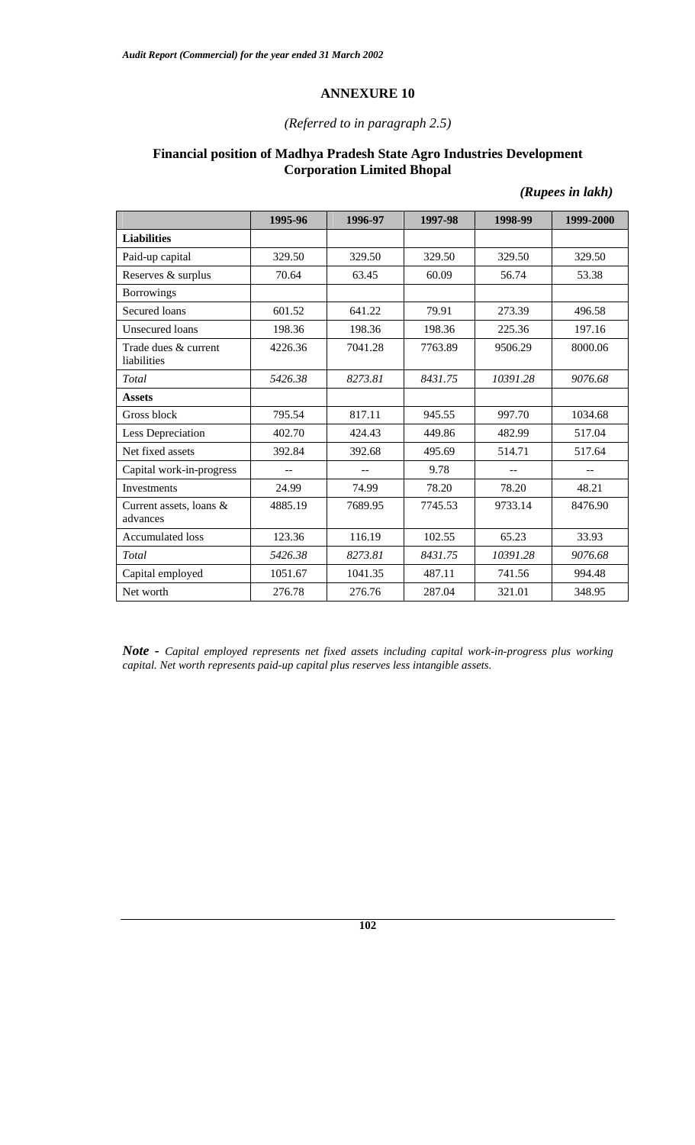#### *(Referred to in paragraph 2.5)*

#### **Financial position of Madhya Pradesh State Agro Industries Development Corporation Limited Bhopal**

|                                       | 1995-96 | 1996-97 | 1997-98 | 1998-99  | 1999-2000 |
|---------------------------------------|---------|---------|---------|----------|-----------|
| <b>Liabilities</b>                    |         |         |         |          |           |
| Paid-up capital                       | 329.50  | 329.50  | 329.50  | 329.50   | 329.50    |
| Reserves & surplus                    | 70.64   | 63.45   | 60.09   | 56.74    | 53.38     |
| <b>Borrowings</b>                     |         |         |         |          |           |
| Secured loans                         | 601.52  | 641.22  | 79.91   | 273.39   | 496.58    |
| Unsecured loans                       | 198.36  | 198.36  | 198.36  | 225.36   | 197.16    |
| Trade dues & current<br>liabilities   | 4226.36 | 7041.28 | 7763.89 | 9506.29  | 8000.06   |
| Total                                 | 5426.38 | 8273.81 | 8431.75 | 10391.28 | 9076.68   |
| <b>Assets</b>                         |         |         |         |          |           |
| Gross block                           | 795.54  | 817.11  | 945.55  | 997.70   | 1034.68   |
| Less Depreciation                     | 402.70  | 424.43  | 449.86  | 482.99   | 517.04    |
| Net fixed assets                      | 392.84  | 392.68  | 495.69  | 514.71   | 517.64    |
| Capital work-in-progress              |         |         | 9.78    |          |           |
| <b>Investments</b>                    | 24.99   | 74.99   | 78.20   | 78.20    | 48.21     |
| Current assets, loans $&$<br>advances | 4885.19 | 7689.95 | 7745.53 | 9733.14  | 8476.90   |
| Accumulated loss                      | 123.36  | 116.19  | 102.55  | 65.23    | 33.93     |
| Total                                 | 5426.38 | 8273.81 | 8431.75 | 10391.28 | 9076.68   |
| Capital employed                      | 1051.67 | 1041.35 | 487.11  | 741.56   | 994.48    |
| Net worth                             | 276.78  | 276.76  | 287.04  | 321.01   | 348.95    |

*(Rupees in lakh)* 

*Note - Capital employed represents net fixed assets including capital work-in-progress plus working capital. Net worth represents paid-up capital plus reserves less intangible assets.*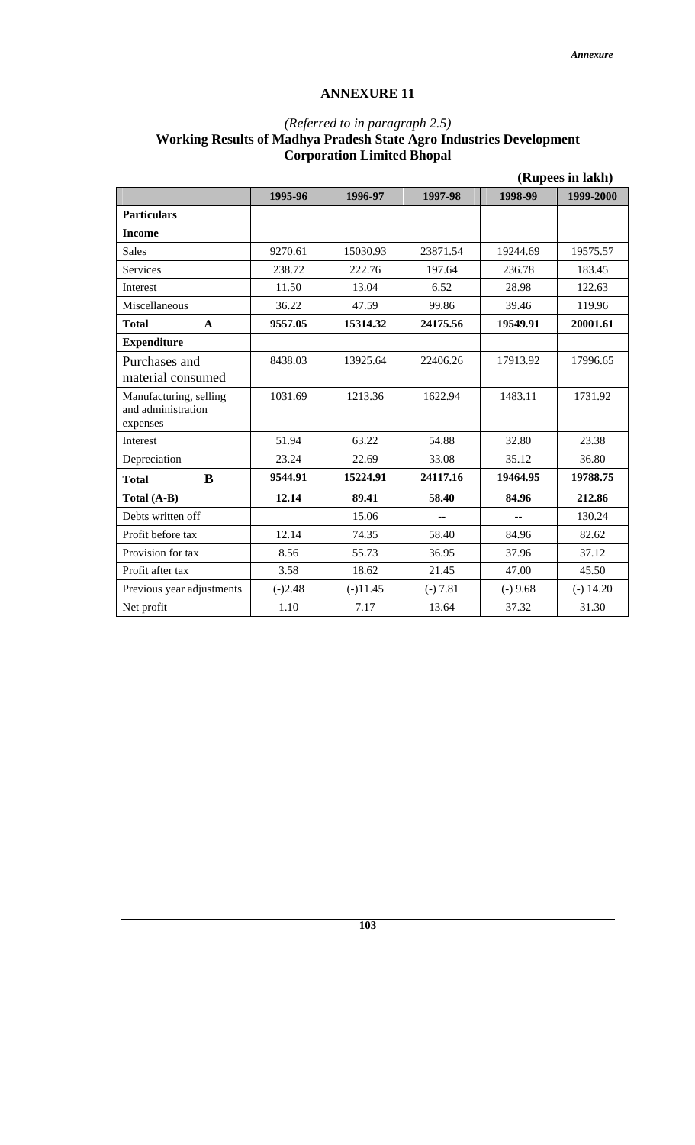#### *(Referred to in paragraph 2.5)*  **Working Results of Madhya Pradesh State Agro Industries Development Corporation Limited Bhopal**

|                                                          | (Rupees in lakh) |            |            |                |             |
|----------------------------------------------------------|------------------|------------|------------|----------------|-------------|
|                                                          | 1995-96          | 1996-97    | 1997-98    | 1998-99        | 1999-2000   |
| <b>Particulars</b>                                       |                  |            |            |                |             |
| <b>Income</b>                                            |                  |            |            |                |             |
| <b>Sales</b>                                             | 9270.61          | 15030.93   | 23871.54   | 19244.69       | 19575.57    |
| Services                                                 | 238.72           | 222.76     | 197.64     | 236.78         | 183.45      |
| Interest                                                 | 11.50            | 13.04      | 6.52       | 28.98          | 122.63      |
| Miscellaneous                                            | 36.22            | 47.59      | 99.86      | 39.46          | 119.96      |
| <b>Total</b><br>$\mathbf{A}$                             | 9557.05          | 15314.32   | 24175.56   | 19549.91       | 20001.61    |
| <b>Expenditure</b>                                       |                  |            |            |                |             |
| Purchases and<br>material consumed                       | 8438.03          | 13925.64   | 22406.26   | 17913.92       | 17996.65    |
| Manufacturing, selling<br>and administration<br>expenses | 1031.69          | 1213.36    | 1622.94    | 1483.11        | 1731.92     |
| Interest                                                 | 51.94            | 63.22      | 54.88      | 32.80          | 23.38       |
| Depreciation                                             | 23.24            | 22.69      | 33.08      | 35.12          | 36.80       |
| B<br><b>Total</b>                                        | 9544.91          | 15224.91   | 24117.16   | 19464.95       | 19788.75    |
| Total (A-B)                                              | 12.14            | 89.41      | 58.40      | 84.96          | 212.86      |
| Debts written off                                        |                  | 15.06      | $-$        | $\overline{a}$ | 130.24      |
| Profit before tax                                        | 12.14            | 74.35      | 58.40      | 84.96          | 82.62       |
| Provision for tax                                        | 8.56             | 55.73      | 36.95      | 37.96          | 37.12       |
| Profit after tax                                         | 3.58             | 18.62      | 21.45      | 47.00          | 45.50       |
| Previous year adjustments                                | $(-)2.48$        | $(-)11.45$ | $(-) 7.81$ | $(-) 9.68$     | $(-) 14.20$ |
| Net profit                                               | 1.10             | 7.17       | 13.64      | 37.32          | 31.30       |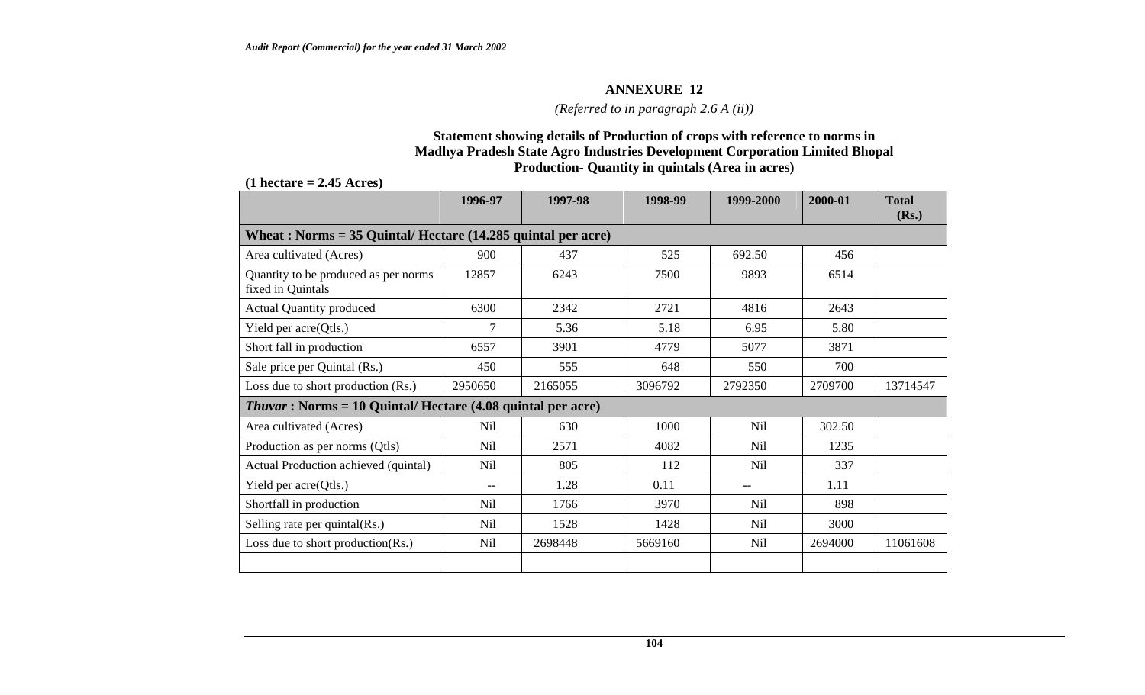*(Referred to in paragraph 2.6 A (ii))* 

#### **Statement showing details of Production of crops with reference to norms in Madhya Pradesh State Agro Industries Development Corporation Limited Bhopal Production- Quantity in quintals (Area in acres)**

#### **(1 hectare = 2.45 Acres)**

| 1996-97        | 1997-98 | 1998-99                                                                                                                                | 1999-2000       | 2000-01 | <b>Total</b><br>(Rs.) |
|----------------|---------|----------------------------------------------------------------------------------------------------------------------------------------|-----------------|---------|-----------------------|
|                |         |                                                                                                                                        |                 |         |                       |
| 900            | 437     | 525                                                                                                                                    | 692.50          | 456     |                       |
| 12857          | 6243    | 7500                                                                                                                                   | 9893            | 6514    |                       |
| 6300           | 2342    | 2721                                                                                                                                   | 4816            | 2643    |                       |
| $\overline{7}$ | 5.36    | 5.18                                                                                                                                   | 6.95            | 5.80    |                       |
| 6557           | 3901    | 4779                                                                                                                                   | 5077            | 3871    |                       |
| 450            | 555     | 648                                                                                                                                    | 550             | 700     |                       |
| 2950650        | 2165055 | 3096792                                                                                                                                | 2792350         | 2709700 | 13714547              |
|                |         |                                                                                                                                        |                 |         |                       |
| Nil            | 630     | 1000                                                                                                                                   | Nil             | 302.50  |                       |
| <b>Nil</b>     | 2571    | 4082                                                                                                                                   | <b>Nil</b>      | 1235    |                       |
| <b>Nil</b>     | 805     | 112                                                                                                                                    | N <sub>il</sub> | 337     |                       |
| $-$            | 1.28    | 0.11                                                                                                                                   | $-$             | 1.11    |                       |
| Nil            | 1766    | 3970                                                                                                                                   | Nil             | 898     |                       |
| Nil            | 1528    | 1428                                                                                                                                   | Nil             | 3000    |                       |
| Nil            | 2698448 | 5669160                                                                                                                                | <b>Nil</b>      | 2694000 | 11061608              |
|                |         | Wheat: Norms = $35$ Quintal/Hectare (14.285 quintal per acre)<br><i>Thuvar</i> : Norms = 10 Quintal/ Hectare $(4.08$ quintal per acre) |                 |         |                       |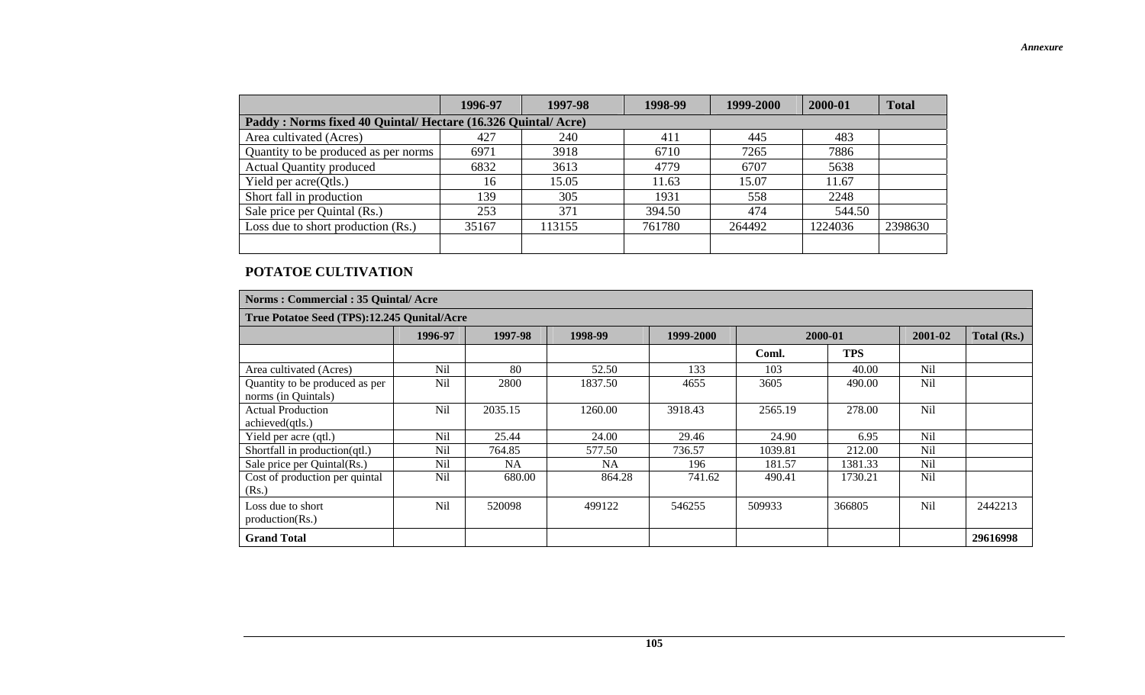|                                                               | 1996-97 | 1997-98 | 1998-99 | 1999-2000 | 2000-01 | <b>Total</b> |  |  |  |
|---------------------------------------------------------------|---------|---------|---------|-----------|---------|--------------|--|--|--|
| Paddy: Norms fixed 40 Quintal/ Hectare (16.326 Quintal/ Acre) |         |         |         |           |         |              |  |  |  |
| Area cultivated (Acres)                                       | 427     | 240     | 411     | 445       | 483     |              |  |  |  |
| Quantity to be produced as per norms                          | 6971    | 3918    | 6710    | 7265      | 7886    |              |  |  |  |
| <b>Actual Quantity produced</b>                               | 6832    | 3613    | 4779    | 6707      | 5638    |              |  |  |  |
| Yield per acre(Qtls.)                                         | 16      | 15.05   | 11.63   | 15.07     | 11.67   |              |  |  |  |
| Short fall in production                                      | 139     | 305     | 1931    | 558       | 2248    |              |  |  |  |
| Sale price per Quintal (Rs.)                                  | 253     | 371     | 394.50  | 474       | 544.50  |              |  |  |  |
| Loss due to short production (Rs.)                            | 35167   | 113155  | 761780  | 264492    | 1224036 | 2398630      |  |  |  |
|                                                               |         |         |         |           |         |              |  |  |  |

#### **POTATOE CULTIVATION**

| Norms: Commercial: 35 Quintal/ Acre                   |            |           |           |           |         |            |            |             |  |
|-------------------------------------------------------|------------|-----------|-----------|-----------|---------|------------|------------|-------------|--|
| True Potatoe Seed (TPS):12.245 Qunital/Acre           |            |           |           |           |         |            |            |             |  |
|                                                       | 1996-97    | 1997-98   | 1998-99   | 1999-2000 | 2000-01 |            | 2001-02    | Total (Rs.) |  |
|                                                       |            |           |           |           | Coml.   | <b>TPS</b> |            |             |  |
| Area cultivated (Acres)                               | <b>Nil</b> | 80        | 52.50     | 133       | 103     | 40.00      | <b>Nil</b> |             |  |
| Quantity to be produced as per<br>norms (in Quintals) | <b>Nil</b> | 2800      | 1837.50   | 4655      | 3605    | 490.00     | <b>Nil</b> |             |  |
| <b>Actual Production</b><br>achieved(qtls.)           | <b>Nil</b> | 2035.15   | 1260.00   | 3918.43   | 2565.19 | 278.00     | <b>Nil</b> |             |  |
| Yield per acre (qtl.)                                 | Nil        | 25.44     | 24.00     | 29.46     | 24.90   | 6.95       | <b>Nil</b> |             |  |
| Shortfall in production(qtl.)                         | <b>Nil</b> | 764.85    | 577.50    | 736.57    | 1039.81 | 212.00     | <b>Nil</b> |             |  |
| Sale price per Quintal(Rs.)                           | <b>Nil</b> | <b>NA</b> | <b>NA</b> | 196       | 181.57  | 1381.33    | Nil        |             |  |
| Cost of production per quintal<br>(Rs.)               | <b>Nil</b> | 680.00    | 864.28    | 741.62    | 490.41  | 1730.21    | <b>Nil</b> |             |  |
| Loss due to short<br>production(Rs.)                  | Nil        | 520098    | 499122    | 546255    | 509933  | 366805     | Nil        | 2442213     |  |
| <b>Grand Total</b>                                    |            |           |           |           |         |            |            | 29616998    |  |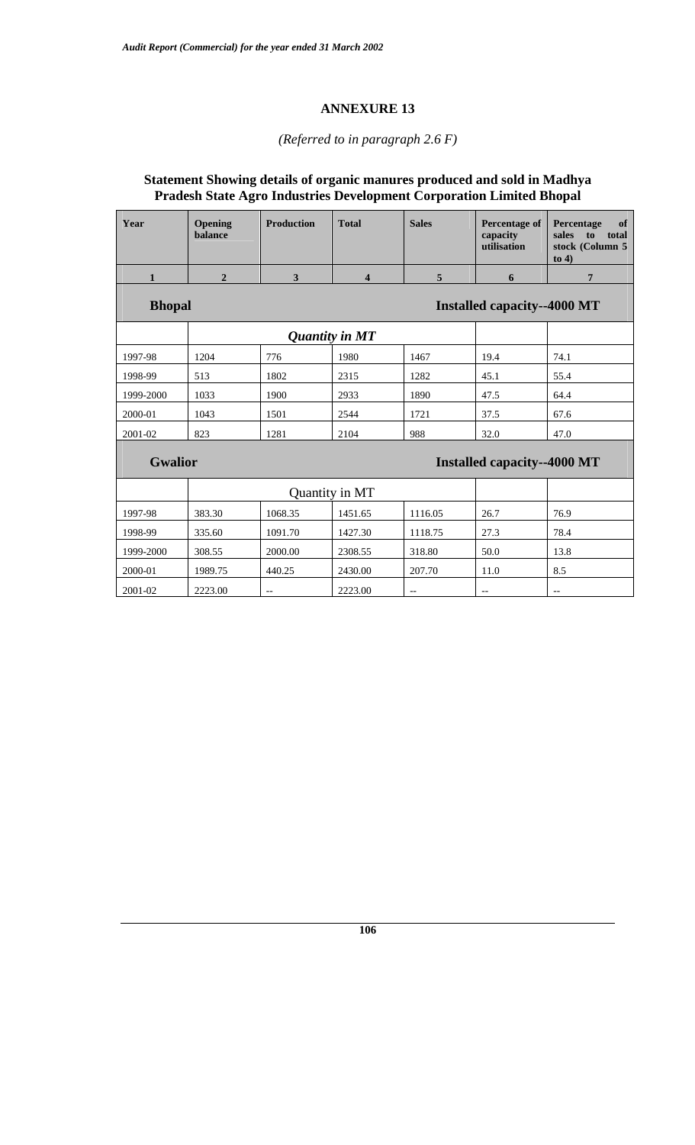#### *(Referred to in paragraph 2.6 F)*

## **Statement Showing details of organic manures produced and sold in Madhya Pradesh State Agro Industries Development Corporation Limited Bhopal**

| Year                                                 | Opening<br>balance | <b>Production</b>                     | <b>Total</b>                       | <b>Sales</b>                        | Percentage of<br>capacity<br>utilisation            | Percentage<br>of<br>sales<br>total<br>to<br>stock (Column 5<br>to $4)$ |  |  |
|------------------------------------------------------|--------------------|---------------------------------------|------------------------------------|-------------------------------------|-----------------------------------------------------|------------------------------------------------------------------------|--|--|
| $\mathbf{1}$                                         | $\overline{2}$     | 3                                     | 4                                  | 5                                   | 6                                                   | 7                                                                      |  |  |
| <b>Bhopal</b>                                        |                    |                                       | <b>Installed capacity--4000 MT</b> |                                     |                                                     |                                                                        |  |  |
|                                                      |                    | <b>Quantity in MT</b>                 |                                    |                                     |                                                     |                                                                        |  |  |
| 1997-98                                              | 1204               | 776                                   | 1980                               | 1467                                | 19.4                                                | 74.1                                                                   |  |  |
| 1998-99                                              | 513                | 1802                                  | 2315                               | 1282                                | 45.1                                                | 55.4                                                                   |  |  |
| 1999-2000                                            | 1033               | 1900                                  | 2933                               | 1890                                | 47.5                                                | 64.4                                                                   |  |  |
| 2000-01                                              | 1043               | 1501                                  | 2544                               | 1721                                | 37.5                                                | 67.6                                                                   |  |  |
| 2001-02                                              | 823                | 1281                                  | 2104                               | 988                                 | 32.0                                                | 47.0                                                                   |  |  |
| <b>Gwalior</b><br><b>Installed capacity--4000 MT</b> |                    |                                       |                                    |                                     |                                                     |                                                                        |  |  |
|                                                      |                    |                                       | Quantity in MT                     |                                     |                                                     |                                                                        |  |  |
| 1997-98                                              | 383.30             | 1068.35                               | 1451.65                            | 1116.05                             | 26.7                                                | 76.9                                                                   |  |  |
| 1998-99                                              | 335.60             | 1091.70                               | 1427.30                            | 1118.75                             | 27.3                                                | 78.4                                                                   |  |  |
| 1999-2000                                            | 308.55             | 2000.00                               | 2308.55                            | 318.80                              | 50.0                                                | 13.8                                                                   |  |  |
| 2000-01                                              | 1989.75            | 440.25                                | 2430.00                            | 207.70                              | 11.0                                                | 8.5                                                                    |  |  |
| 2001-02                                              | 2223.00            | $\hspace{0.05cm}$ – $\hspace{0.05cm}$ | 2223.00                            | $\hspace{0.05cm}$ $\hspace{0.05cm}$ | $\hspace{0.05cm} -\hspace{0.05cm} -\hspace{0.05cm}$ | --                                                                     |  |  |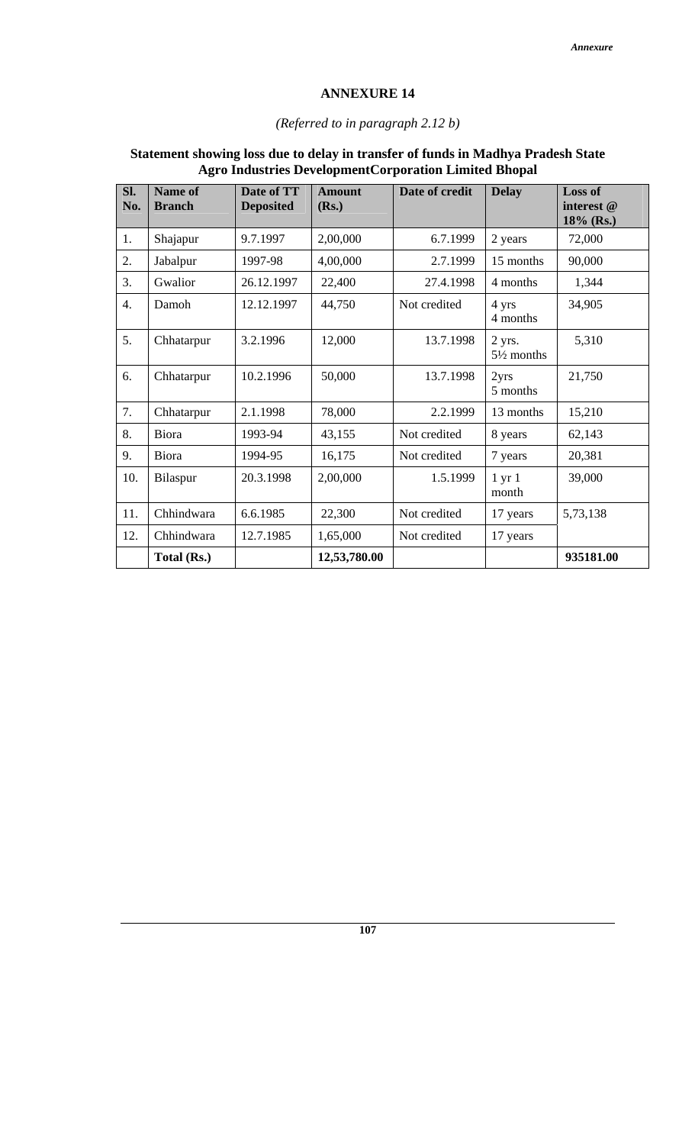#### *(Referred to in paragraph 2.12 b)*

| SI.<br>No.       | <b>Name of</b><br><b>Branch</b> | Date of TT<br><b>Deposited</b> | <b>Amount</b><br>(Rs.) | Date of credit | <b>Delay</b>                    | <b>Loss of</b><br>interest @<br>18% (Rs.) |
|------------------|---------------------------------|--------------------------------|------------------------|----------------|---------------------------------|-------------------------------------------|
| 1.               | Shajapur                        | 9.7.1997                       | 2,00,000               | 6.7.1999       | 2 years                         | 72,000                                    |
| 2.               | Jabalpur                        | 1997-98                        | 4,00,000               | 2.7.1999       | 15 months                       | 90,000                                    |
| 3.               | Gwalior                         | 26.12.1997                     | 22,400                 | 27.4.1998      | 4 months                        | 1,344                                     |
| $\overline{4}$ . | Damoh                           | 12.12.1997                     | 44,750                 | Not credited   | 4 yrs<br>4 months               | 34,905                                    |
| 5.               | Chhatarpur                      | 3.2.1996                       | 12,000                 | 13.7.1998      | 2 yrs.<br>$5\frac{1}{2}$ months | 5,310                                     |
| 6.               | Chhatarpur                      | 10.2.1996                      | 50,000                 | 13.7.1998      | 2yrs<br>5 months                | 21,750                                    |
| 7.               | Chhatarpur                      | 2.1.1998                       | 78,000                 | 2.2.1999       | 13 months                       | 15,210                                    |
| 8.               | Biora                           | 1993-94                        | 43,155                 | Not credited   | 8 years                         | 62,143                                    |
| 9.               | Biora                           | 1994-95                        | 16,175                 | Not credited   | 7 years                         | 20,381                                    |
| 10.              | Bilaspur                        | 20.3.1998                      | 2,00,000               | 1.5.1999       | $1 \text{ yr} 1$<br>month       | 39,000                                    |
| 11.              | Chhindwara                      | 6.6.1985                       | 22,300                 | Not credited   | 17 years                        | 5,73,138                                  |
| 12.              | Chhindwara                      | 12.7.1985                      | 1,65,000               | Not credited   | 17 years                        |                                           |
|                  | Total (Rs.)                     |                                | 12,53,780.00           |                |                                 | 935181.00                                 |

#### **Statement showing loss due to delay in transfer of funds in Madhya Pradesh State Agro Industries DevelopmentCorporation Limited Bhopal**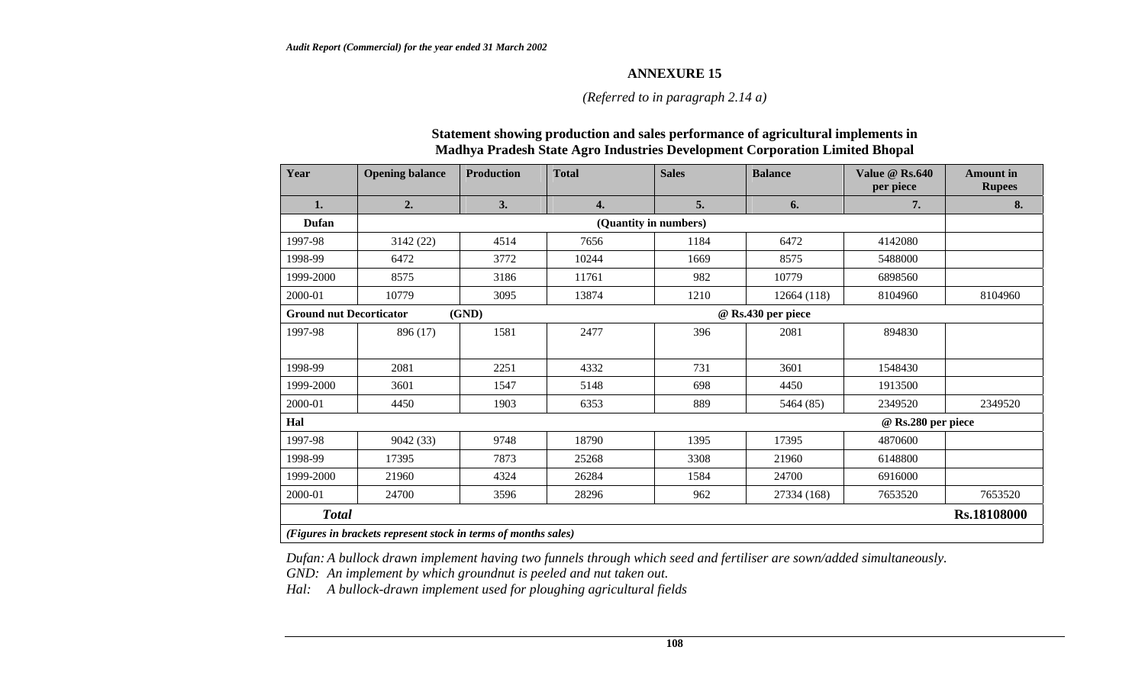#### *(Referred to in paragraph 2.14 a)*

#### **Statement showing production and sales performance of agricultural implements in Madhya Pradesh State Agro Industries Development Corporation Limited Bhopal**

| Year                                                           | <b>Opening balance</b> | <b>Production</b> | <b>Total</b> | <b>Sales</b>          | <b>Balance</b>     | Value $@$ Rs.640<br>per piece | Amount in<br><b>Rupees</b> |  |
|----------------------------------------------------------------|------------------------|-------------------|--------------|-----------------------|--------------------|-------------------------------|----------------------------|--|
| 1.                                                             | 2.                     | 3.                | 4.           | 5.                    | 6.                 | 7.                            | 8.                         |  |
| Dufan                                                          |                        |                   |              | (Quantity in numbers) |                    |                               |                            |  |
| 1997-98                                                        | 3142 (22)              | 4514              | 7656         | 1184                  | 6472               | 4142080                       |                            |  |
| 1998-99                                                        | 6472                   | 3772              | 10244        | 1669                  | 8575               | 5488000                       |                            |  |
| 1999-2000                                                      | 8575                   | 3186              | 11761        | 982                   | 10779              | 6898560                       |                            |  |
| 2000-01                                                        | 10779                  | 3095              | 13874        | 1210                  | 12664 (118)        | 8104960                       | 8104960                    |  |
| <b>Ground nut Decorticator</b>                                 |                        | (GND)             |              |                       | @ Rs.430 per piece |                               |                            |  |
| 1997-98                                                        | 896 (17)               | 1581              | 2477         | 396                   | 2081               | 894830                        |                            |  |
| 1998-99                                                        | 2081                   | 2251              | 4332         | 731                   | 3601               | 1548430                       |                            |  |
| 1999-2000                                                      | 3601                   | 1547              | 5148         | 698                   | 4450               | 1913500                       |                            |  |
| 2000-01                                                        | 4450                   | 1903              | 6353         | 889                   | 5464 (85)          | 2349520                       | 2349520                    |  |
| Hal                                                            |                        |                   |              |                       |                    | @ Rs.280 per piece            |                            |  |
| 1997-98                                                        | 9042 (33)              | 9748              | 18790        | 1395                  | 17395              | 4870600                       |                            |  |
| 1998-99                                                        | 17395                  | 7873              | 25268        | 3308                  | 21960              | 6148800                       |                            |  |
| 1999-2000                                                      | 21960                  | 4324              | 26284        | 1584                  | 24700              | 6916000                       |                            |  |
| 2000-01                                                        | 24700                  | 3596              | 28296        | 962                   | 27334 (168)        | 7653520                       | 7653520                    |  |
| <b>Total</b>                                                   |                        |                   |              |                       |                    |                               | Rs.18108000                |  |
| (Figures in brackets represent stock in terms of months sales) |                        |                   |              |                       |                    |                               |                            |  |

*Dufan: A bullock drawn implement having two funnels through which seed and fertiliser are sown/added simultaneously.* 

*GND: An implement by which groundnut is peeled and nut taken out.* 

*Hal: A bullock-drawn implement used for ploughing agricultural fields*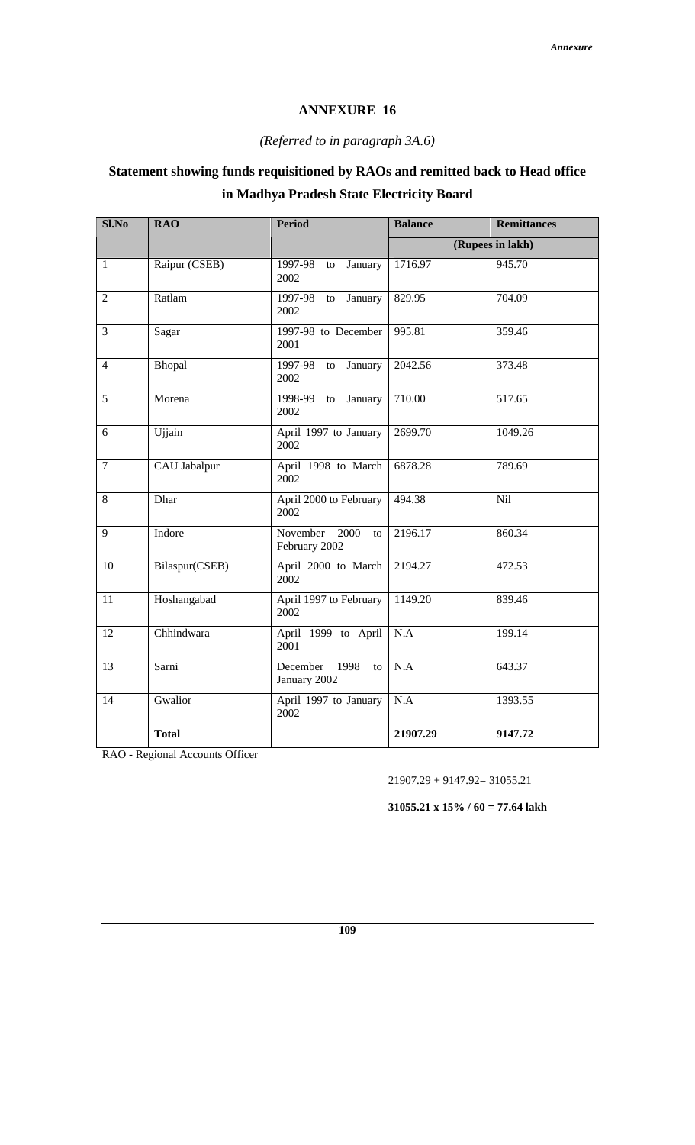#### *(Referred to in paragraph 3A.6)*

# **Statement showing funds requisitioned by RAOs and remitted back to Head office in Madhya Pradesh State Electricity Board**

| $Sl$ .No       | <b>RAO</b>     | <b>Period</b>                          | <b>Balance</b> | <b>Remittances</b> |
|----------------|----------------|----------------------------------------|----------------|--------------------|
|                |                |                                        |                | (Rupees in lakh)   |
| $\mathbf{1}$   | Raipur (CSEB)  | 1997-98<br>January<br>to<br>2002       | 1716.97        | 945.70             |
| $\overline{2}$ | Ratlam         | 1997-98<br>January<br>to<br>2002       | 829.95         | 704.09             |
| 3              | Sagar          | 1997-98 to December<br>2001            | 995.81         | 359.46             |
| $\overline{4}$ | Bhopal         | 1997-98<br>to January<br>2002          | 2042.56        | 373.48             |
| 5              | Morena         | 1998-99<br>January<br>to<br>2002       | 710.00         | 517.65             |
| 6              | Ujjain         | April 1997 to January<br>2002          | 2699.70        | 1049.26            |
| $\overline{7}$ | CAU Jabalpur   | April 1998 to March<br>2002            | 6878.28        | 789.69             |
| 8              | Dhar           | April 2000 to February<br>2002         | 494.38         | Nil                |
| 9              | Indore         | November 2000<br>to<br>February 2002   | 2196.17        | 860.34             |
| 10             | Bilaspur(CSEB) | April 2000 to March<br>2002            | 2194.27        | 472.53             |
| 11             | Hoshangabad    | April 1997 to February<br>2002         | 1149.20        | 839.46             |
| 12             | Chhindwara     | April 1999 to April<br>2001            | N.A            | 199.14             |
| 13             | Sarni          | December<br>1998<br>to<br>January 2002 | N.A            | 643.37             |
| 14             | Gwalior        | April 1997 to January<br>2002          | N.A            | 1393.55            |
|                | <b>Total</b>   |                                        | 21907.29       | 9147.72            |

RAO - Regional Accounts Officer

21907.29 + 9147.92= 31055.21

**31055.21 x 15% / 60 = 77.64 lakh**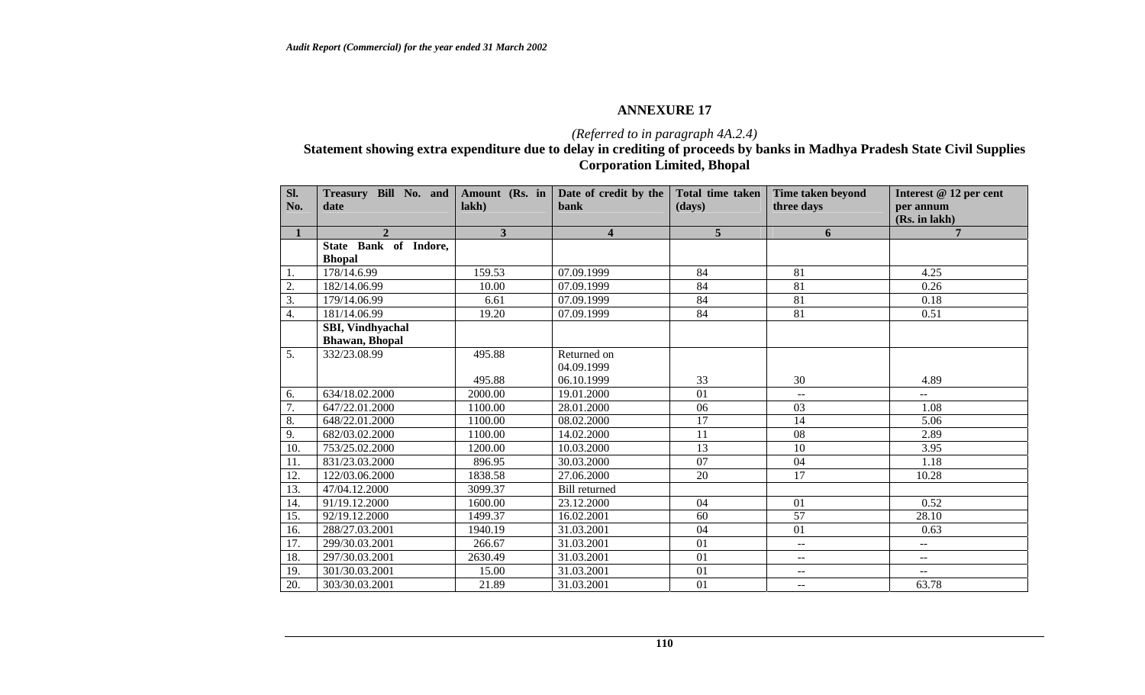## *(Referred to in paragraph 4A.2.4)*

#### **Statement showing extra expenditure due to delay in crediting of proceeds by banks in Madhya Pradesh State Civil Supplies Corporation Limited, Bhopal**

| Sl.<br>No.        | Treasury Bill No. and Amount (Rs. in<br>date             | lakh                    | Date of credit by the<br><b>bank</b> | Total time taken<br>(days) | Time taken beyond<br>three days | Interest @ 12 per cent<br>per annum<br>(Rs. in lakh) |
|-------------------|----------------------------------------------------------|-------------------------|--------------------------------------|----------------------------|---------------------------------|------------------------------------------------------|
| $\mathbf{1}$      | $\mathbf{2}$                                             | $\overline{\mathbf{3}}$ | $\overline{\mathbf{4}}$              | 5 <sup>5</sup>             | 6                               | $\overline{7}$                                       |
|                   | State Bank of Indore,<br><b>Bhopal</b>                   |                         |                                      |                            |                                 |                                                      |
| 1.                | 178/14.6.99                                              | 159.53                  | 07.09.1999                           | 84                         | 81                              | 4.25                                                 |
| $\overline{2}$ .  | 182/14.06.99                                             | 10.00                   | 07.09.1999                           | 84                         | 81                              | 0.26                                                 |
| 3.                | 179/14.06.99                                             | 6.61                    | 07.09.1999                           | 84                         | 81                              | 0.18                                                 |
| 4.                | 181/14.06.99                                             | 19.20                   | 07.09.1999                           | 84                         | 81                              | 0.51                                                 |
|                   | <b>SBI, Vindhyachal</b><br><b>Bhawan</b> , <b>Bhopal</b> |                         |                                      |                            |                                 |                                                      |
| $\overline{5}$ .  | 332/23.08.99                                             | 495.88                  | Returned on<br>04.09.1999            |                            |                                 |                                                      |
|                   |                                                          | 495.88                  | 06.10.1999                           | 33                         | 30                              | 4.89                                                 |
| 6.                | 634/18.02.2000                                           | 2000.00                 | 19.01.2000                           | 01                         | $\mathbf{u}$                    | $-$                                                  |
| 7.                | 647/22.01.2000                                           | 1100.00                 | 28.01.2000                           | 06                         | 03                              | 1.08                                                 |
| 8.                | 648/22.01.2000                                           | 1100.00                 | 08.02.2000                           | 17                         | 14                              | 5.06                                                 |
| 9.                | 682/03.02.2000                                           | 1100.00                 | 14.02.2000                           | 11                         | 08                              | 2.89                                                 |
| 10.               | 753/25.02.2000                                           | 1200.00                 | 10.03.2000                           | 13                         | 10                              | 3.95                                                 |
| 11.               | 831/23.03.2000                                           | 896.95                  | 30.03.2000                           | 07                         | 04                              | 1.18                                                 |
| $\overline{12}$ . | 122/03.06.2000                                           | 1838.58                 | 27.06.2000                           | 20                         | 17                              | 10.28                                                |
| 13.               | 47/04.12.2000                                            | 3099.37                 | <b>Bill</b> returned                 |                            |                                 |                                                      |
| 14.               | 91/19.12.2000                                            | 1600.00                 | 23.12.2000                           | 04                         | 01                              | 0.52                                                 |
| 15.               | 92/19.12.2000                                            | 1499.37                 | 16.02.2001                           | 60                         | 57                              | 28.10                                                |
| 16.               | 288/27.03.2001                                           | 1940.19                 | 31.03.2001                           | 04                         | 01                              | 0.63                                                 |
| 17.               | 299/30.03.2001                                           | 266.67                  | 31.03.2001                           | 01                         | --                              | $\overline{\phantom{a}}$                             |
| 18.               | 297/30.03.2001                                           | 2630.49                 | 31.03.2001                           | 01                         | $-1$                            | $\mathord{\hspace{1pt}\text{--}\hspace{1pt}}$        |
| 19.               | 301/30.03.2001                                           | 15.00                   | 31.03.2001                           | 01                         | --                              | $\overline{\phantom{a}}$                             |
| 20.               | 303/30.03.2001                                           | 21.89                   | 31.03.2001                           | 01                         | $- -$                           | 63.78                                                |